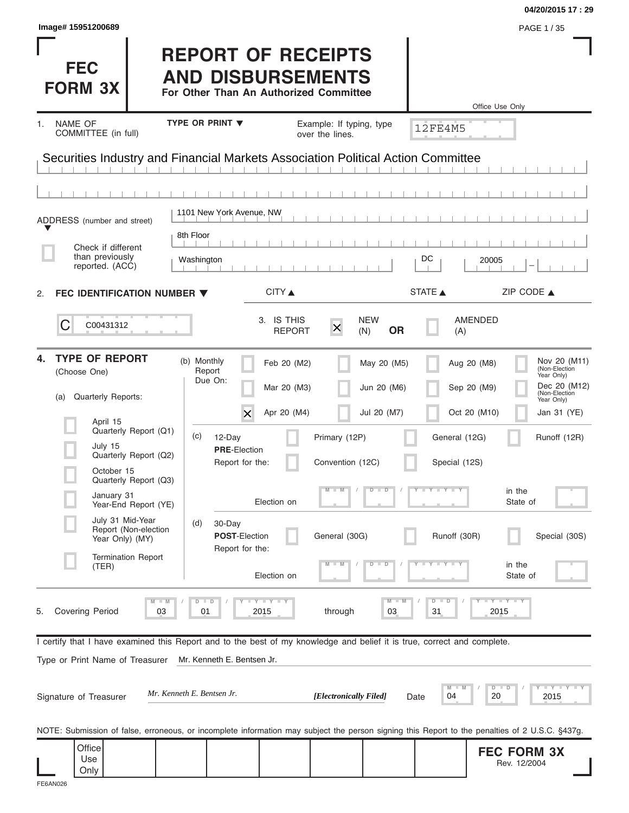|                                        |                             |                                                                                                                                                             |                                                                                                                                                                                                                                                                               | 04/20/2015 17:29                                                                                                                                                                                                                                                                                                                                                                                                                                                                  |
|----------------------------------------|-----------------------------|-------------------------------------------------------------------------------------------------------------------------------------------------------------|-------------------------------------------------------------------------------------------------------------------------------------------------------------------------------------------------------------------------------------------------------------------------------|-----------------------------------------------------------------------------------------------------------------------------------------------------------------------------------------------------------------------------------------------------------------------------------------------------------------------------------------------------------------------------------------------------------------------------------------------------------------------------------|
|                                        |                             |                                                                                                                                                             |                                                                                                                                                                                                                                                                               | PAGE 1 / 35                                                                                                                                                                                                                                                                                                                                                                                                                                                                       |
|                                        |                             |                                                                                                                                                             |                                                                                                                                                                                                                                                                               |                                                                                                                                                                                                                                                                                                                                                                                                                                                                                   |
| <b>TYPE OR PRINT ▼</b>                 |                             |                                                                                                                                                             |                                                                                                                                                                                                                                                                               |                                                                                                                                                                                                                                                                                                                                                                                                                                                                                   |
|                                        | over the lines.             |                                                                                                                                                             |                                                                                                                                                                                                                                                                               |                                                                                                                                                                                                                                                                                                                                                                                                                                                                                   |
|                                        |                             |                                                                                                                                                             |                                                                                                                                                                                                                                                                               |                                                                                                                                                                                                                                                                                                                                                                                                                                                                                   |
|                                        |                             |                                                                                                                                                             |                                                                                                                                                                                                                                                                               |                                                                                                                                                                                                                                                                                                                                                                                                                                                                                   |
|                                        |                             |                                                                                                                                                             |                                                                                                                                                                                                                                                                               |                                                                                                                                                                                                                                                                                                                                                                                                                                                                                   |
| 8th Floor                              |                             |                                                                                                                                                             |                                                                                                                                                                                                                                                                               |                                                                                                                                                                                                                                                                                                                                                                                                                                                                                   |
| Washington                             |                             |                                                                                                                                                             | 20005                                                                                                                                                                                                                                                                         |                                                                                                                                                                                                                                                                                                                                                                                                                                                                                   |
| FEC IDENTIFICATION NUMBER ▼            |                             |                                                                                                                                                             |                                                                                                                                                                                                                                                                               | ZIP CODE $\triangle$                                                                                                                                                                                                                                                                                                                                                                                                                                                              |
|                                        | $\times$                    | <b>OR</b>                                                                                                                                                   | AMENDED<br>(A)                                                                                                                                                                                                                                                                |                                                                                                                                                                                                                                                                                                                                                                                                                                                                                   |
| (b) Monthly<br>Report<br>Due On:       |                             |                                                                                                                                                             | Aug 20 (M8)                                                                                                                                                                                                                                                                   | Nov 20 (M11)<br>(Non-Election<br>Year Only)<br>Dec 20 (M12)                                                                                                                                                                                                                                                                                                                                                                                                                       |
|                                        |                             |                                                                                                                                                             |                                                                                                                                                                                                                                                                               | (Non-Election<br>Year Only)<br>Jan 31 (YE)                                                                                                                                                                                                                                                                                                                                                                                                                                        |
| (c)<br>12-Day                          |                             |                                                                                                                                                             | General (12G)                                                                                                                                                                                                                                                                 | Runoff (12R)                                                                                                                                                                                                                                                                                                                                                                                                                                                                      |
| <b>PRE-Election</b><br>Report for the: |                             |                                                                                                                                                             | Special (12S)                                                                                                                                                                                                                                                                 |                                                                                                                                                                                                                                                                                                                                                                                                                                                                                   |
|                                        |                             | $\overline{D}$<br>$\Box$                                                                                                                                    |                                                                                                                                                                                                                                                                               | in the<br>State of                                                                                                                                                                                                                                                                                                                                                                                                                                                                |
| (d)<br>30-Day<br><b>POST-Election</b>  |                             |                                                                                                                                                             | Runoff (30R)                                                                                                                                                                                                                                                                  | Special (30S)                                                                                                                                                                                                                                                                                                                                                                                                                                                                     |
|                                        |                             | D<br>$\overline{\mathsf{D}}$                                                                                                                                |                                                                                                                                                                                                                                                                               | in the<br>State of                                                                                                                                                                                                                                                                                                                                                                                                                                                                |
| $D$ $D$<br>2015<br>01                  | through                     | M<br>03                                                                                                                                                     | $\overline{D}$<br>$\Box$<br>31                                                                                                                                                                                                                                                | $-Y - Y - Y$<br>2015                                                                                                                                                                                                                                                                                                                                                                                                                                                              |
|                                        |                             |                                                                                                                                                             |                                                                                                                                                                                                                                                                               |                                                                                                                                                                                                                                                                                                                                                                                                                                                                                   |
| Mr. Kenneth E. Bentsen Jr.             |                             |                                                                                                                                                             |                                                                                                                                                                                                                                                                               |                                                                                                                                                                                                                                                                                                                                                                                                                                                                                   |
| Mr. Kenneth E. Bentsen Jr.             |                             |                                                                                                                                                             | M<br>04<br>20                                                                                                                                                                                                                                                                 | $    +$ $ +$ $ +$ $ +$ $ +$ $ +$ $ +$ $ +$ $ +$ $ +$ $ +$ $ +$ $ +$ $ +$ $ +$ $ +$ $ +$ $ +$ $ +$ $ +$ $ +$ $ +$ $ +$ $ +$ $ +$ $ +$<br>$D$ $D$<br>2015                                                                                                                                                                                                                                                                                                                           |
|                                        |                             |                                                                                                                                                             |                                                                                                                                                                                                                                                                               |                                                                                                                                                                                                                                                                                                                                                                                                                                                                                   |
|                                        |                             |                                                                                                                                                             |                                                                                                                                                                                                                                                                               |                                                                                                                                                                                                                                                                                                                                                                                                                                                                                   |
|                                        | $\times$<br>Report for the: | 1101 New York Avenue, NW<br>CITY<br>3. IS THIS<br><b>REPORT</b><br>Feb 20 (M2)<br>Mar 20 (M3)<br>Apr 20 (M4)<br>Election on<br>Election on<br><b>LYLYLY</b> | <b>REPORT OF RECEIPTS</b><br><b>AND DISBURSEMENTS</b><br>For Other Than An Authorized Committee<br>Example: If typing, type<br><b>NEW</b><br>(N)<br>May 20 (M5)<br>Jun 20 (M6)<br>Jul 20 (M7)<br>Primary (12P)<br>Convention (12C)<br>General (30G)<br>[Electronically Filed] | Office Use Only<br><b>12FE4M5</b><br>Securities Industry and Financial Markets Association Political Action Committee<br>DC<br>STATE A<br>Sep 20 (M9)<br>Oct 20 (M10)<br>$Y - Y - Y - Y - I$<br>I certify that I have examined this Report and to the best of my knowledge and belief it is true, correct and complete.<br>Date<br>NOTE: Submission of false, erroneous, or incomplete information may subject the person signing this Report to the penalties of 2 U.S.C. §437g. |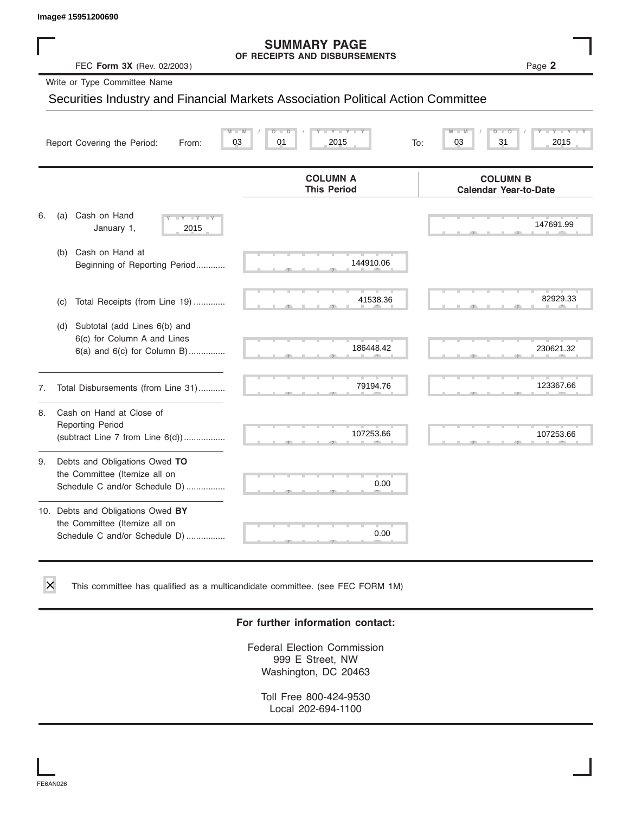#### **SUMMARY PAGE OF RECEIPTS AND DISBURSEMENTS**

|    | Image# 15951200690                                                                                    |                                                                                  |                                                 |
|----|-------------------------------------------------------------------------------------------------------|----------------------------------------------------------------------------------|-------------------------------------------------|
|    | FEC Form 3X (Rev. 02/2003)                                                                            | <b>SUMMARY PAGE</b><br>OF RECEIPTS AND DISBURSEMENTS                             | Page 2                                          |
|    | Write or Type Committee Name                                                                          |                                                                                  |                                                 |
|    |                                                                                                       | Securities Industry and Financial Markets Association Political Action Committee |                                                 |
|    | 03<br>Report Covering the Period:<br>From:                                                            | Y L<br>01<br>2015<br>To:                                                         | 03<br>31<br>2015                                |
|    |                                                                                                       | <b>COLUMN A</b><br><b>This Period</b>                                            | <b>COLUMN B</b><br><b>Calendar Year-to-Date</b> |
| 6. | Cash on Hand<br>(a)<br><b>TY</b><br>January 1,<br>2015                                                |                                                                                  | 147691.99                                       |
|    | (b) Cash on Hand at<br>Beginning of Reporting Period                                                  | 144910.06                                                                        |                                                 |
|    | Total Receipts (from Line 19)<br>(c)                                                                  | 41538.36                                                                         | 82929.33                                        |
|    | Subtotal (add Lines 6(b) and<br>(d)<br>6(c) for Column A and Lines<br>$6(a)$ and $6(c)$ for Column B) | 186448.42                                                                        | 230621.32                                       |
| 7. | Total Disbursements (from Line 31)                                                                    | 79194.76                                                                         | 123367.66                                       |
| 8. | Cash on Hand at Close of<br><b>Reporting Period</b><br>(subtract Line $7$ from Line $6(d)$ )          | 107253.66                                                                        | 107253.66                                       |
| 9. | Debts and Obligations Owed TO<br>the Committee (Itemize all on<br>Schedule C and/or Schedule D)       | 0.00                                                                             |                                                 |
|    | 10. Debts and Obligations Owed BY<br>the Committee (Itemize all on<br>Schedule C and/or Schedule D)   | 0.00                                                                             |                                                 |

This committee has qualified as a multicandidate committee. (see FEC FORM 1M)

#### **For further information contact:**

Federal Election Commission 999 E Street, NW Washington, DC 20463

Toll Free 800-424-9530 Local 202-694-1100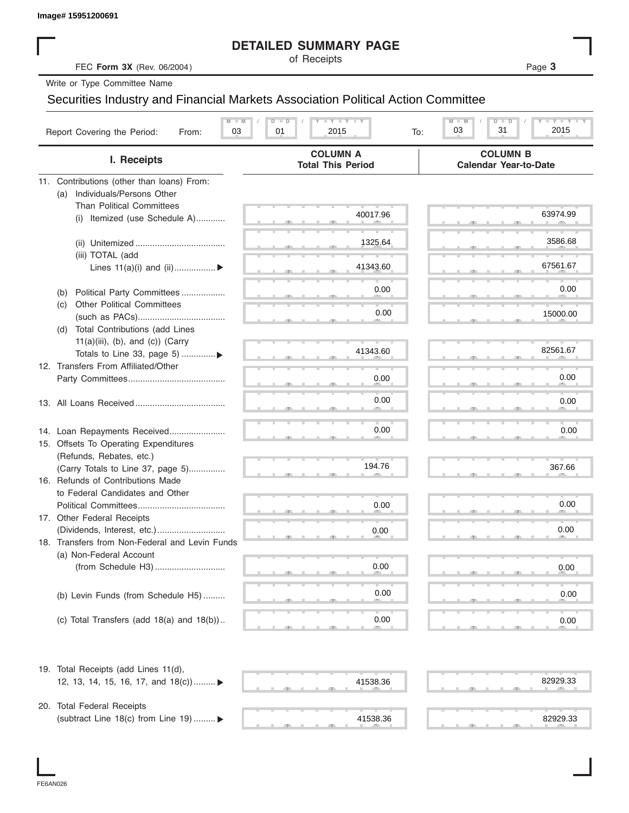|                                                                                  | <b>DETAILED SUMMARY PAGE</b>                |                                                 |
|----------------------------------------------------------------------------------|---------------------------------------------|-------------------------------------------------|
| FEC Form 3X (Rev. 06/2004)                                                       | of Receipts                                 | Page 3                                          |
| Write or Type Committee Name                                                     |                                             |                                                 |
| Securities Industry and Financial Markets Association Political Action Committee |                                             |                                                 |
| $M - M$                                                                          | $T - Y = T - Y = T - Y$<br>$D$ $D$          | Y FYLY<br>$D - D$<br>$M - M$                    |
| Report Covering the Period:<br>03<br>From:                                       | 01<br>2015<br>To:                           | 31<br>2015<br>03                                |
| I. Receipts                                                                      | <b>COLUMN A</b><br><b>Total This Period</b> | <b>COLUMN B</b><br><b>Calendar Year-to-Date</b> |
| 11. Contributions (other than loans) From:                                       |                                             |                                                 |
| Individuals/Persons Other<br>(a)                                                 |                                             |                                                 |
| <b>Than Political Committees</b>                                                 | 40017.96                                    | 63974.99                                        |
| (i) Itemized (use Schedule A)                                                    |                                             |                                                 |
|                                                                                  | 1325.64                                     | 3586.68                                         |
| (iii) TOTAL (add                                                                 |                                             |                                                 |
| Lines $11(a)(i)$ and $(ii)$                                                      | 41343.60                                    | 67561.67                                        |
|                                                                                  |                                             |                                                 |
| Political Party Committees<br>(b)                                                | 0.00                                        | 0.00                                            |
| <b>Other Political Committees</b><br>(C)                                         | 0.00                                        | 15000.00                                        |
| Total Contributions (add Lines<br>(d)                                            |                                             |                                                 |
| $11(a)(iii)$ , (b), and (c)) (Carry                                              |                                             |                                                 |
| Totals to Line 33, page 5) ▶                                                     | 41343.60                                    | 82561.67                                        |
| 12. Transfers From Affiliated/Other                                              |                                             |                                                 |
|                                                                                  | 0.00                                        | 0.00                                            |
|                                                                                  | 0.00                                        |                                                 |
|                                                                                  |                                             | 0.00                                            |
|                                                                                  |                                             |                                                 |
| 14. Loan Repayments Received                                                     | 0.00                                        | 0.00                                            |
| 15. Offsets To Operating Expenditures<br>(Refunds, Rebates, etc.)                |                                             |                                                 |
| (Carry Totals to Line 37, page 5)                                                | 194.76                                      | 367.66                                          |
| 16. Refunds of Contributions Made                                                |                                             |                                                 |
| to Federal Candidates and Other                                                  |                                             |                                                 |
| Political Committees                                                             | 0.00                                        | 0.00                                            |
| 17. Other Federal Receipts                                                       |                                             |                                                 |
|                                                                                  | 0.00                                        | 0.00                                            |
| 18. Transfers from Non-Federal and Levin Funds                                   |                                             |                                                 |
| (a) Non-Federal Account                                                          | 0.00                                        |                                                 |
|                                                                                  |                                             | 0.00                                            |
|                                                                                  | 0.00                                        | 0.00                                            |
| (b) Levin Funds (from Schedule H5)                                               |                                             |                                                 |
| (c) Total Transfers (add $18(a)$ and $18(b)$ )                                   | 0.00                                        | 0.00                                            |
|                                                                                  |                                             |                                                 |
| 19. Total Receipts (add Lines 11(d),                                             |                                             |                                                 |
| 12, 13, 14, 15, 16, 17, and 18(c)) ▶                                             | 41538.36                                    | 82929.33                                        |
| 20. Total Federal Receipts                                                       |                                             |                                                 |
| (subtract Line 18(c) from Line 19)  ▶                                            | 41538.36                                    | 82929.33                                        |
|                                                                                  |                                             |                                                 |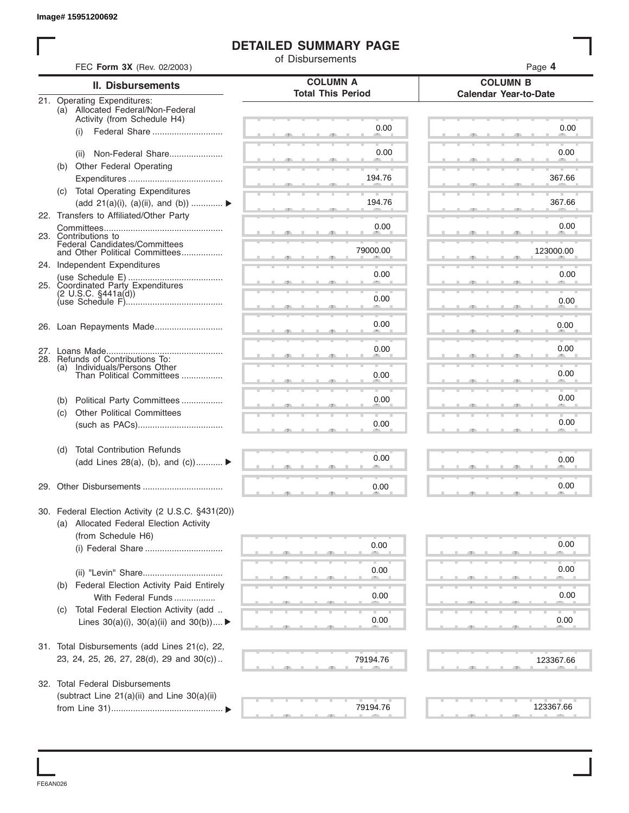#### **DETAILED SUMMARY PAGE**

|     | FEC Form 3X (Rev. 02/2003)                                           | of Disbursements         | Page 4                       |
|-----|----------------------------------------------------------------------|--------------------------|------------------------------|
|     | <b>II. Disbursements</b>                                             | <b>COLUMN A</b>          | <b>COLUMN B</b>              |
|     | 21. Operating Expenditures:                                          | <b>Total This Period</b> | <b>Calendar Year-to-Date</b> |
|     | (a) Allocated Federal/Non-Federal                                    |                          |                              |
|     | Activity (from Schedule H4)<br>Federal Share<br>(i)                  | 0.00                     | 0.00                         |
|     |                                                                      |                          |                              |
|     | Non-Federal Share<br>(ii)                                            | 0.00                     | 0.00                         |
|     | (b) Other Federal Operating                                          |                          |                              |
|     |                                                                      | 194.76                   | 367.66                       |
|     | (c) Total Operating Expenditures<br>(add 21(a)(i), (a)(ii), and (b)) | 194.76                   | 367.66                       |
|     | 22. Transfers to Affiliated/Other Party                              |                          |                              |
|     |                                                                      | 0.00                     | 0.00                         |
|     | 23. Contributions to<br>Federal Candidates/Committees                |                          |                              |
|     | and Other Political Committees                                       | 79000.00                 | 123000.00                    |
|     | 24. Independent Expenditures                                         | 0.00                     | 0.00                         |
|     | 25. Coordinated Party Expenditures                                   |                          |                              |
|     | $(2 \cup S.C. \S441a(d))$                                            | 0.00                     | 0.00                         |
|     |                                                                      |                          |                              |
|     |                                                                      | 0.00                     | 0.00                         |
|     |                                                                      |                          |                              |
|     |                                                                      | 0.00                     | 0.00                         |
| (a) | 28. Refunds of Contributions To:<br>Individuals/Persons Other        |                          |                              |
|     | Than Political Committees                                            | 0.00                     | 0.00                         |
| (b) | Political Party Committees                                           | 0.00                     | 0.00                         |
| (c) | <b>Other Political Committees</b>                                    |                          |                              |
|     |                                                                      | 0.00                     | 0.00                         |
|     |                                                                      |                          |                              |
| (d) | <b>Total Contribution Refunds</b>                                    | 0.00                     | 0.00                         |
|     | (add Lines 28(a), (b), and $(c)$ )                                   |                          |                              |
|     |                                                                      | 0.00                     | 0.00                         |
|     |                                                                      |                          |                              |
|     | 30. Federal Election Activity (2 U.S.C. §431(20))                    |                          |                              |
|     | (a) Allocated Federal Election Activity                              |                          |                              |
|     | (from Schedule H6)                                                   |                          | 0.00                         |
|     |                                                                      | 0.00                     |                              |
|     |                                                                      | 0.00                     | 0.00                         |
| (b) | <b>Federal Election Activity Paid Entirely</b>                       |                          |                              |
|     | With Federal Funds                                                   | 0.00                     | 0.00                         |
| (C) | Total Federal Election Activity (add                                 |                          |                              |
|     | Lines $30(a)(i)$ , $30(a)(ii)$ and $30(b))$                          | 0.00                     | 0.00                         |
|     |                                                                      |                          |                              |
|     | 31. Total Disbursements (add Lines 21(c), 22,                        |                          |                              |
|     | 23, 24, 25, 26, 27, 28(d), 29 and 30(c))                             | 79194.76                 | 123367.66                    |
|     | 32. Total Federal Disbursements                                      |                          |                              |
|     | (subtract Line 21(a)(ii) and Line 30(a)(ii)                          |                          |                              |
|     |                                                                      | 79194.76                 | 123367.66                    |

FE6AN026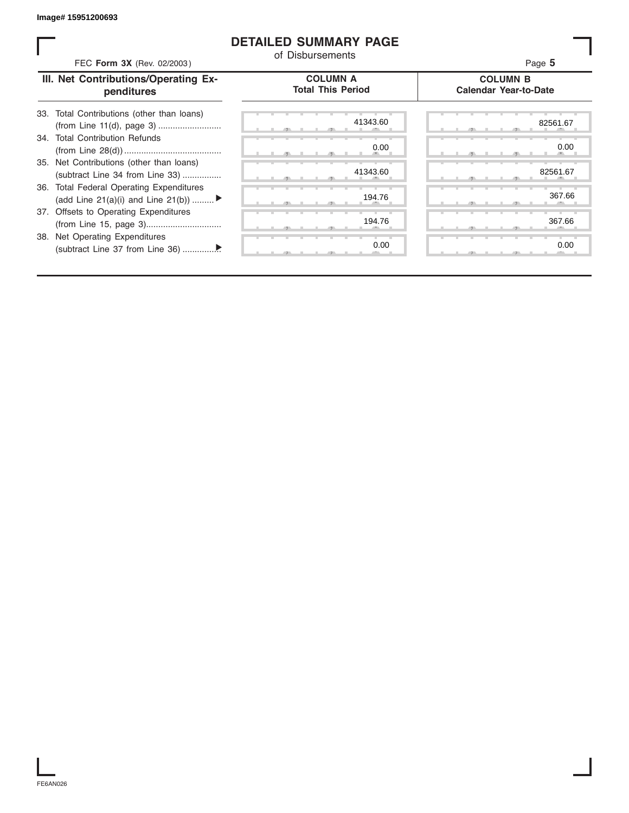#### **DETAILED SUMMARY PAGE**

| FEC Form 3X (Rev. 02/2003)                                                               | of Disbursements                            | Page 5                                          |
|------------------------------------------------------------------------------------------|---------------------------------------------|-------------------------------------------------|
| III. Net Contributions/Operating Ex-<br>penditures                                       | <b>COLUMN A</b><br><b>Total This Period</b> | <b>COLUMN B</b><br><b>Calendar Year-to-Date</b> |
| 33. Total Contributions (other than loans)                                               | 41343.60                                    | 82561.67                                        |
| 34. Total Contribution Refunds                                                           | 0.00                                        | 0.00                                            |
| 35. Net Contributions (other than loans)<br>(subtract Line 34 from Line 33)              | 41343.60                                    | 82561.67                                        |
| <b>Total Federal Operating Expenditures</b><br>36.<br>(add Line 21(a)(i) and Line 21(b)) | 194.76                                      | 367.66                                          |
| 37. Offsets to Operating Expenditures                                                    | 194.76                                      | 367.66                                          |
| Net Operating Expenditures<br>38.                                                        | 0.00                                        | 0.00                                            |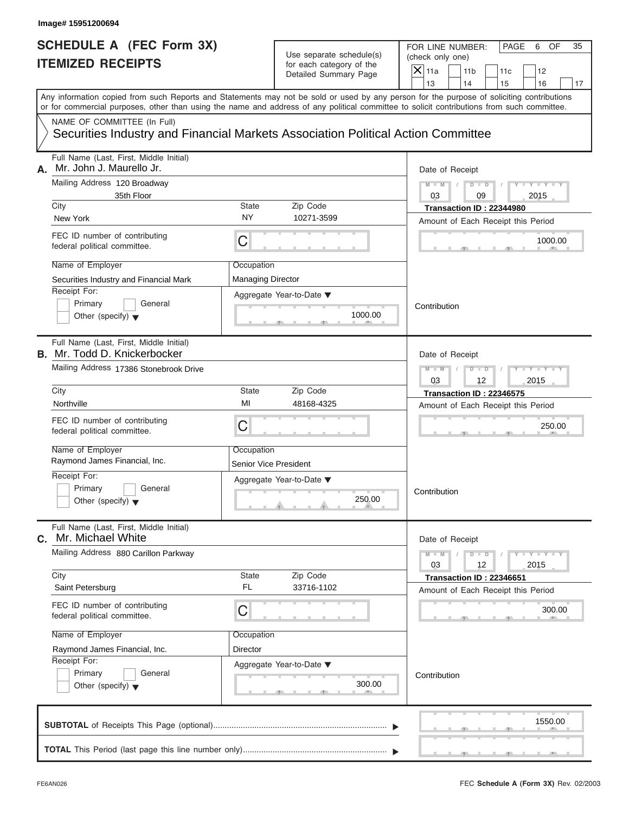|                                               | SCHEDULE A (FEC Form 3X)<br><b>ITEMIZED RECEIPTS</b>                                                                                                                                                                                                                                    |                                        | Use separate schedule(s)<br>for each category of the                       | FOR LINE NUMBER:<br>PAGE<br>OF<br>35<br>6<br>(check only one)<br>$\overline{X}$ 11a      |
|-----------------------------------------------|-----------------------------------------------------------------------------------------------------------------------------------------------------------------------------------------------------------------------------------------------------------------------------------------|----------------------------------------|----------------------------------------------------------------------------|------------------------------------------------------------------------------------------|
|                                               |                                                                                                                                                                                                                                                                                         |                                        | Detailed Summary Page                                                      | 11 <sub>b</sub><br>11c<br>12<br>13<br>14<br>15<br>16<br>17                               |
|                                               | Any information copied from such Reports and Statements may not be sold or used by any person for the purpose of soliciting contributions<br>or for commercial purposes, other than using the name and address of any political committee to solicit contributions from such committee. |                                        |                                                                            |                                                                                          |
|                                               | NAME OF COMMITTEE (In Full)<br>Securities Industry and Financial Markets Association Political Action Committee                                                                                                                                                                         |                                        |                                                                            |                                                                                          |
| А.                                            | Full Name (Last, First, Middle Initial)<br>Mr. John J. Maurello Jr.                                                                                                                                                                                                                     |                                        |                                                                            | Date of Receipt                                                                          |
|                                               | Mailing Address 120 Broadway<br>35th Floor<br>City                                                                                                                                                                                                                                      | State                                  | Zip Code                                                                   | $M - M$ /<br>$D$ $\Box$ $D$<br>$Y - Y -$<br>2015<br>03<br>09<br>Transaction ID: 22344980 |
|                                               | New York                                                                                                                                                                                                                                                                                | <b>NY</b>                              | 10271-3599                                                                 | Amount of Each Receipt this Period                                                       |
|                                               | FEC ID number of contributing<br>federal political committee.                                                                                                                                                                                                                           | С                                      |                                                                            | 1000.00                                                                                  |
|                                               | Name of Employer<br>Securities Industry and Financial Mark<br>Receipt For:<br>Primary<br>General<br>Other (specify) $\blacktriangledown$                                                                                                                                                | Occupation<br><b>Managing Director</b> | Aggregate Year-to-Date ▼<br>1000.00<br>$\mathbf{y}$ and $\mathbf{y}$<br>a. | Contribution                                                                             |
|                                               | Full Name (Last, First, Middle Initial)<br><b>B.</b> Mr. Todd D. Knickerbocker<br>Mailing Address 17386 Stonebrook Drive                                                                                                                                                                |                                        |                                                                            | Date of Receipt<br>$M - M$<br>$D$ $D$<br>$Y'$ $Y'$                                       |
|                                               |                                                                                                                                                                                                                                                                                         |                                        |                                                                            | 03<br>12<br>2015                                                                         |
|                                               | City<br>Northville                                                                                                                                                                                                                                                                      | <b>State</b><br>MI                     | Zip Code<br>48168-4325                                                     | Transaction ID: 22346575                                                                 |
|                                               | FEC ID number of contributing<br>federal political committee.                                                                                                                                                                                                                           | С                                      |                                                                            | Amount of Each Receipt this Period<br>250.00                                             |
|                                               | Name of Employer                                                                                                                                                                                                                                                                        | Occupation                             |                                                                            |                                                                                          |
|                                               | Raymond James Financial, Inc.<br>Receipt For:                                                                                                                                                                                                                                           | <b>Senior Vice President</b>           |                                                                            |                                                                                          |
|                                               | Primary<br>General<br>Other (specify) $\blacktriangledown$                                                                                                                                                                                                                              |                                        | Aggregate Year-to-Date ▼<br>250.00<br>All College                          | Contribution                                                                             |
| С.                                            | Full Name (Last, First, Middle Initial)<br>Mr. Michael White                                                                                                                                                                                                                            |                                        |                                                                            | Date of Receipt                                                                          |
|                                               | Mailing Address 880 Carillon Parkway                                                                                                                                                                                                                                                    |                                        |                                                                            | $M - M$<br>$D$ $D$<br>$T - Y = -Y - T - Y$<br>12<br>03<br>2015                           |
|                                               | City<br>Saint Petersburg                                                                                                                                                                                                                                                                | State<br>FL                            | Zip Code<br>33716-1102                                                     | Transaction ID: 22346651<br>Amount of Each Receipt this Period                           |
|                                               | FEC ID number of contributing<br>federal political committee.                                                                                                                                                                                                                           | С                                      |                                                                            | 300.00                                                                                   |
|                                               | Name of Employer                                                                                                                                                                                                                                                                        | Occupation                             |                                                                            |                                                                                          |
| Raymond James Financial, Inc.<br>Receipt For: |                                                                                                                                                                                                                                                                                         | Director                               |                                                                            |                                                                                          |
|                                               | Primary<br>General<br>Other (specify) $\blacktriangledown$                                                                                                                                                                                                                              |                                        | Aggregate Year-to-Date ▼<br>300.00<br>-90                                  | Contribution                                                                             |
|                                               |                                                                                                                                                                                                                                                                                         |                                        |                                                                            | 1550.00                                                                                  |
|                                               |                                                                                                                                                                                                                                                                                         |                                        |                                                                            |                                                                                          |

S S S , , .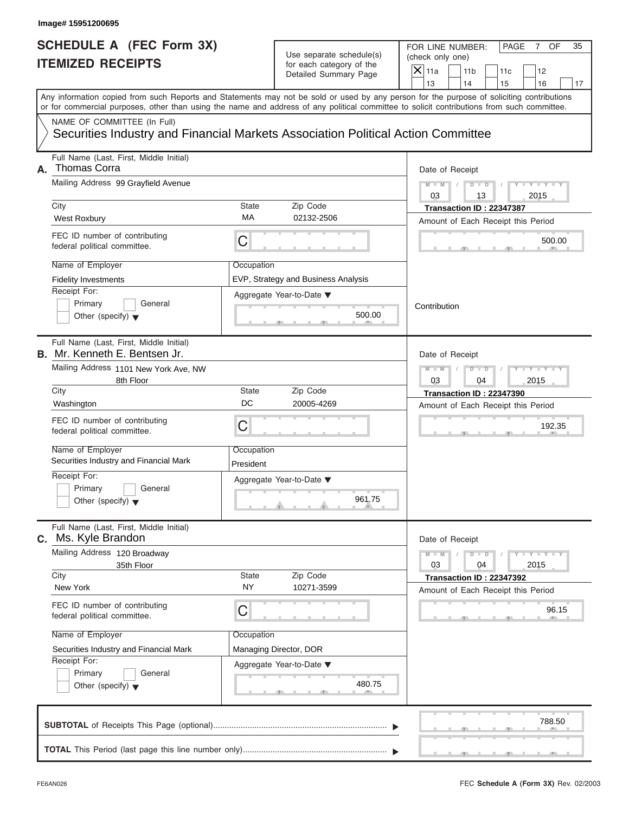#### Use separate schedule(s) for each category of the

FOR LINE NUMBER: PAGE 7 OF<br>(check only one)

| SCHEDULE A (FEC Form 3X)<br><b>ITEMIZED RECEIPTS</b>                                                                                                                                                                                                                                                                                                                     |                                             | Use separate schedule(s)<br>for each category of the<br>Detailed Summary Page          | FOR LINE NUMBER:<br>PAGE<br>$\overline{7}$<br>OF<br>35<br>(check only one)<br>$\mathsf{X}$ 11a<br>11 <sub>b</sub><br>12<br>11c                                             |
|--------------------------------------------------------------------------------------------------------------------------------------------------------------------------------------------------------------------------------------------------------------------------------------------------------------------------------------------------------------------------|---------------------------------------------|----------------------------------------------------------------------------------------|----------------------------------------------------------------------------------------------------------------------------------------------------------------------------|
|                                                                                                                                                                                                                                                                                                                                                                          |                                             |                                                                                        | 13<br>14<br>15<br>16<br>17                                                                                                                                                 |
| Any information copied from such Reports and Statements may not be sold or used by any person for the purpose of soliciting contributions<br>or for commercial purposes, other than using the name and address of any political committee to solicit contributions from such committee.                                                                                  |                                             |                                                                                        |                                                                                                                                                                            |
| NAME OF COMMITTEE (In Full)<br>Securities Industry and Financial Markets Association Political Action Committee                                                                                                                                                                                                                                                          |                                             |                                                                                        |                                                                                                                                                                            |
| Full Name (Last, First, Middle Initial)<br><b>Thomas Corra</b><br>А.<br>Mailing Address 99 Grayfield Avenue<br>City<br>West Roxbury<br>FEC ID number of contributing<br>federal political committee.                                                                                                                                                                     | State<br>МA<br>C                            | Zip Code<br>02132-2506                                                                 | Date of Receipt<br>$Y = Y$<br>$M - M$<br>D<br>$\Box$<br>03<br>13<br>2015<br>Transaction ID: 22347387<br>Amount of Each Receipt this Period<br>500.00                       |
| Name of Employer<br><b>Fidelity Investments</b><br>Receipt For:<br>Primary<br>General<br>Other (specify) $\blacktriangledown$                                                                                                                                                                                                                                            | Occupation                                  | EVP, Strategy and Business Analysis<br>Aggregate Year-to-Date ▼<br>500.00              | Contribution                                                                                                                                                               |
| Full Name (Last, First, Middle Initial)<br><b>B.</b> Mr. Kenneth E. Bentsen Jr.<br>Mailing Address 1101 New York Ave, NW<br>8th Floor<br>City<br>Washington<br>FEC ID number of contributing<br>federal political committee.<br>Name of Employer<br>Securities Industry and Financial Mark<br>Receipt For:<br>Primary<br>General<br>Other (specify) $\blacktriangledown$ | State<br>DC<br>C<br>Occupation<br>President | Zip Code<br>20005-4269<br>Aggregate Year-to-Date ▼<br>961.75<br>A                      | Date of Receipt<br>$M$ $M$<br>D<br>ಂ<br>03<br>2015<br>04<br>Transaction ID: 22347390<br>Amount of Each Receipt this Period<br>192.35                                       |
| Full Name (Last, First, Middle Initial)<br>Ms. Kyle Brandon<br>С.<br>Mailing Address 120 Broadway<br>35th Floor<br>City<br>New York<br>FEC ID number of contributing<br>federal political committee.<br>Name of Employer<br>Securities Industry and Financial Mark<br>Receipt For:<br>Primary<br>General<br>Other (specify) $\blacktriangledown$                         | State<br>NY<br>С<br>Occupation              | Zip Code<br>10271-3599<br>Managing Director, DOR<br>Aggregate Year-to-Date ▼<br>480.75 | Date of Receipt<br>$M - M$<br>$Y = Y$<br>T<br>D<br>$\overline{\phantom{a}}$<br>03<br>2015<br>04<br>Transaction ID: 22347392<br>Amount of Each Receipt this Period<br>96.15 |
|                                                                                                                                                                                                                                                                                                                                                                          |                                             |                                                                                        | 788.50                                                                                                                                                                     |

S S S , , .

л.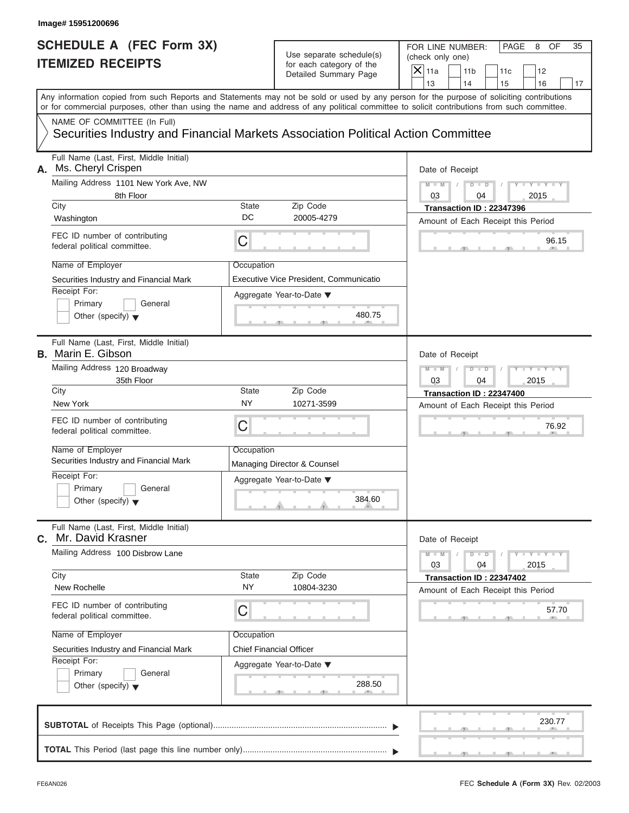| SCHEDULE A (FEC Form 3X)<br><b>ITEMIZED RECEIPTS</b>                                                                                                                                                                                                                                                                                                                                                                   | Use separate schedule(s)<br>for each category of the<br>Detailed Summary Page                          | FOR LINE NUMBER:<br>PAGE<br>8<br>OF<br>35<br>(check only one)<br>$X$ 11a<br>11 <sub>b</sub><br>12<br>11c                                            |
|------------------------------------------------------------------------------------------------------------------------------------------------------------------------------------------------------------------------------------------------------------------------------------------------------------------------------------------------------------------------------------------------------------------------|--------------------------------------------------------------------------------------------------------|-----------------------------------------------------------------------------------------------------------------------------------------------------|
| Any information copied from such Reports and Statements may not be sold or used by any person for the purpose of soliciting contributions<br>or for commercial purposes, other than using the name and address of any political committee to solicit contributions from such committee.<br>NAME OF COMMITTEE (In Full)<br>Securities Industry and Financial Markets Association Political Action Committee             |                                                                                                        | 13<br>14<br>15<br>16<br>17                                                                                                                          |
| Full Name (Last, First, Middle Initial)<br>Ms. Cheryl Crispen<br>А.<br>Mailing Address 1101 New York Ave, NW<br>8th Floor<br>City<br><b>State</b><br>DC<br>Washington<br>FEC ID number of contributing<br>C<br>federal political committee.<br>Name of Employer<br>Occupation<br>Securities Industry and Financial Mark<br>Receipt For:<br>Primary<br>General<br>Other (specify) $\blacktriangledown$                  | Zip Code<br>20005-4279<br>Executive Vice President, Communicatio<br>Aggregate Year-to-Date ▼<br>480.75 | Date of Receipt<br>$Y - Y - I$<br>$M - M$<br>$D$ $D$<br>03<br>2015<br>04<br>Transaction ID: 22347396<br>Amount of Each Receipt this Period<br>96.15 |
| Full Name (Last, First, Middle Initial)<br><b>B.</b> Marin E. Gibson<br>Mailing Address 120 Broadway<br>35th Floor<br>City<br>State<br>NY<br>New York<br>FEC ID number of contributing<br>C<br>federal political committee.<br>Name of Employer<br>Occupation<br>Securities Industry and Financial Mark<br>Receipt For:<br>Primary<br>General<br>Other (specify) $\blacktriangledown$                                  | Zip Code<br>10271-3599<br>Managing Director & Counsel<br>Aggregate Year-to-Date ▼<br>384.60<br>A       | Date of Receipt<br>$M - M$<br>$D$ $D$<br>03<br>2015<br>04<br>Transaction ID: 22347400<br>Amount of Each Receipt this Period<br>76.92                |
| Full Name (Last, First, Middle Initial)<br>Mr. David Krasner<br>С.<br>Mailing Address 100 Disbrow Lane<br>City<br><b>State</b><br>NY<br>New Rochelle<br>FEC ID number of contributing<br>С<br>federal political committee.<br>Name of Employer<br>Occupation<br><b>Chief Financial Officer</b><br>Securities Industry and Financial Mark<br>Receipt For:<br>Primary<br>General<br>Other (specify) $\blacktriangledown$ | Zip Code<br>10804-3230<br>Aggregate Year-to-Date ▼<br>288.50                                           | Date of Receipt<br>$M - M$<br>$Y = Y$<br>$D$ $D$<br>03<br>04<br>2015<br>Transaction ID: 22347402<br>Amount of Each Receipt this Period<br>57.70     |
|                                                                                                                                                                                                                                                                                                                                                                                                                        |                                                                                                        | 230.77                                                                                                                                              |

S S S , , .

FOR LINE NUMBER: | PAGE 8 OF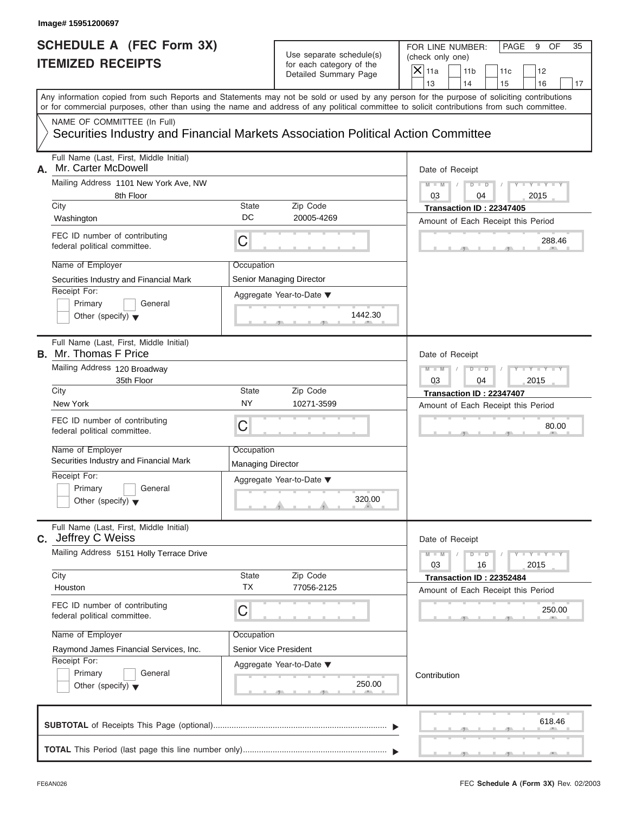|                                             | SCHEDULE A (FEC Form 3X)<br><b>ITEMIZED RECEIPTS</b>                                      |                                        | Use separate schedule(s)<br>for each category of the                                                                                       | (check only one)<br>$\overline{X}$ 11a | FOR LINE NUMBER:<br>PAGE<br>OF<br>35<br>9                                                                                                 |
|---------------------------------------------|-------------------------------------------------------------------------------------------|----------------------------------------|--------------------------------------------------------------------------------------------------------------------------------------------|----------------------------------------|-------------------------------------------------------------------------------------------------------------------------------------------|
|                                             |                                                                                           |                                        | Detailed Summary Page                                                                                                                      | 13                                     | 11 <sub>b</sub><br>12<br>11c<br>14<br>15<br>16<br>17                                                                                      |
|                                             |                                                                                           |                                        | or for commercial purposes, other than using the name and address of any political committee to solicit contributions from such committee. |                                        | Any information copied from such Reports and Statements may not be sold or used by any person for the purpose of soliciting contributions |
|                                             | NAME OF COMMITTEE (In Full)                                                               |                                        | Securities Industry and Financial Markets Association Political Action Committee                                                           |                                        |                                                                                                                                           |
| А.                                          | Full Name (Last, First, Middle Initial)<br>Mr. Carter McDowell                            |                                        |                                                                                                                                            |                                        | Date of Receipt                                                                                                                           |
| City                                        | Mailing Address 1101 New York Ave, NW<br>8th Floor                                        | State                                  | Zip Code                                                                                                                                   | $M - M$ /<br>03                        | $D$ $D$<br>$T - Y = Y - Y$<br>2015<br>04<br>Transaction ID: 22347405                                                                      |
| Washington                                  |                                                                                           | DC                                     | 20005-4269                                                                                                                                 |                                        | Amount of Each Receipt this Period                                                                                                        |
|                                             | FEC ID number of contributing<br>federal political committee.                             | С                                      |                                                                                                                                            |                                        | 288.46                                                                                                                                    |
| Name of Employer<br>Receipt For:<br>Primary | Securities Industry and Financial Mark<br>General<br>Other (specify) $\blacktriangledown$ | Occupation                             | Senior Managing Director<br>Aggregate Year-to-Date ▼<br>1442.30                                                                            |                                        |                                                                                                                                           |
| <b>B.</b> Mr. Thomas F Price                | Full Name (Last, First, Middle Initial)                                                   |                                        |                                                                                                                                            |                                        | Date of Receipt                                                                                                                           |
|                                             | Mailing Address 120 Broadway<br>35th Floor                                                |                                        |                                                                                                                                            | $M - M$<br>03                          | $D - D$<br>$+Y+Y+$<br>04<br>2015                                                                                                          |
| City<br>New York                            |                                                                                           | <b>State</b><br><b>NY</b>              | Zip Code<br>10271-3599                                                                                                                     |                                        | Transaction ID: 22347407<br>Amount of Each Receipt this Period                                                                            |
|                                             | FEC ID number of contributing<br>federal political committee.                             | С                                      |                                                                                                                                            |                                        | 80.00                                                                                                                                     |
| Name of Employer                            | Securities Industry and Financial Mark                                                    | Occupation<br><b>Managing Director</b> |                                                                                                                                            |                                        |                                                                                                                                           |
| Receipt For:<br>Primary                     | General<br>Other (specify) $\blacktriangledown$                                           |                                        | Aggregate Year-to-Date ▼<br>320.00<br><b>All Additions</b>                                                                                 |                                        |                                                                                                                                           |
| C. Jeffrey C Weiss                          | Full Name (Last, First, Middle Initial)                                                   |                                        |                                                                                                                                            |                                        | Date of Receipt                                                                                                                           |
|                                             | Mailing Address 5151 Holly Terrace Drive                                                  |                                        |                                                                                                                                            | $M - M$<br>03                          | $D$ $D$<br>$Y - Y - Y - Y - Y$<br>16<br>2015                                                                                              |
| City<br>Houston                             |                                                                                           | <b>State</b><br><b>TX</b>              | Zip Code<br>77056-2125                                                                                                                     |                                        | Transaction ID: 22352484<br>Amount of Each Receipt this Period                                                                            |
|                                             | FEC ID number of contributing<br>federal political committee.                             | С                                      |                                                                                                                                            |                                        | 250.00                                                                                                                                    |
| Name of Employer                            | Raymond James Financial Services, Inc.                                                    | Occupation<br>Senior Vice President    |                                                                                                                                            |                                        |                                                                                                                                           |
| Receipt For:<br>Primary                     | General<br>Other (specify) $\blacktriangledown$                                           |                                        | Aggregate Year-to-Date ▼<br>250.00                                                                                                         | Contribution                           |                                                                                                                                           |
|                                             |                                                                                           |                                        |                                                                                                                                            |                                        | 618.46                                                                                                                                    |
|                                             |                                                                                           |                                        |                                                                                                                                            |                                        |                                                                                                                                           |

S S S , , .

a.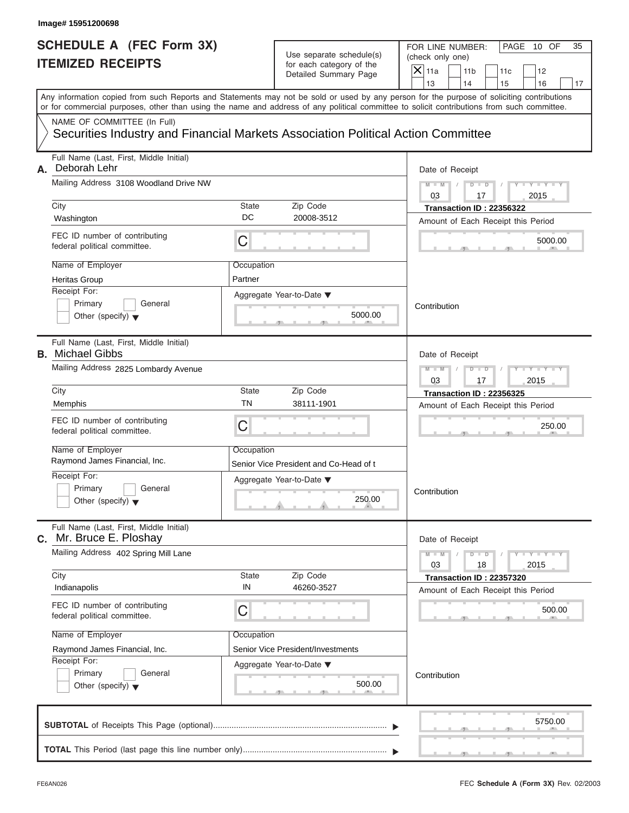# Use separate schedule(s) (check only one)<br>for each category of the  $\Box$

|    | Image# 15951200698                                                                                                                         |                       |                                                                               |                                                                                                                                                                         |
|----|--------------------------------------------------------------------------------------------------------------------------------------------|-----------------------|-------------------------------------------------------------------------------|-------------------------------------------------------------------------------------------------------------------------------------------------------------------------|
|    | <b>SCHEDULE A (FEC Form 3X)</b><br><b>ITEMIZED RECEIPTS</b>                                                                                |                       | Use separate schedule(s)<br>for each category of the<br>Detailed Summary Page | FOR LINE NUMBER:<br>PAGE 10 OF<br>35<br>(check only one)<br>$\mathsf{X}$ 11a<br>11 <sub>b</sub><br>11c<br>12                                                            |
|    | or for commercial purposes, other than using the name and address of any political committee to solicit contributions from such committee. |                       |                                                                               | 13<br>14<br>15<br>16<br>17<br>Any information copied from such Reports and Statements may not be sold or used by any person for the purpose of soliciting contributions |
|    | NAME OF COMMITTEE (In Full)<br>Securities Industry and Financial Markets Association Political Action Committee                            |                       |                                                                               |                                                                                                                                                                         |
| А. | Full Name (Last, First, Middle Initial)<br>Deborah Lehr<br>Mailing Address 3108 Woodland Drive NW<br>City                                  | State                 | Zip Code                                                                      | Date of Receipt<br>$D$ $\Box$ $D$<br>$Y - Y - T$<br>$M - M$<br>03<br>2015<br>17<br>Transaction ID: 22356322                                                             |
|    | Washington                                                                                                                                 | DC                    | 20008-3512                                                                    | Amount of Each Receipt this Period                                                                                                                                      |
|    | FEC ID number of contributing<br>federal political committee.                                                                              | С                     |                                                                               | 5000.00                                                                                                                                                                 |
|    | Name of Employer<br><b>Heritas Group</b><br>Receipt For:<br>Primary<br>General<br>Other (specify) $\blacktriangledown$                     | Occupation<br>Partner | Aggregate Year-to-Date ▼<br>5000.00                                           | Contribution                                                                                                                                                            |
|    | Full Name (Last, First, Middle Initial)<br><b>B.</b> Michael Gibbs<br>Mailing Address 2825 Lombardy Avenue                                 |                       |                                                                               | Date of Receipt<br>Y TYT<br>$M - M$<br>$D$ $D$                                                                                                                          |
|    | City<br>Memphis                                                                                                                            | State<br>ΤN           | Zip Code<br>38111-1901                                                        | 2015<br>03<br>17<br>Transaction ID: 22356325<br>Amount of Each Receipt this Period                                                                                      |
|    | FEC ID number of contributing<br>federal political committee.                                                                              | C                     |                                                                               | 250.00                                                                                                                                                                  |
|    | Name of Employer<br>Raymond James Financial, Inc.                                                                                          | Occupation            | Senior Vice President and Co-Head of t                                        |                                                                                                                                                                         |
|    | Receipt For:<br>Primary<br>General<br>Other (specify) $\blacktriangledown$                                                                 |                       | Aggregate Year-to-Date ▼<br>250.00                                            | Contribution                                                                                                                                                            |
|    | Full Name (Last, First, Middle Initial)<br>C. Mr. Bruce E. Ploshay                                                                         |                       |                                                                               | Date of Receipt                                                                                                                                                         |
|    | Mailing Address 402 Spring Mill Lane                                                                                                       |                       | $M - M$<br>$Y = Y$<br>$D - D$<br>2015<br>03<br>18                             |                                                                                                                                                                         |
|    | City<br>Indianapolis                                                                                                                       | State<br>IN           | Zip Code<br>46260-3527                                                        | Transaction ID: 22357320<br>Amount of Each Receipt this Period                                                                                                          |
|    | FEC ID number of contributing<br>federal political committee.                                                                              | С                     |                                                                               | 500.00                                                                                                                                                                  |
|    | Name of Employer<br>Raymond James Financial, Inc.<br>Receipt For:<br>Primary<br>General<br>Other (specify) $\blacktriangledown$            | Occupation            | Senior Vice President/Investments<br>Aggregate Year-to-Date ▼<br>500.00       | Contribution                                                                                                                                                            |
|    |                                                                                                                                            |                       |                                                                               | 5750.00                                                                                                                                                                 |
|    |                                                                                                                                            |                       |                                                                               |                                                                                                                                                                         |

FEC **Schedule A (Form 3X)** Rev. 02/2003

 $S = \{x_1, x_2, \ldots, x_{n-1}, x_{n-1}, \ldots, x_{n-1}, x_{n-1}, \ldots, x_{n-1}, x_{n-1}, \ldots, x_{n-1}, x_{n-1}, \ldots, x_{n-1}, x_{n-1}, \ldots, x_{n-1}, x_{n-1}, \ldots, x_{n-1}, \ldots, x_{n-1}, \ldots, x_{n-1}, \ldots, x_{n-1}, \ldots, x_{n-1}, \ldots, x_{n-1}, \ldots, x_{n-1}, \ldots, x_{n-1}, \ldots, x_{n-1}, \ldots, x_{n-1}, \ldots, x_{n-1}, \ld$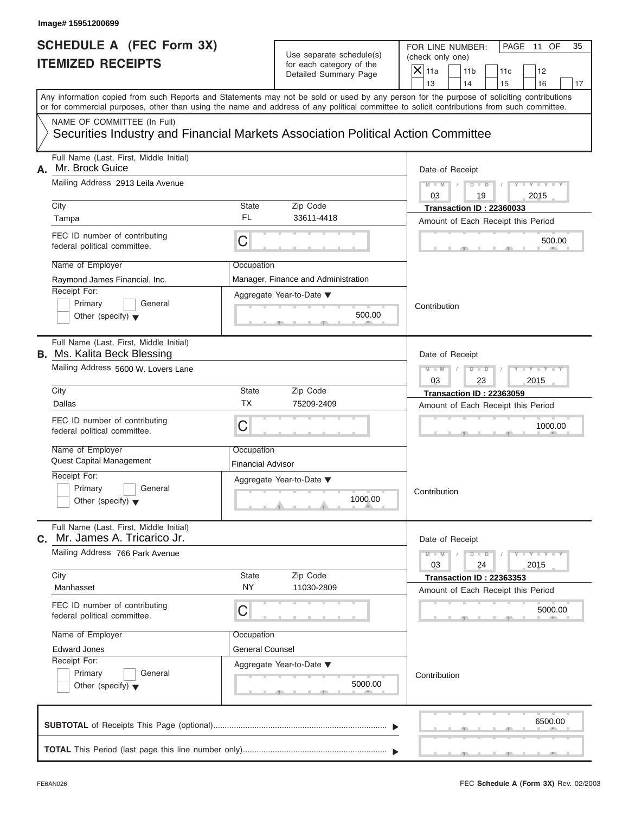# Use separate schedule(s) (check only one)<br>for each category of the  $\Box$

|    | Image# 15951200699                                                                                                                         |                                        |                                                                               |                                                                                                                                                                         |
|----|--------------------------------------------------------------------------------------------------------------------------------------------|----------------------------------------|-------------------------------------------------------------------------------|-------------------------------------------------------------------------------------------------------------------------------------------------------------------------|
|    | <b>SCHEDULE A (FEC Form 3X)</b><br><b>ITEMIZED RECEIPTS</b>                                                                                |                                        | Use separate schedule(s)<br>for each category of the<br>Detailed Summary Page | FOR LINE NUMBER:<br>PAGE 11 OF<br>35<br>(check only one)<br>$\mathsf{X}$ 11a<br>11 <sub>b</sub><br>11c<br>12                                                            |
|    | or for commercial purposes, other than using the name and address of any political committee to solicit contributions from such committee. |                                        |                                                                               | 13<br>14<br>16<br>15<br>17<br>Any information copied from such Reports and Statements may not be sold or used by any person for the purpose of soliciting contributions |
|    | NAME OF COMMITTEE (In Full)<br>Securities Industry and Financial Markets Association Political Action Committee                            |                                        |                                                                               |                                                                                                                                                                         |
| А. | Full Name (Last, First, Middle Initial)<br>Mr. Brock Guice<br>Mailing Address 2913 Leila Avenue                                            |                                        |                                                                               | Date of Receipt<br>$Y - Y - Y - Y - Y$<br>$D$ $D$<br>$M - M$                                                                                                            |
|    | City<br>Tampa                                                                                                                              | State<br>FL                            | Zip Code<br>33611-4418                                                        | 03<br>19<br>2015<br>Transaction ID: 22360033                                                                                                                            |
|    | FEC ID number of contributing<br>federal political committee.                                                                              | С                                      |                                                                               | Amount of Each Receipt this Period<br>500.00                                                                                                                            |
|    | Name of Employer<br>Raymond James Financial, Inc.<br>Receipt For:<br>Primary<br>General<br>Other (specify) $\blacktriangledown$            | Occupation                             | Manager, Finance and Administration<br>Aggregate Year-to-Date ▼<br>500.00     | Contribution                                                                                                                                                            |
|    | Full Name (Last, First, Middle Initial)<br><b>B.</b> Ms. Kalita Beck Blessing<br>Mailing Address 5600 W. Lovers Lane                       |                                        |                                                                               | Date of Receipt<br>Y TYTTY<br>$D$ $D$<br>2015<br>03<br>23                                                                                                               |
|    | City<br>Dallas<br>FEC ID number of contributing<br>federal political committee.                                                            | State<br>ТX<br>С                       | Zip Code<br>75209-2409                                                        | <b>Transaction ID: 22363059</b><br>Amount of Each Receipt this Period<br>1000.00                                                                                        |
|    | Name of Employer<br><b>Quest Capital Management</b><br>Receipt For:                                                                        | Occupation<br><b>Financial Advisor</b> |                                                                               |                                                                                                                                                                         |
|    | Primary<br>General<br>Other (specify) $\blacktriangledown$                                                                                 |                                        | Aggregate Year-to-Date ▼<br>1000.00                                           | Contribution                                                                                                                                                            |
| С. | Full Name (Last, First, Middle Initial)<br>Mr. James A. Tricarico Jr.                                                                      |                                        |                                                                               | Date of Receipt                                                                                                                                                         |
|    | Mailing Address 766 Park Avenue<br>City                                                                                                    | State                                  | Zip Code                                                                      | $Y = Y$<br>$M - M$<br>$D$ $D$<br>2015<br>03<br>24<br><b>Transaction ID: 22363353</b>                                                                                    |
|    | Manhasset<br>FEC ID number of contributing<br>federal political committee.                                                                 | <b>NY</b><br>С                         | 11030-2809                                                                    | Amount of Each Receipt this Period<br>5000.00                                                                                                                           |
|    | Name of Employer<br><b>Edward Jones</b><br>Receipt For:<br>Primary<br>General<br>Other (specify) $\blacktriangledown$                      | Occupation<br><b>General Counsel</b>   | Aggregate Year-to-Date ▼<br>5000.00                                           | Contribution                                                                                                                                                            |
|    |                                                                                                                                            |                                        |                                                                               | 6500.00                                                                                                                                                                 |
|    |                                                                                                                                            |                                        |                                                                               |                                                                                                                                                                         |

S S S , , .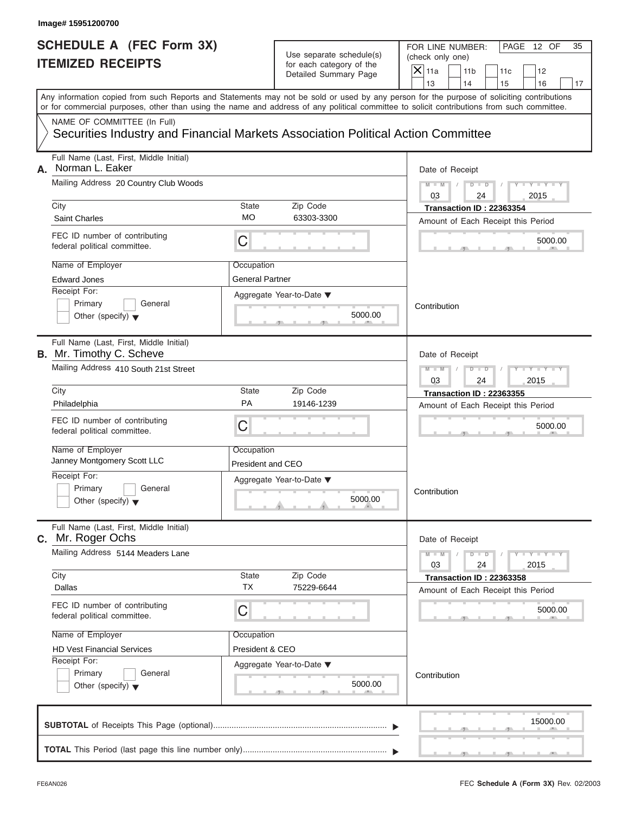#### Use separate schedule(s) (check one) (check one) can category of the for each category of the

|                                                             | Image# 15951200700                                                                                                                         |                                                              |                                                      |                                                                                                                                           |
|-------------------------------------------------------------|--------------------------------------------------------------------------------------------------------------------------------------------|--------------------------------------------------------------|------------------------------------------------------|-------------------------------------------------------------------------------------------------------------------------------------------|
| <b>SCHEDULE A (FEC Form 3X)</b><br><b>ITEMIZED RECEIPTS</b> |                                                                                                                                            |                                                              | Use separate schedule(s)<br>for each category of the | FOR LINE NUMBER:<br>PAGE 12 OF<br>35<br>(check only one)<br>$\overline{X}$ 11a<br>11 <sub>b</sub><br>11c<br>12                            |
|                                                             |                                                                                                                                            |                                                              | Detailed Summary Page                                | 13<br>14<br>15<br>16<br>17                                                                                                                |
|                                                             | or for commercial purposes, other than using the name and address of any political committee to solicit contributions from such committee. |                                                              |                                                      | Any information copied from such Reports and Statements may not be sold or used by any person for the purpose of soliciting contributions |
|                                                             | NAME OF COMMITTEE (In Full)<br>Securities Industry and Financial Markets Association Political Action Committee                            |                                                              |                                                      |                                                                                                                                           |
| А.                                                          | Full Name (Last, First, Middle Initial)<br>Norman L. Eaker                                                                                 |                                                              |                                                      | Date of Receipt                                                                                                                           |
|                                                             | Mailing Address 20 Country Club Woods                                                                                                      | $D$ $\Box$ $D$<br>$Y - Y - Y$<br>$M - M$<br>03<br>2015<br>24 |                                                      |                                                                                                                                           |
|                                                             | City<br><b>Saint Charles</b>                                                                                                               | State<br>МO                                                  | Zip Code<br>63303-3300                               | Transaction ID: 22363354<br>Amount of Each Receipt this Period                                                                            |
|                                                             | FEC ID number of contributing<br>federal political committee.                                                                              | С                                                            |                                                      | 5000.00                                                                                                                                   |
|                                                             | Name of Employer<br><b>Edward Jones</b>                                                                                                    | Occupation<br><b>General Partner</b>                         |                                                      |                                                                                                                                           |
|                                                             | Receipt For:<br>Primary<br>General<br>Other (specify) $\blacktriangledown$                                                                 |                                                              | Aggregate Year-to-Date ▼<br>5000.00                  | Contribution                                                                                                                              |
|                                                             | Full Name (Last, First, Middle Initial)<br><b>B.</b> Mr. Timothy C. Scheve                                                                 |                                                              |                                                      | Date of Receipt                                                                                                                           |
|                                                             | Mailing Address 410 South 21st Street                                                                                                      | Y T Y T Y T<br>$M - M$<br>$D$ $D$<br>2015<br>03<br>24        |                                                      |                                                                                                                                           |
|                                                             | City                                                                                                                                       | State                                                        | Zip Code                                             | <b>Transaction ID: 22363355</b>                                                                                                           |
|                                                             | Philadelphia                                                                                                                               | PA                                                           | 19146-1239                                           | Amount of Each Receipt this Period                                                                                                        |
|                                                             | FEC ID number of contributing<br>federal political committee.                                                                              | С                                                            |                                                      | 5000.00                                                                                                                                   |
|                                                             | Name of Employer<br>Janney Montgomery Scott LLC                                                                                            | Occupation<br>President and CEO                              |                                                      |                                                                                                                                           |
|                                                             | Receipt For:                                                                                                                               |                                                              | Aggregate Year-to-Date ▼                             |                                                                                                                                           |
|                                                             | Primary<br>General<br>Other (specify) $\blacktriangledown$                                                                                 |                                                              | 5000.00                                              | Contribution                                                                                                                              |
|                                                             | Full Name (Last, First, Middle Initial)<br>C. Mr. Roger Ochs                                                                               |                                                              |                                                      | Date of Receipt                                                                                                                           |
|                                                             | Mailing Address 5144 Meaders Lane                                                                                                          |                                                              |                                                      | $Y - Y - I$<br>$M - M$<br>$D$ $D$<br>03<br>2015<br>24                                                                                     |
|                                                             | City<br>Dallas                                                                                                                             | State<br><b>TX</b>                                           | Zip Code<br>75229-6644                               | Transaction ID: 22363358<br>Amount of Each Receipt this Period                                                                            |
|                                                             | FEC ID number of contributing<br>federal political committee.                                                                              | С                                                            |                                                      | 5000.00                                                                                                                                   |
|                                                             | Name of Employer                                                                                                                           | Occupation                                                   |                                                      |                                                                                                                                           |
|                                                             | <b>HD Vest Financial Services</b>                                                                                                          | President & CEO                                              |                                                      |                                                                                                                                           |
|                                                             | Receipt For:<br>Primary<br>General<br>Other (specify) $\blacktriangledown$                                                                 |                                                              | Aggregate Year-to-Date ▼<br>5000.00                  | Contribution                                                                                                                              |
|                                                             |                                                                                                                                            |                                                              |                                                      | 15000.00                                                                                                                                  |
|                                                             |                                                                                                                                            |                                                              |                                                      |                                                                                                                                           |

FEC **Schedule A (Form 3X)** Rev. 02/2003

 $S = \{x_1, x_2, \ldots, x_{n-1}, x_{n-1}, \ldots, x_{n-1}, x_{n-1}, \ldots, x_{n-1}, x_{n-1}, \ldots, x_{n-1}, x_{n-1}, \ldots, x_{n-1}, x_{n-1}, \ldots, x_{n-1}, x_{n-1}, \ldots, x_{n-1}, \ldots, x_{n-1}, \ldots, x_{n-1}, \ldots, x_{n-1}, \ldots, x_{n-1}, \ldots, x_{n-1}, \ldots, x_{n-1}, \ldots, x_{n-1}, \ldots, x_{n-1}, \ldots, x_{n-1}, \ldots, x_{n-1}, \ld$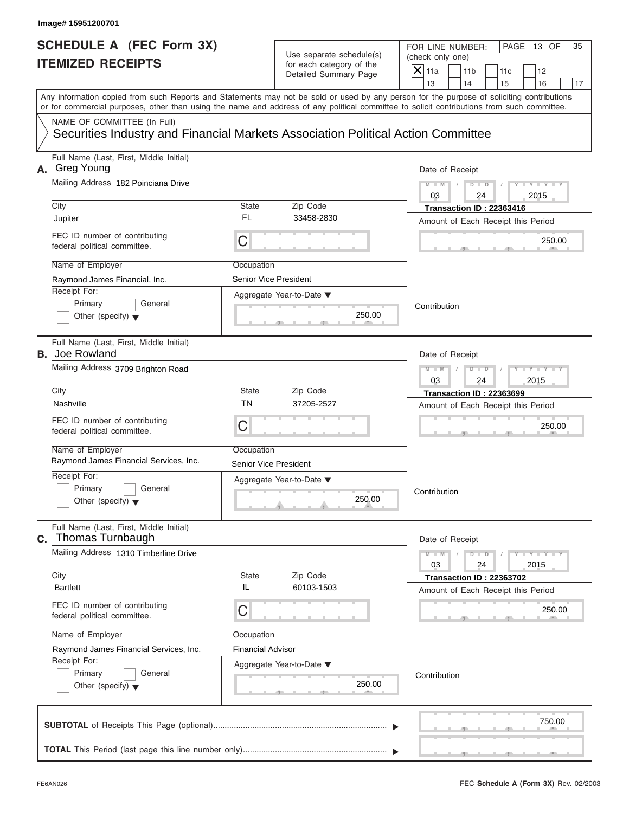# Use separate schedule(s) (check only one)<br>for each category of the  $\Box$

|    | Image# 15951200701                                                               |                              |                                                      |                                                                                                                                                                                                                                                                                         |
|----|----------------------------------------------------------------------------------|------------------------------|------------------------------------------------------|-----------------------------------------------------------------------------------------------------------------------------------------------------------------------------------------------------------------------------------------------------------------------------------------|
|    | <b>SCHEDULE A (FEC Form 3X)</b><br><b>ITEMIZED RECEIPTS</b>                      |                              | Use separate schedule(s)<br>for each category of the | FOR LINE NUMBER:<br>PAGE 13 OF<br>35<br>(check only one)<br>$\mathsf{X}$ 11a<br>11 <sub>b</sub><br>11c<br>12                                                                                                                                                                            |
|    |                                                                                  |                              | Detailed Summary Page                                | 13<br>14<br>15<br>16<br>17                                                                                                                                                                                                                                                              |
|    |                                                                                  |                              |                                                      | Any information copied from such Reports and Statements may not be sold or used by any person for the purpose of soliciting contributions<br>or for commercial purposes, other than using the name and address of any political committee to solicit contributions from such committee. |
|    | NAME OF COMMITTEE (In Full)                                                      |                              |                                                      |                                                                                                                                                                                                                                                                                         |
|    | Securities Industry and Financial Markets Association Political Action Committee |                              |                                                      |                                                                                                                                                                                                                                                                                         |
| А. | Full Name (Last, First, Middle Initial)<br>Greg Young                            |                              |                                                      | Date of Receipt                                                                                                                                                                                                                                                                         |
|    | Mailing Address 182 Poinciana Drive                                              |                              |                                                      | $D$ $D$<br>$Y - Y - Y - Y - Y$<br>$M - M$<br>03<br>2015<br>24                                                                                                                                                                                                                           |
|    | City                                                                             | State                        | Zip Code                                             | Transaction ID: 22363416                                                                                                                                                                                                                                                                |
|    | Jupiter                                                                          | FL                           | 33458-2830                                           | Amount of Each Receipt this Period                                                                                                                                                                                                                                                      |
|    | FEC ID number of contributing<br>federal political committee.                    | C                            |                                                      | 250.00                                                                                                                                                                                                                                                                                  |
|    | Name of Employer                                                                 | Occupation                   |                                                      |                                                                                                                                                                                                                                                                                         |
|    | Raymond James Financial, Inc.                                                    | Senior Vice President        |                                                      |                                                                                                                                                                                                                                                                                         |
|    | Receipt For:                                                                     |                              | Aggregate Year-to-Date ▼                             |                                                                                                                                                                                                                                                                                         |
|    | Primary<br>General<br>Other (specify) $\blacktriangledown$                       |                              | 250.00                                               | Contribution                                                                                                                                                                                                                                                                            |
|    | Full Name (Last, First, Middle Initial)<br><b>B.</b> Joe Rowland                 |                              |                                                      | Date of Receipt                                                                                                                                                                                                                                                                         |
|    | Mailing Address 3709 Brighton Road                                               |                              |                                                      | $Y - Y - Y - Y - I$<br>$M - M$<br>$D$ $D$                                                                                                                                                                                                                                               |
|    |                                                                                  |                              |                                                      | 03<br>2015<br>24                                                                                                                                                                                                                                                                        |
|    | City                                                                             | State                        | Zip Code                                             | <b>Transaction ID: 22363699</b>                                                                                                                                                                                                                                                         |
|    | Nashville                                                                        | <b>TN</b>                    | 37205-2527                                           | Amount of Each Receipt this Period                                                                                                                                                                                                                                                      |
|    | FEC ID number of contributing<br>federal political committee.                    | C                            |                                                      | 250.00                                                                                                                                                                                                                                                                                  |
|    | Name of Employer                                                                 | Occupation                   |                                                      |                                                                                                                                                                                                                                                                                         |
|    | Raymond James Financial Services, Inc.                                           | <b>Senior Vice President</b> |                                                      |                                                                                                                                                                                                                                                                                         |
|    | Receipt For:                                                                     |                              | Aggregate Year-to-Date ▼                             |                                                                                                                                                                                                                                                                                         |
|    | Primary<br>General<br>Other (specify) $\blacktriangledown$                       |                              | 250.00                                               | Contribution                                                                                                                                                                                                                                                                            |
| C. | Full Name (Last, First, Middle Initial)<br>Thomas Turnbaugh                      |                              |                                                      | Date of Receipt                                                                                                                                                                                                                                                                         |
|    | Mailing Address 1310 Timberline Drive                                            |                              |                                                      | Y T Y T<br>$M - M$<br>$D$ $D$<br>2015<br>03<br>24                                                                                                                                                                                                                                       |
|    | City<br><b>Bartlett</b>                                                          | State<br>IL                  | Zip Code<br>60103-1503                               | Transaction ID: 22363702<br>Amount of Each Receipt this Period                                                                                                                                                                                                                          |
|    | FEC ID number of contributing<br>federal political committee.                    | C                            |                                                      | 250.00                                                                                                                                                                                                                                                                                  |
|    | Name of Employer                                                                 | Occupation                   |                                                      |                                                                                                                                                                                                                                                                                         |
|    | Raymond James Financial Services, Inc.                                           | <b>Financial Advisor</b>     |                                                      |                                                                                                                                                                                                                                                                                         |
|    | Receipt For:                                                                     |                              | Aggregate Year-to-Date ▼                             |                                                                                                                                                                                                                                                                                         |
|    | Primary<br>General                                                               |                              | 250.00                                               | Contribution                                                                                                                                                                                                                                                                            |
|    | Other (specify) $\blacktriangledown$                                             |                              |                                                      |                                                                                                                                                                                                                                                                                         |
|    |                                                                                  |                              |                                                      | 750.00                                                                                                                                                                                                                                                                                  |
|    |                                                                                  |                              |                                                      |                                                                                                                                                                                                                                                                                         |

FEC **Schedule A (Form 3X)** Rev. 02/2003

S S S , , .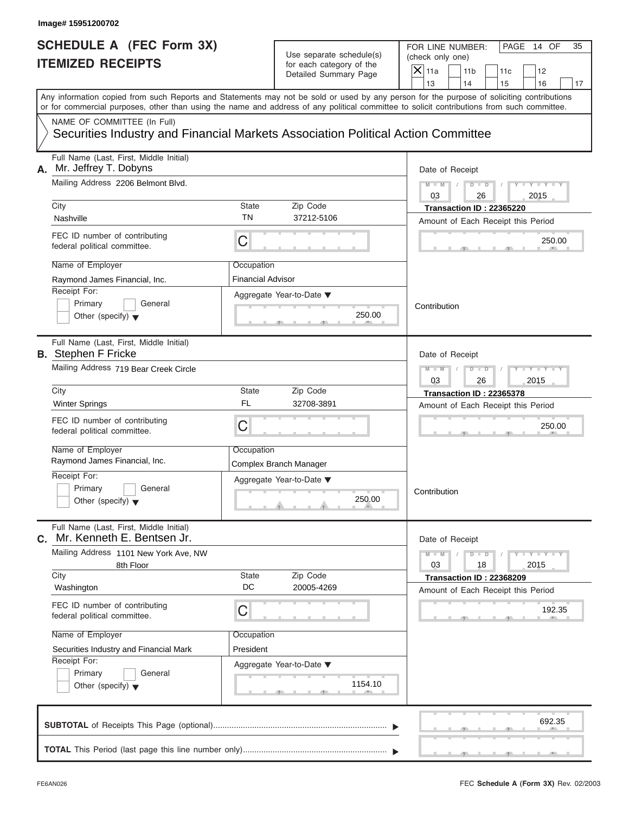#### Use separate schedule(s) for each category of the

|    | Image# 15951200702                                                                                                                         |                                        |                                                                               |                                                                                                                                                                         |
|----|--------------------------------------------------------------------------------------------------------------------------------------------|----------------------------------------|-------------------------------------------------------------------------------|-------------------------------------------------------------------------------------------------------------------------------------------------------------------------|
|    | <b>SCHEDULE A (FEC Form 3X)</b><br><b>ITEMIZED RECEIPTS</b>                                                                                |                                        | Use separate schedule(s)<br>for each category of the<br>Detailed Summary Page | FOR LINE NUMBER:<br>PAGE 14 OF<br>35<br>(check only one)<br>$\mathsf{X} _{\mathsf{11a}}$<br>11 <sub>b</sub><br>11c<br>12                                                |
|    | or for commercial purposes, other than using the name and address of any political committee to solicit contributions from such committee. |                                        |                                                                               | 13<br>14<br>15<br>16<br>17<br>Any information copied from such Reports and Statements may not be sold or used by any person for the purpose of soliciting contributions |
|    | NAME OF COMMITTEE (In Full)<br>Securities Industry and Financial Markets Association Political Action Committee                            |                                        |                                                                               |                                                                                                                                                                         |
| А. | Full Name (Last, First, Middle Initial)<br>Mr. Jeffrey T. Dobyns<br>Mailing Address 2206 Belmont Blvd.                                     |                                        |                                                                               | Date of Receipt<br>$D$ $D$<br>$Y = Y = Y$<br>$M - M$                                                                                                                    |
|    | City<br>Nashville                                                                                                                          | <b>State</b><br>ΤN                     | Zip Code<br>37212-5106                                                        | 03<br>2015<br>26<br>Transaction ID: 22365220                                                                                                                            |
|    | FEC ID number of contributing<br>federal political committee.                                                                              | C                                      |                                                                               | Amount of Each Receipt this Period<br>250.00                                                                                                                            |
|    | Name of Employer<br>Raymond James Financial, Inc.<br>Receipt For:<br>Primary<br>General<br>Other (specify) $\blacktriangledown$            | Occupation<br><b>Financial Advisor</b> | Aggregate Year-to-Date ▼<br>250.00                                            | Contribution                                                                                                                                                            |
|    | Full Name (Last, First, Middle Initial)<br><b>B.</b> Stephen F Fricke<br>Mailing Address 719 Bear Creek Circle                             |                                        |                                                                               | Date of Receipt<br>Y T Y T Y T<br>$D$ $\Box$ $D$<br>$M - M$                                                                                                             |
|    | City<br><b>Winter Springs</b>                                                                                                              | <b>State</b><br><b>FL</b>              | Zip Code<br>32708-3891                                                        | 2015<br>03<br>26<br><b>Transaction ID: 22365378</b><br>Amount of Each Receipt this Period                                                                               |
|    | FEC ID number of contributing<br>federal political committee.                                                                              | C                                      |                                                                               | 250.00                                                                                                                                                                  |
|    | Name of Employer<br>Raymond James Financial, Inc.<br>Receipt For:                                                                          | Occupation                             | Complex Branch Manager                                                        |                                                                                                                                                                         |
|    | Primary<br>General<br>Other (specify) $\blacktriangledown$                                                                                 |                                        | Aggregate Year-to-Date ▼<br>250.00                                            | Contribution                                                                                                                                                            |
| C. | Full Name (Last, First, Middle Initial)<br>Mr. Kenneth E. Bentsen Jr.                                                                      |                                        |                                                                               | Date of Receipt                                                                                                                                                         |
|    | Mailing Address 1101 New York Ave, NW<br>8th Floor<br>City                                                                                 | <b>State</b>                           | Zip Code                                                                      | $Y = Y$<br>$M - M$<br>$D$ $D$<br>2015<br>03<br>18                                                                                                                       |
|    | Washington<br>FEC ID number of contributing                                                                                                | DC                                     | 20005-4269                                                                    | Transaction ID: 22368209<br>Amount of Each Receipt this Period                                                                                                          |
|    | federal political committee.<br>Name of Employer                                                                                           | C<br>Occupation                        |                                                                               | 192.35                                                                                                                                                                  |
|    | Securities Industry and Financial Mark<br>Receipt For:<br>Primary<br>General<br>Other (specify) $\blacktriangledown$                       | President                              | Aggregate Year-to-Date ▼<br>1154.10                                           |                                                                                                                                                                         |
|    |                                                                                                                                            |                                        |                                                                               | 692.35                                                                                                                                                                  |
|    |                                                                                                                                            |                                        |                                                                               |                                                                                                                                                                         |

S S S , , .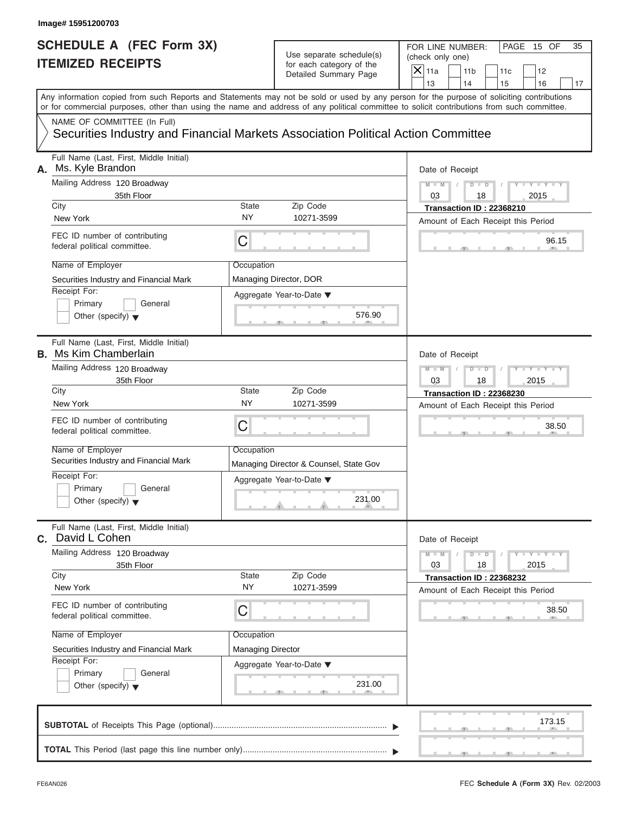| Image# 15951200703                                                                                                                                                                                                                                                                      |                          |                                                                               |                                                                               |                                             |
|-----------------------------------------------------------------------------------------------------------------------------------------------------------------------------------------------------------------------------------------------------------------------------------------|--------------------------|-------------------------------------------------------------------------------|-------------------------------------------------------------------------------|---------------------------------------------|
| <b>SCHEDULE A (FEC Form 3X)</b><br><b>ITEMIZED RECEIPTS</b>                                                                                                                                                                                                                             |                          | Use separate schedule(s)<br>for each category of the<br>Detailed Summary Page | FOR LINE NUMBER:<br>(check only one)<br>$\overline{X}$ 11a<br>11 <sub>b</sub> | PAGE 15 OF<br>35<br>11c<br>12               |
|                                                                                                                                                                                                                                                                                         |                          |                                                                               | 13<br>14                                                                      | 16<br>15<br>17                              |
| Any information copied from such Reports and Statements may not be sold or used by any person for the purpose of soliciting contributions<br>or for commercial purposes, other than using the name and address of any political committee to solicit contributions from such committee. |                          |                                                                               |                                                                               |                                             |
| NAME OF COMMITTEE (In Full)<br>Securities Industry and Financial Markets Association Political Action Committee                                                                                                                                                                         |                          |                                                                               |                                                                               |                                             |
| Full Name (Last, First, Middle Initial)<br>Ms. Kyle Brandon<br>А.                                                                                                                                                                                                                       |                          |                                                                               | Date of Receipt                                                               |                                             |
| Mailing Address 120 Broadway                                                                                                                                                                                                                                                            |                          |                                                                               | $M - M$<br>$D$ $D$                                                            | $Y = Y =$                                   |
| 35th Floor<br>City                                                                                                                                                                                                                                                                      | State                    | Zip Code                                                                      | 03<br>18                                                                      | 2015                                        |
| New York                                                                                                                                                                                                                                                                                | <b>NY</b>                | 10271-3599                                                                    | Transaction ID: 22368210                                                      | Amount of Each Receipt this Period          |
| FEC ID number of contributing<br>federal political committee.                                                                                                                                                                                                                           | С                        |                                                                               |                                                                               | 96.15                                       |
| Name of Employer                                                                                                                                                                                                                                                                        | Occupation               |                                                                               |                                                                               |                                             |
| Securities Industry and Financial Mark                                                                                                                                                                                                                                                  |                          | Managing Director, DOR                                                        |                                                                               |                                             |
| Receipt For:<br>Primary<br>General<br>Other (specify) $\blacktriangledown$                                                                                                                                                                                                              |                          | Aggregate Year-to-Date ▼<br>576.90                                            |                                                                               |                                             |
| Full Name (Last, First, Middle Initial)<br><b>B.</b> Ms Kim Chamberlain                                                                                                                                                                                                                 |                          |                                                                               | Date of Receipt                                                               |                                             |
| Mailing Address 120 Broadway<br>35th Floor                                                                                                                                                                                                                                              |                          |                                                                               | $M - M$<br>$D$ $D$<br>03<br>18                                                | $+$ Y $+$ Y $+$<br>2015                     |
| City                                                                                                                                                                                                                                                                                    | State                    | Zip Code                                                                      | Transaction ID: 22368230                                                      |                                             |
| New York                                                                                                                                                                                                                                                                                | <b>NY</b>                | 10271-3599                                                                    |                                                                               | Amount of Each Receipt this Period          |
| FEC ID number of contributing<br>federal political committee.                                                                                                                                                                                                                           | С                        |                                                                               |                                                                               | 38.50                                       |
| Name of Employer<br>Securities Industry and Financial Mark                                                                                                                                                                                                                              | Occupation               | Managing Director & Counsel, State Gov                                        |                                                                               |                                             |
| Receipt For:<br>Primary<br>General<br>Other (specify) $\blacktriangledown$                                                                                                                                                                                                              |                          | Aggregate Year-to-Date ▼<br>231.00                                            |                                                                               |                                             |
| Full Name (Last, First, Middle Initial)<br>C. David L Cohen                                                                                                                                                                                                                             |                          |                                                                               | Date of Receipt                                                               |                                             |
| Mailing Address 120 Broadway<br>35th Floor                                                                                                                                                                                                                                              |                          |                                                                               | $M - M$<br>$D$ $D$<br>03<br>18                                                | $Y = Y$<br>2015                             |
| City<br>New York                                                                                                                                                                                                                                                                        | State<br><b>NY</b>       | Zip Code<br>10271-3599                                                        | Transaction ID: 22368232                                                      |                                             |
| FEC ID number of contributing<br>federal political committee.                                                                                                                                                                                                                           | С                        |                                                                               |                                                                               | Amount of Each Receipt this Period<br>38.50 |
| Name of Employer                                                                                                                                                                                                                                                                        | Occupation               |                                                                               |                                                                               |                                             |
| Securities Industry and Financial Mark                                                                                                                                                                                                                                                  | <b>Managing Director</b> |                                                                               |                                                                               |                                             |
| Receipt For:<br>Primary<br>General<br>Other (specify) $\blacktriangledown$                                                                                                                                                                                                              |                          | Aggregate Year-to-Date ▼<br>231.00                                            |                                                                               |                                             |
|                                                                                                                                                                                                                                                                                         |                          |                                                                               |                                                                               | 173.15                                      |
|                                                                                                                                                                                                                                                                                         |                          |                                                                               |                                                                               |                                             |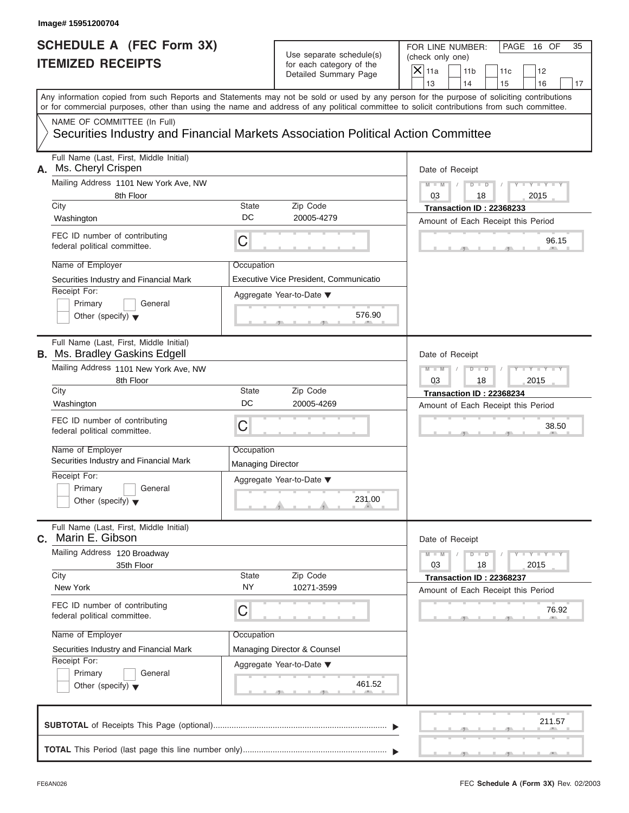| Image# 15951200704                                                                                                                         |                                        |                                                                               |                                                                       |                 |     |                         |    |
|--------------------------------------------------------------------------------------------------------------------------------------------|----------------------------------------|-------------------------------------------------------------------------------|-----------------------------------------------------------------------|-----------------|-----|-------------------------|----|
| <b>SCHEDULE A (FEC Form 3X)</b><br><b>ITEMIZED RECEIPTS</b>                                                                                |                                        | Use separate schedule(s)<br>for each category of the<br>Detailed Summary Page | FOR LINE NUMBER:<br>(check only one)<br>$\mathsf{X}$ 11a              | 11 <sub>b</sub> | 11c | PAGE 16 OF<br>12        | 35 |
| Any information copied from such Reports and Statements may not be sold or used by any person for the purpose of soliciting contributions  |                                        |                                                                               | 13                                                                    | 14              | 15  | 16                      | 17 |
| or for commercial purposes, other than using the name and address of any political committee to solicit contributions from such committee. |                                        |                                                                               |                                                                       |                 |     |                         |    |
| NAME OF COMMITTEE (In Full)<br>Securities Industry and Financial Markets Association Political Action Committee                            |                                        |                                                                               |                                                                       |                 |     |                         |    |
| Full Name (Last, First, Middle Initial)<br>Ms. Cheryl Crispen<br>А.                                                                        |                                        |                                                                               | Date of Receipt                                                       |                 |     |                         |    |
| Mailing Address 1101 New York Ave, NW                                                                                                      |                                        |                                                                               | $M - M$                                                               | $D$ $\Box$ $D$  |     | $Y - Y - Y$             |    |
| 8th Floor<br>City                                                                                                                          | State                                  | Zip Code                                                                      | 03                                                                    | 18              |     | 2015                    |    |
| Washington                                                                                                                                 | DC                                     | 20005-4279                                                                    | Transaction ID: 22368233<br>Amount of Each Receipt this Period        |                 |     |                         |    |
| FEC ID number of contributing<br>federal political committee.                                                                              | C                                      |                                                                               |                                                                       |                 |     | 96.15                   |    |
| Name of Employer                                                                                                                           | Occupation                             |                                                                               |                                                                       |                 |     |                         |    |
| Securities Industry and Financial Mark                                                                                                     |                                        | Executive Vice President, Communicatio                                        |                                                                       |                 |     |                         |    |
| Receipt For:                                                                                                                               |                                        | Aggregate Year-to-Date ▼                                                      |                                                                       |                 |     |                         |    |
| Primary<br>General<br>Other (specify) $\blacktriangledown$                                                                                 |                                        | 576.90                                                                        |                                                                       |                 |     |                         |    |
| Full Name (Last, First, Middle Initial)<br><b>B.</b> Ms. Bradley Gaskins Edgell                                                            |                                        |                                                                               | Date of Receipt                                                       |                 |     |                         |    |
| Mailing Address 1101 New York Ave, NW                                                                                                      | $M - M$                                | $D$ $D$                                                                       |                                                                       | Y T Y T Y T     |     |                         |    |
| 8th Floor<br>City                                                                                                                          | State                                  | Zip Code                                                                      | 03                                                                    | 18              |     | 2015                    |    |
| Washington                                                                                                                                 | DC                                     | 20005-4269                                                                    | <b>Transaction ID: 22368234</b><br>Amount of Each Receipt this Period |                 |     |                         |    |
| FEC ID number of contributing<br>federal political committee.                                                                              | C                                      |                                                                               |                                                                       |                 |     | 38.50                   |    |
| Name of Employer<br>Securities Industry and Financial Mark                                                                                 | Occupation<br><b>Managing Director</b> |                                                                               |                                                                       |                 |     |                         |    |
| Receipt For:                                                                                                                               |                                        | Aggregate Year-to-Date ▼                                                      |                                                                       |                 |     |                         |    |
| Primary<br>General<br>Other (specify) $\blacktriangledown$                                                                                 |                                        | 231.00                                                                        |                                                                       |                 |     |                         |    |
| Full Name (Last, First, Middle Initial)<br>Marin E. Gibson<br>С.                                                                           |                                        |                                                                               | Date of Receipt                                                       |                 |     |                         |    |
| Mailing Address 120 Broadway<br>35th Floor                                                                                                 |                                        |                                                                               | $M - M$<br>03                                                         | $D$ $D$<br>18   |     | $Y + Y + Y + Y$<br>2015 |    |
| City<br>New York                                                                                                                           | <b>State</b><br><b>NY</b>              | Zip Code<br>10271-3599                                                        | Transaction ID: 22368237<br>Amount of Each Receipt this Period        |                 |     |                         |    |
| FEC ID number of contributing<br>federal political committee.                                                                              | С                                      |                                                                               |                                                                       |                 |     | 76.92                   |    |
| Name of Employer                                                                                                                           | Occupation                             |                                                                               |                                                                       |                 |     |                         |    |
| Securities Industry and Financial Mark                                                                                                     |                                        | Managing Director & Counsel                                                   |                                                                       |                 |     |                         |    |
| Receipt For:                                                                                                                               |                                        | Aggregate Year-to-Date ▼                                                      |                                                                       |                 |     |                         |    |
| Primary<br>General<br>Other (specify) $\blacktriangledown$                                                                                 |                                        | 461.52                                                                        |                                                                       |                 |     |                         |    |
|                                                                                                                                            |                                        |                                                                               |                                                                       |                 |     | 211.57                  |    |
|                                                                                                                                            |                                        |                                                                               |                                                                       |                 |     |                         |    |

S S S , , .

a.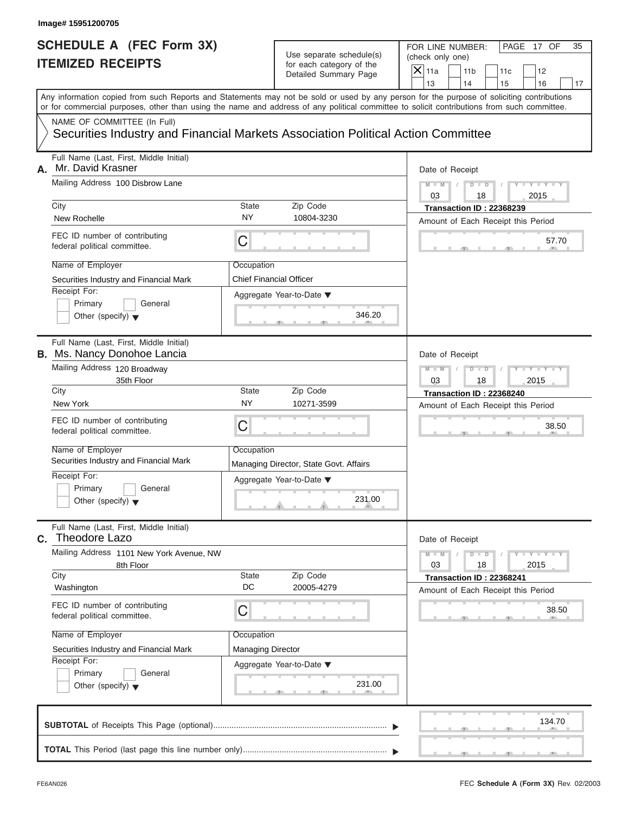#### Use separate schedule(s) (check only one)<br>for each category of the for each category of the

|    | Image# 15951200705                                                                                                                                                                                                                                                                                                                                           |                                                                   |                                                                                                        |                                                                                                                                                                                                          |
|----|--------------------------------------------------------------------------------------------------------------------------------------------------------------------------------------------------------------------------------------------------------------------------------------------------------------------------------------------------------------|-------------------------------------------------------------------|--------------------------------------------------------------------------------------------------------|----------------------------------------------------------------------------------------------------------------------------------------------------------------------------------------------------------|
|    | <b>SCHEDULE A (FEC Form 3X)</b><br><b>ITEMIZED RECEIPTS</b>                                                                                                                                                                                                                                                                                                  |                                                                   | Use separate schedule(s)<br>for each category of the<br>Detailed Summary Page                          | FOR LINE NUMBER:<br>PAGE 17 OF<br>35<br>(check only one)<br>$\mathsf{X}$ 11a<br>11 <sub>b</sub><br>11c<br>12<br>13<br>14<br>15<br>16<br>17                                                               |
|    | or for commercial purposes, other than using the name and address of any political committee to solicit contributions from such committee.                                                                                                                                                                                                                   |                                                                   |                                                                                                        | Any information copied from such Reports and Statements may not be sold or used by any person for the purpose of soliciting contributions                                                                |
|    | NAME OF COMMITTEE (In Full)<br>Securities Industry and Financial Markets Association Political Action Committee                                                                                                                                                                                                                                              |                                                                   |                                                                                                        |                                                                                                                                                                                                          |
| А. | Full Name (Last, First, Middle Initial)<br>Mr. David Krasner<br>Mailing Address 100 Disbrow Lane                                                                                                                                                                                                                                                             |                                                                   |                                                                                                        | Date of Receipt<br>$M - M$<br>$D$ $\Box$ $D$<br>$Y - Y - Y$                                                                                                                                              |
|    | City<br>New Rochelle                                                                                                                                                                                                                                                                                                                                         | State<br><b>NY</b>                                                | Zip Code<br>10804-3230                                                                                 | 03<br>2015<br>18<br>Transaction ID: 22368239<br>Amount of Each Receipt this Period                                                                                                                       |
|    | FEC ID number of contributing<br>federal political committee.                                                                                                                                                                                                                                                                                                | C                                                                 |                                                                                                        | 57.70                                                                                                                                                                                                    |
|    | Name of Employer<br>Securities Industry and Financial Mark<br>Receipt For:<br>Primary<br>General<br>Other (specify) $\blacktriangledown$                                                                                                                                                                                                                     | Occupation<br>Chief Financial Officer                             | Aggregate Year-to-Date ▼<br>346.20                                                                     |                                                                                                                                                                                                          |
|    | Full Name (Last, First, Middle Initial)<br><b>B.</b> Ms. Nancy Donohoe Lancia<br>Mailing Address 120 Broadway<br>35th Floor<br>City<br>New York<br>FEC ID number of contributing<br>federal political committee.<br>Name of Employer<br>Securities Industry and Financial Mark<br>Receipt For:<br>Primary<br>General<br>Other (specify) $\blacktriangledown$ | State<br><b>NY</b><br>C<br>Occupation                             | Zip Code<br>10271-3599<br>Managing Director, State Govt. Affairs<br>Aggregate Year-to-Date ▼<br>231.00 | Date of Receipt<br>Y T Y T Y T<br>$M - M$<br>$D$ $D$<br>2015<br>03<br>18<br>Transaction ID: 22368240<br>Amount of Each Receipt this Period<br>38.50                                                      |
| С. | Full Name (Last, First, Middle Initial)<br>Theodore Lazo<br>Mailing Address 1101 New York Avenue, NW<br>8th Floor<br>City<br>Washington<br>FEC ID number of contributing<br>federal political committee.<br>Name of Employer<br>Securities Industry and Financial Mark<br>Receipt For:<br>Primary<br>General<br>Other (specify) $\blacktriangledown$         | <b>State</b><br>DC<br>С<br>Occupation<br><b>Managing Director</b> | Zip Code<br>20005-4279<br>Aggregate Year-to-Date ▼<br>231.00                                           | Date of Receipt<br>$M - M$<br>$\mathbf{I} = \mathbf{Y} - \mathbf{I} - \mathbf{Y} - \mathbf{I}$<br>$D$ $D$<br>2015<br>03<br>18<br>Transaction ID: 22368241<br>Amount of Each Receipt this Period<br>38.50 |
|    |                                                                                                                                                                                                                                                                                                                                                              |                                                                   |                                                                                                        | 134.70                                                                                                                                                                                                   |
|    |                                                                                                                                                                                                                                                                                                                                                              |                                                                   |                                                                                                        |                                                                                                                                                                                                          |

 $\mathcal{T}$  s s  $\mathcal{T}$  , and  $\mathcal{T}$  , .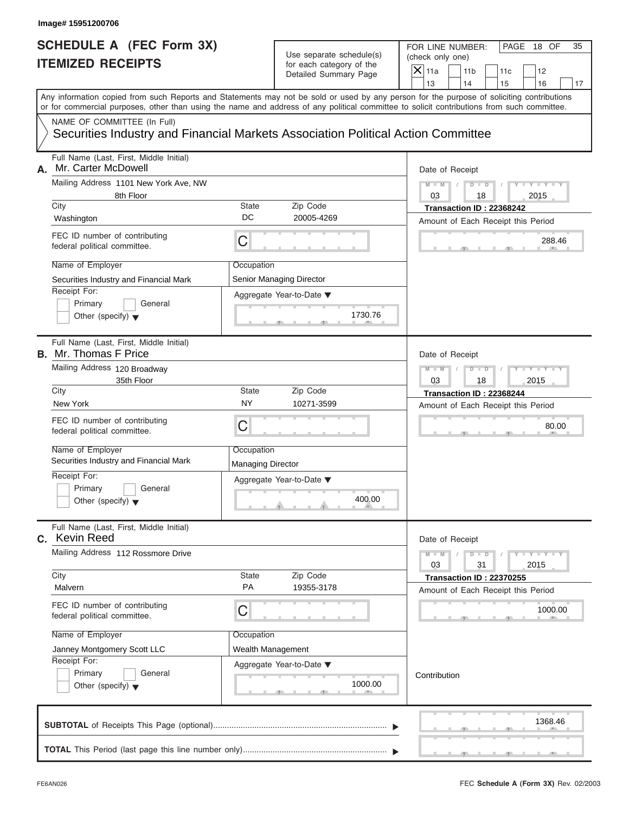| <b>SCHEDULE A (FEC Form 3X)</b><br>Use separate schedule(s)<br><b>ITEMIZED RECEIPTS</b><br>for each category of the<br>Detailed Summary Page<br>NAME OF COMMITTEE (In Full)<br>Securities Industry and Financial Markets Association Political Action Committee<br>Full Name (Last, First, Middle Initial)<br>Mr. Carter McDowell<br>Mailing Address 1101 New York Ave, NW | FOR LINE NUMBER:<br>PAGE 18 OF<br>35<br>(check only one)<br>$\mathsf{X}$ 11a<br>11 <sub>b</sub><br>11c<br>12<br>13<br>14<br>15<br>16<br>17<br>Date of Receipt<br>$D - D$<br>$Y - Y - Y - Y - Y$<br>$M - M$<br>03<br>2015<br>18 |
|----------------------------------------------------------------------------------------------------------------------------------------------------------------------------------------------------------------------------------------------------------------------------------------------------------------------------------------------------------------------------|--------------------------------------------------------------------------------------------------------------------------------------------------------------------------------------------------------------------------------|
| Any information copied from such Reports and Statements may not be sold or used by any person for the purpose of soliciting contributions<br>or for commercial purposes, other than using the name and address of any political committee to solicit contributions from such committee.<br>А.                                                                              |                                                                                                                                                                                                                                |
|                                                                                                                                                                                                                                                                                                                                                                            |                                                                                                                                                                                                                                |
|                                                                                                                                                                                                                                                                                                                                                                            |                                                                                                                                                                                                                                |
|                                                                                                                                                                                                                                                                                                                                                                            |                                                                                                                                                                                                                                |
|                                                                                                                                                                                                                                                                                                                                                                            |                                                                                                                                                                                                                                |
|                                                                                                                                                                                                                                                                                                                                                                            |                                                                                                                                                                                                                                |
| 8th Floor<br>City<br><b>State</b><br>Zip Code                                                                                                                                                                                                                                                                                                                              |                                                                                                                                                                                                                                |
| DC<br>20005-4269<br>Washington                                                                                                                                                                                                                                                                                                                                             | Transaction ID: 22368242<br>Amount of Each Receipt this Period                                                                                                                                                                 |
| FEC ID number of contributing<br>$\mathsf C$<br>federal political committee.                                                                                                                                                                                                                                                                                               | 288.46                                                                                                                                                                                                                         |
| Name of Employer<br>Occupation                                                                                                                                                                                                                                                                                                                                             |                                                                                                                                                                                                                                |
| Senior Managing Director<br>Securities Industry and Financial Mark                                                                                                                                                                                                                                                                                                         |                                                                                                                                                                                                                                |
| Receipt For:<br>Aggregate Year-to-Date ▼<br>Primary<br>General<br>1730.76<br>Other (specify) $\blacktriangledown$                                                                                                                                                                                                                                                          |                                                                                                                                                                                                                                |
| Full Name (Last, First, Middle Initial)<br><b>B.</b> Mr. Thomas F Price                                                                                                                                                                                                                                                                                                    | Date of Receipt                                                                                                                                                                                                                |
| Mailing Address 120 Broadway                                                                                                                                                                                                                                                                                                                                               | $D - I$<br>$Y - Y - Y - Y - Y$<br>$M - M$                                                                                                                                                                                      |
| 35th Floor<br>City<br><b>State</b><br>Zip Code                                                                                                                                                                                                                                                                                                                             | 2015<br>03<br>18                                                                                                                                                                                                               |
| <b>NY</b><br>New York<br>10271-3599                                                                                                                                                                                                                                                                                                                                        | Transaction ID: 22368244<br>Amount of Each Receipt this Period                                                                                                                                                                 |
| FEC ID number of contributing<br>C<br>federal political committee.                                                                                                                                                                                                                                                                                                         | 80.00                                                                                                                                                                                                                          |
| Name of Employer<br>Occupation<br>Securities Industry and Financial Mark<br><b>Managing Director</b>                                                                                                                                                                                                                                                                       |                                                                                                                                                                                                                                |
| Receipt For:<br>Aggregate Year-to-Date ▼<br>Primary<br>General<br>400.00<br>Other (specify) $\blacktriangledown$                                                                                                                                                                                                                                                           |                                                                                                                                                                                                                                |
| Full Name (Last, First, Middle Initial)<br>C. Kevin Reed                                                                                                                                                                                                                                                                                                                   | Date of Receipt                                                                                                                                                                                                                |
| Mailing Address 112 Rossmore Drive                                                                                                                                                                                                                                                                                                                                         | $M - M$<br>$D$ $\Box$ $D$<br>$T - Y = T - Y = T - Y$<br>2015<br>03<br>31                                                                                                                                                       |
| City<br>State<br>Zip Code<br>PA<br>Malvern<br>19355-3178                                                                                                                                                                                                                                                                                                                   | Transaction ID: 22370255                                                                                                                                                                                                       |
| FEC ID number of contributing<br>С<br>federal political committee.                                                                                                                                                                                                                                                                                                         | Amount of Each Receipt this Period<br>1000.00                                                                                                                                                                                  |
|                                                                                                                                                                                                                                                                                                                                                                            |                                                                                                                                                                                                                                |
| Name of Employer<br>Occupation                                                                                                                                                                                                                                                                                                                                             |                                                                                                                                                                                                                                |
| Janney Montgomery Scott LLC<br>Wealth Management<br>Receipt For:                                                                                                                                                                                                                                                                                                           |                                                                                                                                                                                                                                |
| Aggregate Year-to-Date ▼<br>Primary<br>General<br>1000.00<br>Other (specify) $\blacktriangledown$                                                                                                                                                                                                                                                                          | Contribution                                                                                                                                                                                                                   |
|                                                                                                                                                                                                                                                                                                                                                                            | 1368.46                                                                                                                                                                                                                        |
|                                                                                                                                                                                                                                                                                                                                                                            |                                                                                                                                                                                                                                |

S S S , , .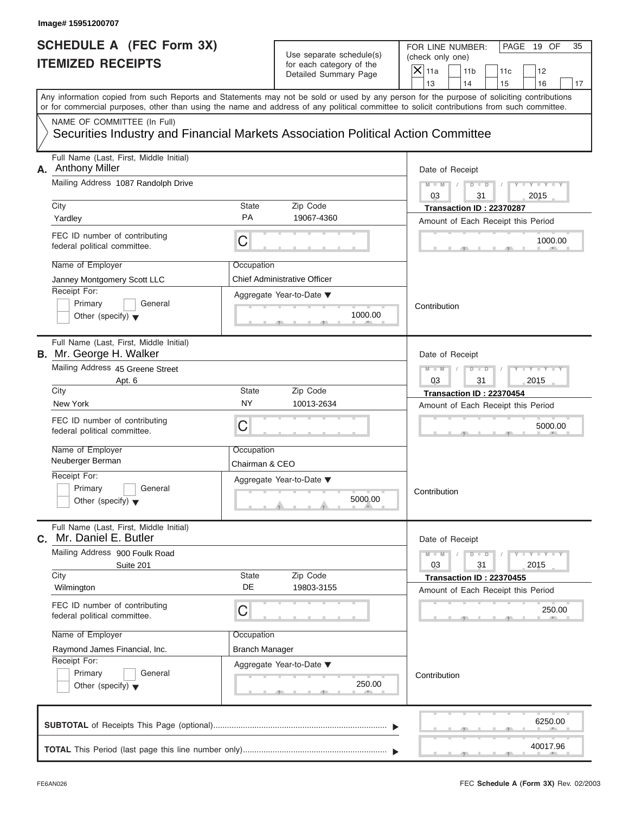# Use separate schedule(s) (check only one)<br>for each category of the  $\Box$

|    | Image# 15951200707                                                                                                                         |                              |                                                                               |                                                                                                                                           |
|----|--------------------------------------------------------------------------------------------------------------------------------------------|------------------------------|-------------------------------------------------------------------------------|-------------------------------------------------------------------------------------------------------------------------------------------|
|    | <b>SCHEDULE A (FEC Form 3X)</b><br><b>ITEMIZED RECEIPTS</b>                                                                                |                              | Use separate schedule(s)<br>for each category of the<br>Detailed Summary Page | FOR LINE NUMBER:<br>PAGE 19 OF<br>35<br>(check only one)<br>$\mathsf{X}$ 11a<br>11 <sub>b</sub><br>11c<br>12                              |
|    |                                                                                                                                            |                              |                                                                               | 13<br>14<br>16<br>15<br>17                                                                                                                |
|    | or for commercial purposes, other than using the name and address of any political committee to solicit contributions from such committee. |                              |                                                                               | Any information copied from such Reports and Statements may not be sold or used by any person for the purpose of soliciting contributions |
|    | NAME OF COMMITTEE (In Full)<br>Securities Industry and Financial Markets Association Political Action Committee                            |                              |                                                                               |                                                                                                                                           |
| А. | Full Name (Last, First, Middle Initial)<br><b>Anthony Miller</b>                                                                           |                              |                                                                               | Date of Receipt                                                                                                                           |
|    | Mailing Address 1087 Randolph Drive                                                                                                        |                              |                                                                               | $Y - Y - Y - Y - Y$<br>$D$ $D$<br>$M - M$<br>03<br>2015<br>31                                                                             |
|    | City<br>Yardley                                                                                                                            | State<br><b>PA</b>           | Zip Code<br>19067-4360                                                        | Transaction ID: 22370287                                                                                                                  |
|    | FEC ID number of contributing<br>federal political committee.                                                                              | С                            |                                                                               | Amount of Each Receipt this Period<br>1000.00                                                                                             |
|    | Name of Employer<br>Janney Montgomery Scott LLC<br>Receipt For:                                                                            | Occupation                   | <b>Chief Administrative Officer</b>                                           |                                                                                                                                           |
|    | Primary<br>General<br>Other (specify) $\blacktriangledown$                                                                                 |                              | Aggregate Year-to-Date ▼<br>1000.00                                           | Contribution                                                                                                                              |
|    | Full Name (Last, First, Middle Initial)<br><b>B.</b> Mr. George H. Walker                                                                  |                              |                                                                               | Date of Receipt                                                                                                                           |
|    | Mailing Address 45 Greene Street<br>Apt. 6                                                                                                 |                              |                                                                               | $Y - Y - Y - Y - Y$<br>$D$ $D$<br>2015<br>03<br>31                                                                                        |
|    | City                                                                                                                                       | State                        | Zip Code                                                                      | Transaction ID: 22370454                                                                                                                  |
|    | New York                                                                                                                                   | <b>NY</b>                    | 10013-2634                                                                    | Amount of Each Receipt this Period                                                                                                        |
|    | FEC ID number of contributing<br>federal political committee.                                                                              | С                            |                                                                               | 5000.00                                                                                                                                   |
|    | Name of Employer<br>Neuberger Berman                                                                                                       | Occupation<br>Chairman & CEO |                                                                               |                                                                                                                                           |
|    | Receipt For:<br>Primary<br>General<br>Other (specify) $\blacktriangledown$                                                                 |                              | Aggregate Year-to-Date ▼<br>5000.00                                           | Contribution                                                                                                                              |
| С. | Full Name (Last, First, Middle Initial)<br>Mr. Daniel E. Butler                                                                            |                              |                                                                               | Date of Receipt                                                                                                                           |
|    | Mailing Address 900 Foulk Road<br>Suite 201                                                                                                |                              |                                                                               | $Y = Y$<br>$M - M$<br>$D$ $D$<br>2015<br>03<br>31                                                                                         |
|    | City<br>Wilmington                                                                                                                         | State<br>DE                  | Zip Code<br>19803-3155                                                        | Transaction ID: 22370455<br>Amount of Each Receipt this Period                                                                            |
|    | FEC ID number of contributing<br>federal political committee.                                                                              | С                            |                                                                               | 250.00                                                                                                                                    |
|    | Name of Employer                                                                                                                           | Occupation                   |                                                                               |                                                                                                                                           |
|    | Raymond James Financial, Inc.<br>Receipt For:                                                                                              | <b>Branch Manager</b>        |                                                                               |                                                                                                                                           |
|    | Primary<br>General<br>Other (specify) $\blacktriangledown$                                                                                 |                              | Aggregate Year-to-Date ▼<br>250.00                                            | Contribution                                                                                                                              |
|    |                                                                                                                                            |                              |                                                                               | 6250.00                                                                                                                                   |
|    |                                                                                                                                            |                              |                                                                               | 40017.96                                                                                                                                  |

FEC **Schedule A (Form 3X)** Rev. 02/2003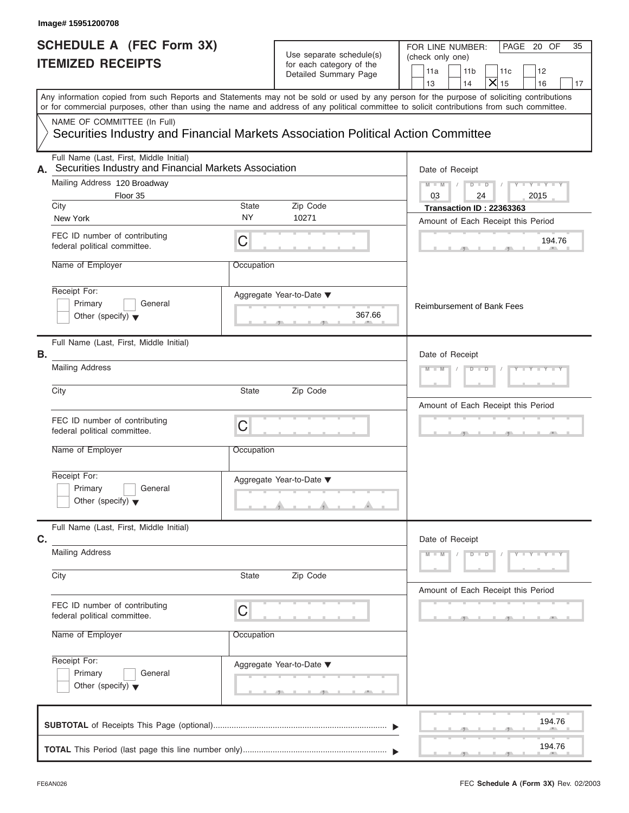|      | Image# 15951200708                                                                                              |            |                                                                               |                                                                                                                                                                                                                                                                                         |
|------|-----------------------------------------------------------------------------------------------------------------|------------|-------------------------------------------------------------------------------|-----------------------------------------------------------------------------------------------------------------------------------------------------------------------------------------------------------------------------------------------------------------------------------------|
|      | <b>SCHEDULE A (FEC Form 3X)</b><br><b>ITEMIZED RECEIPTS</b>                                                     |            | Use separate schedule(s)<br>for each category of the<br>Detailed Summary Page | PAGE 20 OF<br>FOR LINE NUMBER:<br>35<br>(check only one)<br>11a<br>11 <sub>b</sub><br>11c<br>12<br>$\overline{\mathsf{x}}$<br>13<br>14<br>15<br>16<br>17                                                                                                                                |
|      |                                                                                                                 |            |                                                                               | Any information copied from such Reports and Statements may not be sold or used by any person for the purpose of soliciting contributions<br>or for commercial purposes, other than using the name and address of any political committee to solicit contributions from such committee. |
|      | NAME OF COMMITTEE (In Full)<br>Securities Industry and Financial Markets Association Political Action Committee |            |                                                                               |                                                                                                                                                                                                                                                                                         |
| А.   | Full Name (Last, First, Middle Initial)<br>Securities Industry and Financial Markets Association                |            |                                                                               | Date of Receipt                                                                                                                                                                                                                                                                         |
|      | Mailing Address 120 Broadway                                                                                    |            |                                                                               | $Y - Y - Y - Y - Y$<br>$M - M$<br>$D$ $D$                                                                                                                                                                                                                                               |
| City | Floor 35                                                                                                        | State      | Zip Code                                                                      | 03<br>24<br>2015                                                                                                                                                                                                                                                                        |
|      | New York                                                                                                        | <b>NY</b>  | 10271                                                                         | <b>Transaction ID: 22363363</b><br>Amount of Each Receipt this Period                                                                                                                                                                                                                   |
|      | FEC ID number of contributing<br>federal political committee.                                                   | C          |                                                                               | 194.76                                                                                                                                                                                                                                                                                  |
|      | Name of Employer                                                                                                | Occupation |                                                                               |                                                                                                                                                                                                                                                                                         |
|      | Receipt For:<br>Primary<br>General<br>Other (specify) $\blacktriangledown$                                      |            | Aggregate Year-to-Date ▼<br>367.66                                            | <b>Reimbursement of Bank Fees</b>                                                                                                                                                                                                                                                       |
| В.   | Full Name (Last, First, Middle Initial)                                                                         |            |                                                                               | Date of Receipt                                                                                                                                                                                                                                                                         |
|      | <b>Mailing Address</b>                                                                                          |            |                                                                               | $Y = Y = Y' - Y'$<br>$M - M$<br>$D - D$                                                                                                                                                                                                                                                 |
| City |                                                                                                                 | State      | Zip Code                                                                      | Amount of Each Receipt this Period                                                                                                                                                                                                                                                      |
|      | FEC ID number of contributing<br>federal political committee.                                                   | C          |                                                                               | $-1$                                                                                                                                                                                                                                                                                    |
|      | Name of Employer                                                                                                | Occupation |                                                                               |                                                                                                                                                                                                                                                                                         |
|      | Receipt For:<br>Primary<br>General<br>Other (specify) $\blacktriangledown$                                      |            | Aggregate Year-to-Date ▼                                                      |                                                                                                                                                                                                                                                                                         |
| C.   | Full Name (Last, First, Middle Initial)                                                                         |            |                                                                               | Date of Receipt                                                                                                                                                                                                                                                                         |
|      | <b>Mailing Address</b>                                                                                          |            |                                                                               | $M - M$<br>$D$ $\Box$ $D$<br>$Y - Y - Y - Y$                                                                                                                                                                                                                                            |
| City |                                                                                                                 | State      | Zip Code                                                                      | Amount of Each Receipt this Period                                                                                                                                                                                                                                                      |
|      | FEC ID number of contributing<br>federal political committee.                                                   | C          |                                                                               |                                                                                                                                                                                                                                                                                         |
|      | Name of Employer                                                                                                | Occupation |                                                                               |                                                                                                                                                                                                                                                                                         |
|      | Receipt For:<br>Primary<br>General                                                                              |            | Aggregate Year-to-Date ▼                                                      |                                                                                                                                                                                                                                                                                         |
|      | Other (specify) $\blacktriangledown$                                                                            |            |                                                                               |                                                                                                                                                                                                                                                                                         |
|      |                                                                                                                 |            |                                                                               | 194.76                                                                                                                                                                                                                                                                                  |
|      |                                                                                                                 |            |                                                                               | 194.76                                                                                                                                                                                                                                                                                  |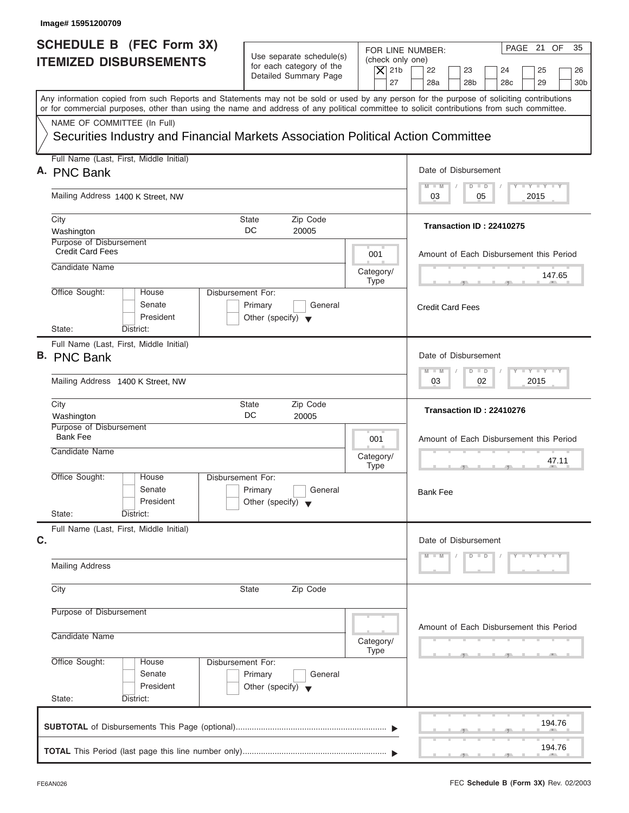| PAGE 21 OF<br>FOR LINE NUMBER:<br>Use separate schedule(s)<br>(check only one)<br>for each category of the<br>$\overline{X}$ 21b<br>22<br>23<br>24<br>25<br>Detailed Summary Page<br>27<br>28a<br>28 <sub>b</sub><br>29<br>28 <sub>c</sub><br>Any information copied from such Reports and Statements may not be sold or used by any person for the purpose of soliciting contributions<br>or for commercial purposes, other than using the name and address of any political committee to solicit contributions from such committee.<br>NAME OF COMMITTEE (In Full)<br>Securities Industry and Financial Markets Association Political Action Committee<br>Full Name (Last, First, Middle Initial)<br>Date of Disbursement<br>$T - Y = T - Y = T - Y$<br>$D$ $D$<br>$M - M$<br>Mailing Address 1400 K Street, NW<br>2015<br>03<br>05<br>City<br>State<br>Zip Code<br>Transaction ID: 22410275<br>DC<br>Washington<br>20005<br>Purpose of Disbursement<br><b>Credit Card Fees</b><br>001<br>Amount of Each Disbursement this Period<br>Candidate Name<br>Category/<br>147.65<br><b>Type</b><br>Office Sought:<br>Disbursement For:<br>House<br>Senate<br>Primary<br>General<br><b>Credit Card Fees</b><br>President<br>Other (specify) $\blacktriangledown$<br>State:<br>District:<br>Full Name (Last, First, Middle Initial)<br>Date of Disbursement<br><b>LEYTEY LEY</b><br>$M - M$<br>$D$ $D$<br>02<br>2015<br>Mailing Address 1400 K Street, NW<br>03<br>City<br>Zip Code<br>State<br>Transaction ID: 22410276<br>DC<br>Washington<br>20005<br>Purpose of Disbursement<br><b>Bank Fee</b><br>001<br>Amount of Each Disbursement this Period<br>Candidate Name<br>Category/<br>47.11<br><b>Type</b><br>$\overline{1}$<br>$7^{\circ}$<br>Office Sought:<br>House<br>Disbursement For:<br>Senate<br>Primary<br>General<br><b>Bank Fee</b><br>President<br>Other (specify) $\blacktriangledown$<br>State:<br>District:<br>Full Name (Last, First, Middle Initial)<br>Date of Disbursement<br>$D$ $D$<br>$Y - Y - Y - Y - Y$<br>$M - M$<br><b>Mailing Address</b><br>Zip Code<br>City<br><b>State</b><br>Purpose of Disbursement<br>Amount of Each Disbursement this Period<br>Candidate Name<br>Category/<br>Type<br>Office Sought:<br>Disbursement For:<br>House<br>Senate<br>Primary<br>General<br>President<br>Other (specify) $\blacktriangledown$<br>State:<br>District:<br>194.76<br>194.76 | Image# 15951200709                                               |  |                             |  |  |
|---------------------------------------------------------------------------------------------------------------------------------------------------------------------------------------------------------------------------------------------------------------------------------------------------------------------------------------------------------------------------------------------------------------------------------------------------------------------------------------------------------------------------------------------------------------------------------------------------------------------------------------------------------------------------------------------------------------------------------------------------------------------------------------------------------------------------------------------------------------------------------------------------------------------------------------------------------------------------------------------------------------------------------------------------------------------------------------------------------------------------------------------------------------------------------------------------------------------------------------------------------------------------------------------------------------------------------------------------------------------------------------------------------------------------------------------------------------------------------------------------------------------------------------------------------------------------------------------------------------------------------------------------------------------------------------------------------------------------------------------------------------------------------------------------------------------------------------------------------------------------------------------------------------------------------------------------------------------------------------------------------------------------------------------------------------------------------------------------------------------------------------------------------------------------------------------------------------------------------------------------------------------------------------------------------------------------------------------------------------------------------------------------|------------------------------------------------------------------|--|-----------------------------|--|--|
|                                                                                                                                                                                                                                                                                                                                                                                                                                                                                                                                                                                                                                                                                                                                                                                                                                                                                                                                                                                                                                                                                                                                                                                                                                                                                                                                                                                                                                                                                                                                                                                                                                                                                                                                                                                                                                                                                                                                                                                                                                                                                                                                                                                                                                                                                                                                                                                                   | <b>SCHEDULE B (FEC Form 3X)</b><br><b>ITEMIZED DISBURSEMENTS</b> |  | 35<br>26<br>30 <sub>b</sub> |  |  |
|                                                                                                                                                                                                                                                                                                                                                                                                                                                                                                                                                                                                                                                                                                                                                                                                                                                                                                                                                                                                                                                                                                                                                                                                                                                                                                                                                                                                                                                                                                                                                                                                                                                                                                                                                                                                                                                                                                                                                                                                                                                                                                                                                                                                                                                                                                                                                                                                   |                                                                  |  |                             |  |  |
|                                                                                                                                                                                                                                                                                                                                                                                                                                                                                                                                                                                                                                                                                                                                                                                                                                                                                                                                                                                                                                                                                                                                                                                                                                                                                                                                                                                                                                                                                                                                                                                                                                                                                                                                                                                                                                                                                                                                                                                                                                                                                                                                                                                                                                                                                                                                                                                                   |                                                                  |  |                             |  |  |
|                                                                                                                                                                                                                                                                                                                                                                                                                                                                                                                                                                                                                                                                                                                                                                                                                                                                                                                                                                                                                                                                                                                                                                                                                                                                                                                                                                                                                                                                                                                                                                                                                                                                                                                                                                                                                                                                                                                                                                                                                                                                                                                                                                                                                                                                                                                                                                                                   | A. PNC Bank                                                      |  |                             |  |  |
|                                                                                                                                                                                                                                                                                                                                                                                                                                                                                                                                                                                                                                                                                                                                                                                                                                                                                                                                                                                                                                                                                                                                                                                                                                                                                                                                                                                                                                                                                                                                                                                                                                                                                                                                                                                                                                                                                                                                                                                                                                                                                                                                                                                                                                                                                                                                                                                                   |                                                                  |  |                             |  |  |
|                                                                                                                                                                                                                                                                                                                                                                                                                                                                                                                                                                                                                                                                                                                                                                                                                                                                                                                                                                                                                                                                                                                                                                                                                                                                                                                                                                                                                                                                                                                                                                                                                                                                                                                                                                                                                                                                                                                                                                                                                                                                                                                                                                                                                                                                                                                                                                                                   |                                                                  |  |                             |  |  |
|                                                                                                                                                                                                                                                                                                                                                                                                                                                                                                                                                                                                                                                                                                                                                                                                                                                                                                                                                                                                                                                                                                                                                                                                                                                                                                                                                                                                                                                                                                                                                                                                                                                                                                                                                                                                                                                                                                                                                                                                                                                                                                                                                                                                                                                                                                                                                                                                   |                                                                  |  |                             |  |  |
|                                                                                                                                                                                                                                                                                                                                                                                                                                                                                                                                                                                                                                                                                                                                                                                                                                                                                                                                                                                                                                                                                                                                                                                                                                                                                                                                                                                                                                                                                                                                                                                                                                                                                                                                                                                                                                                                                                                                                                                                                                                                                                                                                                                                                                                                                                                                                                                                   |                                                                  |  |                             |  |  |
|                                                                                                                                                                                                                                                                                                                                                                                                                                                                                                                                                                                                                                                                                                                                                                                                                                                                                                                                                                                                                                                                                                                                                                                                                                                                                                                                                                                                                                                                                                                                                                                                                                                                                                                                                                                                                                                                                                                                                                                                                                                                                                                                                                                                                                                                                                                                                                                                   |                                                                  |  |                             |  |  |
|                                                                                                                                                                                                                                                                                                                                                                                                                                                                                                                                                                                                                                                                                                                                                                                                                                                                                                                                                                                                                                                                                                                                                                                                                                                                                                                                                                                                                                                                                                                                                                                                                                                                                                                                                                                                                                                                                                                                                                                                                                                                                                                                                                                                                                                                                                                                                                                                   | <b>B. PNC Bank</b>                                               |  |                             |  |  |
|                                                                                                                                                                                                                                                                                                                                                                                                                                                                                                                                                                                                                                                                                                                                                                                                                                                                                                                                                                                                                                                                                                                                                                                                                                                                                                                                                                                                                                                                                                                                                                                                                                                                                                                                                                                                                                                                                                                                                                                                                                                                                                                                                                                                                                                                                                                                                                                                   |                                                                  |  |                             |  |  |
|                                                                                                                                                                                                                                                                                                                                                                                                                                                                                                                                                                                                                                                                                                                                                                                                                                                                                                                                                                                                                                                                                                                                                                                                                                                                                                                                                                                                                                                                                                                                                                                                                                                                                                                                                                                                                                                                                                                                                                                                                                                                                                                                                                                                                                                                                                                                                                                                   |                                                                  |  |                             |  |  |
|                                                                                                                                                                                                                                                                                                                                                                                                                                                                                                                                                                                                                                                                                                                                                                                                                                                                                                                                                                                                                                                                                                                                                                                                                                                                                                                                                                                                                                                                                                                                                                                                                                                                                                                                                                                                                                                                                                                                                                                                                                                                                                                                                                                                                                                                                                                                                                                                   |                                                                  |  |                             |  |  |
|                                                                                                                                                                                                                                                                                                                                                                                                                                                                                                                                                                                                                                                                                                                                                                                                                                                                                                                                                                                                                                                                                                                                                                                                                                                                                                                                                                                                                                                                                                                                                                                                                                                                                                                                                                                                                                                                                                                                                                                                                                                                                                                                                                                                                                                                                                                                                                                                   |                                                                  |  |                             |  |  |
|                                                                                                                                                                                                                                                                                                                                                                                                                                                                                                                                                                                                                                                                                                                                                                                                                                                                                                                                                                                                                                                                                                                                                                                                                                                                                                                                                                                                                                                                                                                                                                                                                                                                                                                                                                                                                                                                                                                                                                                                                                                                                                                                                                                                                                                                                                                                                                                                   | C.                                                               |  |                             |  |  |
|                                                                                                                                                                                                                                                                                                                                                                                                                                                                                                                                                                                                                                                                                                                                                                                                                                                                                                                                                                                                                                                                                                                                                                                                                                                                                                                                                                                                                                                                                                                                                                                                                                                                                                                                                                                                                                                                                                                                                                                                                                                                                                                                                                                                                                                                                                                                                                                                   |                                                                  |  |                             |  |  |
|                                                                                                                                                                                                                                                                                                                                                                                                                                                                                                                                                                                                                                                                                                                                                                                                                                                                                                                                                                                                                                                                                                                                                                                                                                                                                                                                                                                                                                                                                                                                                                                                                                                                                                                                                                                                                                                                                                                                                                                                                                                                                                                                                                                                                                                                                                                                                                                                   |                                                                  |  |                             |  |  |
|                                                                                                                                                                                                                                                                                                                                                                                                                                                                                                                                                                                                                                                                                                                                                                                                                                                                                                                                                                                                                                                                                                                                                                                                                                                                                                                                                                                                                                                                                                                                                                                                                                                                                                                                                                                                                                                                                                                                                                                                                                                                                                                                                                                                                                                                                                                                                                                                   |                                                                  |  |                             |  |  |
|                                                                                                                                                                                                                                                                                                                                                                                                                                                                                                                                                                                                                                                                                                                                                                                                                                                                                                                                                                                                                                                                                                                                                                                                                                                                                                                                                                                                                                                                                                                                                                                                                                                                                                                                                                                                                                                                                                                                                                                                                                                                                                                                                                                                                                                                                                                                                                                                   |                                                                  |  |                             |  |  |
|                                                                                                                                                                                                                                                                                                                                                                                                                                                                                                                                                                                                                                                                                                                                                                                                                                                                                                                                                                                                                                                                                                                                                                                                                                                                                                                                                                                                                                                                                                                                                                                                                                                                                                                                                                                                                                                                                                                                                                                                                                                                                                                                                                                                                                                                                                                                                                                                   |                                                                  |  |                             |  |  |
|                                                                                                                                                                                                                                                                                                                                                                                                                                                                                                                                                                                                                                                                                                                                                                                                                                                                                                                                                                                                                                                                                                                                                                                                                                                                                                                                                                                                                                                                                                                                                                                                                                                                                                                                                                                                                                                                                                                                                                                                                                                                                                                                                                                                                                                                                                                                                                                                   |                                                                  |  |                             |  |  |
|                                                                                                                                                                                                                                                                                                                                                                                                                                                                                                                                                                                                                                                                                                                                                                                                                                                                                                                                                                                                                                                                                                                                                                                                                                                                                                                                                                                                                                                                                                                                                                                                                                                                                                                                                                                                                                                                                                                                                                                                                                                                                                                                                                                                                                                                                                                                                                                                   |                                                                  |  |                             |  |  |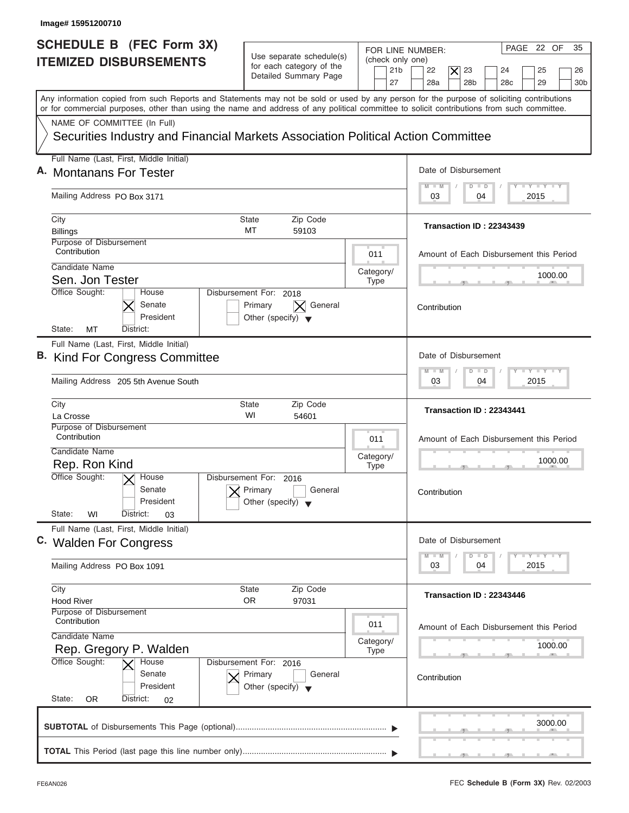| Image# 15951200710                                                                                              |                                                                                      |                                                                                                                                                                                                                                                                                         |
|-----------------------------------------------------------------------------------------------------------------|--------------------------------------------------------------------------------------|-----------------------------------------------------------------------------------------------------------------------------------------------------------------------------------------------------------------------------------------------------------------------------------------|
| SCHEDULE B (FEC Form 3X)<br><b>ITEMIZED DISBURSEMENTS</b>                                                       | Use separate schedule(s)<br>for each category of the<br>Detailed Summary Page        | PAGE 22 OF<br>35<br>FOR LINE NUMBER:<br>(check only one)<br>23<br>21 <sub>b</sub><br>22<br>$\times$<br>24<br>25<br>26<br>27<br>28a<br>28 <sub>b</sub><br>28 <sub>c</sub><br>29<br>30 <sub>b</sub>                                                                                       |
|                                                                                                                 |                                                                                      | Any information copied from such Reports and Statements may not be sold or used by any person for the purpose of soliciting contributions<br>or for commercial purposes, other than using the name and address of any political committee to solicit contributions from such committee. |
| NAME OF COMMITTEE (In Full)<br>Securities Industry and Financial Markets Association Political Action Committee |                                                                                      |                                                                                                                                                                                                                                                                                         |
| Full Name (Last, First, Middle Initial)                                                                         |                                                                                      |                                                                                                                                                                                                                                                                                         |
| A. Montanans For Tester                                                                                         |                                                                                      | Date of Disbursement<br>$T - Y = T - Y = T - Y$<br>$M - M$<br>$D$ $D$                                                                                                                                                                                                                   |
| Mailing Address PO Box 3171                                                                                     |                                                                                      | 2015<br>03<br>04                                                                                                                                                                                                                                                                        |
| City<br><b>Billings</b>                                                                                         | Zip Code<br>State<br>MT<br>59103                                                     | Transaction ID: 22343439                                                                                                                                                                                                                                                                |
| Purpose of Disbursement<br>Contribution                                                                         | 011                                                                                  | Amount of Each Disbursement this Period                                                                                                                                                                                                                                                 |
| Candidate Name                                                                                                  | Category/                                                                            | 1000.00                                                                                                                                                                                                                                                                                 |
| Sen. Jon Tester<br>Office Sought:<br>House                                                                      | <b>Type</b><br>Disbursement For: 2018                                                |                                                                                                                                                                                                                                                                                         |
| Senate<br>President                                                                                             | General<br>Primary<br>Other (specify) $\blacktriangledown$                           | Contribution                                                                                                                                                                                                                                                                            |
| State:<br>MT<br>District:                                                                                       |                                                                                      |                                                                                                                                                                                                                                                                                         |
| Full Name (Last, First, Middle Initial)<br>B. Kind For Congress Committee                                       |                                                                                      | Date of Disbursement<br>$-1 - Y - 1 - Y - 1 - Y$                                                                                                                                                                                                                                        |
| Mailing Address 205 5th Avenue South                                                                            | $M - M$<br>$D$ $D$<br>2015<br>03<br>04                                               |                                                                                                                                                                                                                                                                                         |
| City<br>La Crosse                                                                                               | <b>State</b><br>Zip Code<br>WI<br>54601                                              | Transaction ID: 22343441                                                                                                                                                                                                                                                                |
| Purpose of Disbursement<br>Contribution                                                                         | 011                                                                                  | Amount of Each Disbursement this Period                                                                                                                                                                                                                                                 |
| Candidate Name<br>Rep. Ron Kind                                                                                 | Category/                                                                            | 1000.00                                                                                                                                                                                                                                                                                 |
| Office Sought:<br>$\overline{X}$ House<br>Senate<br>President                                                   | <b>Type</b><br>Disbursement For: 2016<br>Primary<br>General<br>Other (specify)       | $-5$<br>Contribution                                                                                                                                                                                                                                                                    |
| State:<br>WI<br>District:<br>03<br>Full Name (Last, First, Middle Initial)                                      |                                                                                      |                                                                                                                                                                                                                                                                                         |
| C. Walden For Congress                                                                                          |                                                                                      | Date of Disbursement<br>$T - Y$ $T - Y$<br>$M - M$<br>D<br>$\Box$                                                                                                                                                                                                                       |
| Mailing Address PO Box 1091                                                                                     |                                                                                      | 2015<br>03<br>04                                                                                                                                                                                                                                                                        |
| City<br><b>Hood River</b>                                                                                       | Zip Code<br><b>State</b><br>OR.<br>97031                                             | Transaction ID: 22343446                                                                                                                                                                                                                                                                |
| Purpose of Disbursement<br>Contribution                                                                         | 011                                                                                  | Amount of Each Disbursement this Period                                                                                                                                                                                                                                                 |
| Candidate Name<br>Rep. Gregory P. Walden                                                                        | Category/<br><b>Type</b>                                                             | 1000.00                                                                                                                                                                                                                                                                                 |
| Office Sought:<br>House<br>Senate<br>President                                                                  | Disbursement For: 2016<br>Primary<br>General<br>Other (specify) $\blacktriangledown$ | Contribution                                                                                                                                                                                                                                                                            |
| State:<br>0R<br>District:<br>02                                                                                 |                                                                                      |                                                                                                                                                                                                                                                                                         |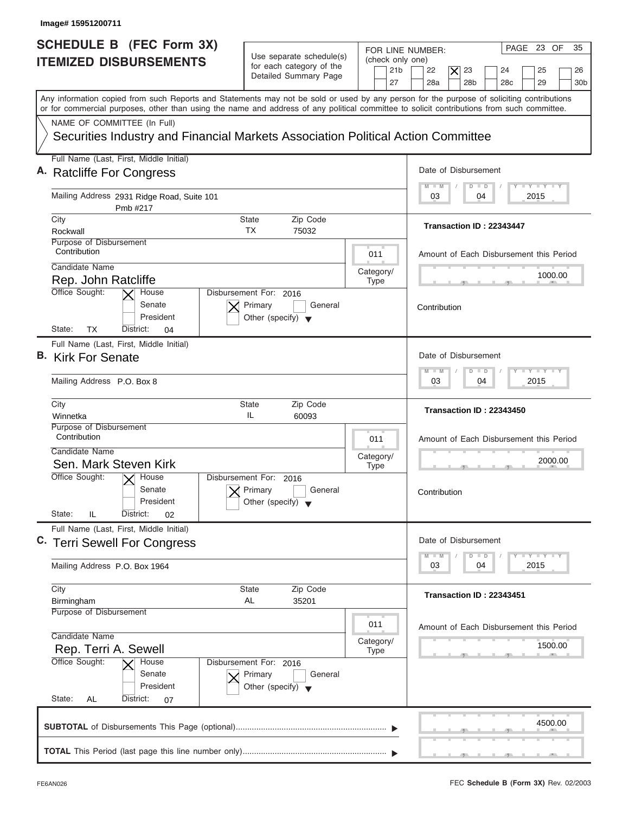| Image# 15951200711                                                                                                                                                                                                                                                                                                     |                                                                                                                            |                                                                                                                                                      |
|------------------------------------------------------------------------------------------------------------------------------------------------------------------------------------------------------------------------------------------------------------------------------------------------------------------------|----------------------------------------------------------------------------------------------------------------------------|------------------------------------------------------------------------------------------------------------------------------------------------------|
| <b>SCHEDULE B (FEC Form 3X)</b><br><b>ITEMIZED DISBURSEMENTS</b>                                                                                                                                                                                                                                                       | Use separate schedule(s)<br>(check only one)<br>for each category of the<br>21 <sub>b</sub><br>Detailed Summary Page<br>27 | PAGE 23 OF<br>35<br>FOR LINE NUMBER:<br>23<br>22<br>$\times$<br>24<br>25<br>26<br>28a<br>28 <sub>b</sub><br>28 <sub>c</sub><br>29<br>30 <sub>b</sub> |
| Any information copied from such Reports and Statements may not be sold or used by any person for the purpose of soliciting contributions<br>or for commercial purposes, other than using the name and address of any political committee to solicit contributions from such committee.<br>NAME OF COMMITTEE (In Full) |                                                                                                                            |                                                                                                                                                      |
| Securities Industry and Financial Markets Association Political Action Committee                                                                                                                                                                                                                                       |                                                                                                                            |                                                                                                                                                      |
| Full Name (Last, First, Middle Initial)<br>A. Ratcliffe For Congress                                                                                                                                                                                                                                                   |                                                                                                                            | Date of Disbursement                                                                                                                                 |
| Mailing Address 2931 Ridge Road, Suite 101<br>Pmb #217                                                                                                                                                                                                                                                                 |                                                                                                                            | $T - Y = T - Y = T - Y$<br>$M$ $M$<br>$D$ $D$<br>2015<br>03<br>04                                                                                    |
| City<br>Rockwall<br>Purpose of Disbursement                                                                                                                                                                                                                                                                            | Zip Code<br>State<br><b>TX</b><br>75032                                                                                    | Transaction ID: 22343447                                                                                                                             |
| Contribution<br>Candidate Name<br>Rep. John Ratcliffe                                                                                                                                                                                                                                                                  | 011<br>Category/<br><b>Type</b>                                                                                            | Amount of Each Disbursement this Period<br>1000.00                                                                                                   |
| Office Sought:<br>House<br>Senate<br>President<br>State:<br><b>TX</b><br>District:<br>04                                                                                                                                                                                                                               | Disbursement For: 2016<br>Primary<br>General<br>Other (specify) $\blacktriangledown$                                       | Contribution                                                                                                                                         |
| Full Name (Last, First, Middle Initial)<br>B. Kirk For Senate<br>Mailing Address P.O. Box 8                                                                                                                                                                                                                            |                                                                                                                            | Date of Disbursement<br>$-1 - Y - 1 - Y - 1 - Y$<br>$M - M$<br>$D$ $D$<br>2015<br>03<br>04                                                           |
| City<br>Winnetka                                                                                                                                                                                                                                                                                                       | <b>State</b><br>Zip Code<br>IL<br>60093                                                                                    | Transaction ID: 22343450                                                                                                                             |
| Purpose of Disbursement<br>Contribution<br>Candidate Name<br>Sen. Mark Steven Kirk                                                                                                                                                                                                                                     | 011<br>Category/<br><b>Type</b>                                                                                            | Amount of Each Disbursement this Period<br>2000.00<br>__                                                                                             |
| Office Sought:<br>$\times$ House<br>Senate<br>President<br>State:<br>IL<br>District:<br>02                                                                                                                                                                                                                             | Disbursement For: 2016<br>Primary<br>General<br>Other (specify) $\blacktriangledown$                                       | Contribution                                                                                                                                         |
| Full Name (Last, First, Middle Initial)<br>C. Terri Sewell For Congress                                                                                                                                                                                                                                                |                                                                                                                            | Date of Disbursement<br>$T - Y$ $T - Y$ $T - Y$<br>$M - M$<br>D<br>$\Box$                                                                            |
| Mailing Address P.O. Box 1964                                                                                                                                                                                                                                                                                          |                                                                                                                            | 2015<br>03<br>04                                                                                                                                     |
| City<br>Birmingham<br><b>Purpose of Disbursement</b>                                                                                                                                                                                                                                                                   | <b>State</b><br>Zip Code<br>AL<br>35201<br>011                                                                             | Transaction ID: 22343451                                                                                                                             |
| Candidate Name<br>Rep. Terri A. Sewell<br>Office Sought:<br>House                                                                                                                                                                                                                                                      | Category/<br><b>Type</b><br>Disbursement For: 2016                                                                         | Amount of Each Disbursement this Period<br>1500.00                                                                                                   |
| Senate<br>President<br>State:<br>AL<br>District:<br>07                                                                                                                                                                                                                                                                 | Primary<br>General<br>Other (specify) $\blacktriangledown$                                                                 |                                                                                                                                                      |
|                                                                                                                                                                                                                                                                                                                        |                                                                                                                            | 4500.00                                                                                                                                              |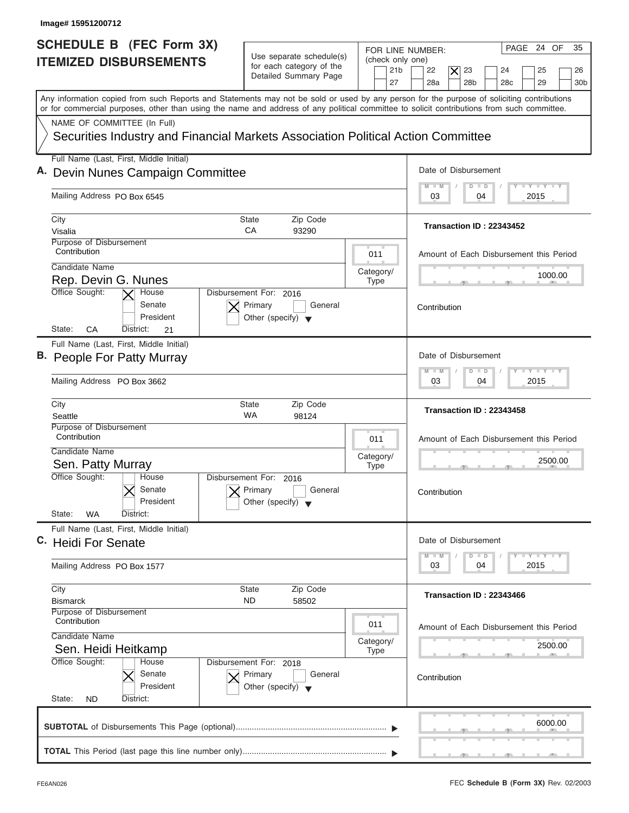| SCHEDULE B (FEC Form 3X)                                                                                                                                                                                                                                                                |                                                                                      |                                                                                                                                                                                                                       |
|-----------------------------------------------------------------------------------------------------------------------------------------------------------------------------------------------------------------------------------------------------------------------------------------|--------------------------------------------------------------------------------------|-----------------------------------------------------------------------------------------------------------------------------------------------------------------------------------------------------------------------|
| <b>ITEMIZED DISBURSEMENTS</b>                                                                                                                                                                                                                                                           | Use separate schedule(s)<br>for each category of the<br>Detailed Summary Page        | PAGE 24 OF<br>35<br>FOR LINE NUMBER:<br>(check only one)<br>21 <sub>b</sub><br>22<br>$\overline{\bm{\mathsf{x}}}$<br>23<br>24<br>25<br>26<br>28a<br>28 <sub>b</sub><br>29<br>27<br>28 <sub>c</sub><br>30 <sub>b</sub> |
| Any information copied from such Reports and Statements may not be sold or used by any person for the purpose of soliciting contributions<br>or for commercial purposes, other than using the name and address of any political committee to solicit contributions from such committee. |                                                                                      |                                                                                                                                                                                                                       |
| NAME OF COMMITTEE (In Full)<br>Securities Industry and Financial Markets Association Political Action Committee                                                                                                                                                                         |                                                                                      |                                                                                                                                                                                                                       |
| Full Name (Last, First, Middle Initial)<br>A. Devin Nunes Campaign Committee                                                                                                                                                                                                            |                                                                                      | Date of Disbursement                                                                                                                                                                                                  |
| Mailing Address PO Box 6545                                                                                                                                                                                                                                                             | $T - Y = T - Y = T - Y$<br>$\blacksquare$ M<br>$D$ $D$<br>2015<br>03<br>04           |                                                                                                                                                                                                                       |
| City<br><b>State</b><br>CA<br>Visalia<br>Purpose of Disbursement                                                                                                                                                                                                                        | Zip Code<br>93290                                                                    | Transaction ID: 22343452                                                                                                                                                                                              |
| Contribution<br>Candidate Name<br>Rep. Devin G. Nunes                                                                                                                                                                                                                                   | 011<br>Category/<br><b>Type</b>                                                      | Amount of Each Disbursement this Period<br>1000.00                                                                                                                                                                    |
| Office Sought:<br>House<br>Senate<br>President<br>СA<br>State:<br>District:<br>21                                                                                                                                                                                                       | Disbursement For: 2016<br>Primary<br>General<br>Other (specify) $\blacktriangledown$ | Contribution                                                                                                                                                                                                          |
| Full Name (Last, First, Middle Initial)<br>B. People For Patty Murray                                                                                                                                                                                                                   |                                                                                      | Date of Disbursement<br>$-Y - Y - Y - Y$<br>M<br>W<br>$\overline{D}$<br>$\blacksquare$                                                                                                                                |
| Mailing Address PO Box 3662<br>City<br><b>State</b><br><b>WA</b><br>Seattle                                                                                                                                                                                                             | Zip Code<br>98124                                                                    | 2015<br>03<br>04<br>Transaction ID: 22343458                                                                                                                                                                          |
| Purpose of Disbursement<br>Contribution<br>Candidate Name<br>Sen. Patty Murray<br>Office Sought:<br>House<br>Senate                                                                                                                                                                     | 011<br>Category/<br><b>Type</b><br>Disbursement For: 2016<br>Primary<br>General      | Amount of Each Disbursement this Period<br>2500.00<br>Contribution                                                                                                                                                    |
| President<br>State:<br>WA<br>District:                                                                                                                                                                                                                                                  | Other (specify) $\blacktriangledown$                                                 |                                                                                                                                                                                                                       |
| Full Name (Last, First, Middle Initial)<br>C. Heidi For Senate<br>Mailing Address PO Box 1577                                                                                                                                                                                           |                                                                                      | Date of Disbursement<br>$T - Y$ $T - Y$ $T - Y$<br>$M - M$<br>D<br>$\Box$<br>2015<br>03<br>04                                                                                                                         |
| City<br><b>State</b><br><b>ND</b><br><b>Bismarck</b><br><b>Purpose of Disbursement</b><br>Contribution                                                                                                                                                                                  | Zip Code<br>58502                                                                    | Transaction ID: 22343466                                                                                                                                                                                              |
| Candidate Name<br>Sen. Heidi Heitkamp<br>Office Sought:<br>House                                                                                                                                                                                                                        | 011<br>Category/<br><b>Type</b><br>Disbursement For: 2018                            | Amount of Each Disbursement this Period<br>2500.00                                                                                                                                                                    |
| Senate<br>President                                                                                                                                                                                                                                                                     | Primary<br>General<br>Other (specify) $\blacktriangledown$                           | Contribution                                                                                                                                                                                                          |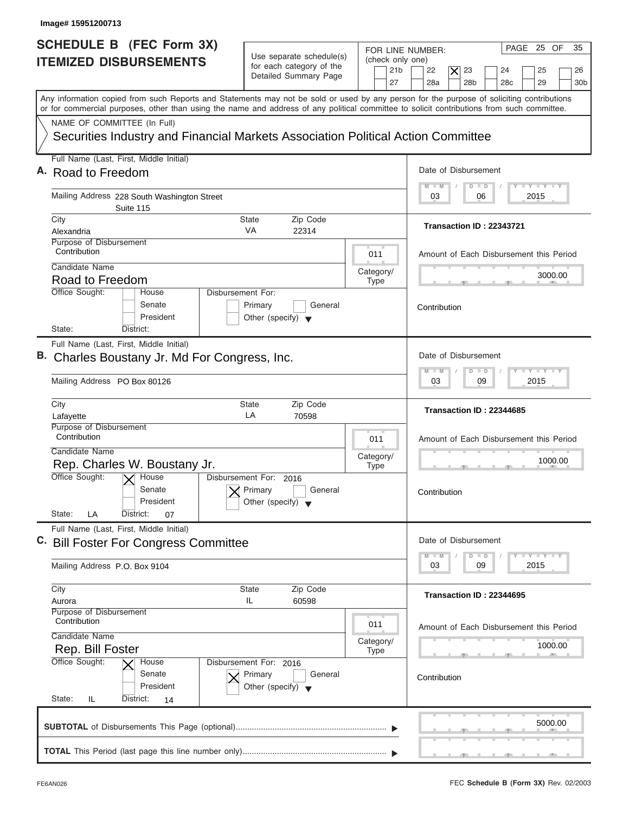| Image# 15951200713                                                                                                                                                                                                                                                                      |                                                                                      |                                                               |                                                                                                                           |
|-----------------------------------------------------------------------------------------------------------------------------------------------------------------------------------------------------------------------------------------------------------------------------------------|--------------------------------------------------------------------------------------|---------------------------------------------------------------|---------------------------------------------------------------------------------------------------------------------------|
| <b>SCHEDULE B (FEC Form 3X)</b><br><b>ITEMIZED DISBURSEMENTS</b>                                                                                                                                                                                                                        | Use separate schedule(s)<br>for each category of the<br>Detailed Summary Page        | FOR LINE NUMBER:<br>(check only one)<br>21 <sub>b</sub><br>27 | PAGE 25 OF<br>35<br>22<br>23<br>25<br>X<br>24<br>26<br>28a<br>28 <sub>b</sub><br>29<br>28 <sub>c</sub><br>30 <sub>b</sub> |
| Any information copied from such Reports and Statements may not be sold or used by any person for the purpose of soliciting contributions<br>or for commercial purposes, other than using the name and address of any political committee to solicit contributions from such committee. |                                                                                      |                                                               |                                                                                                                           |
| NAME OF COMMITTEE (In Full)                                                                                                                                                                                                                                                             |                                                                                      |                                                               |                                                                                                                           |
| Securities Industry and Financial Markets Association Political Action Committee                                                                                                                                                                                                        |                                                                                      |                                                               |                                                                                                                           |
| Full Name (Last, First, Middle Initial)                                                                                                                                                                                                                                                 |                                                                                      |                                                               |                                                                                                                           |
| A. Road to Freedom                                                                                                                                                                                                                                                                      |                                                                                      |                                                               | Date of Disbursement                                                                                                      |
| Mailing Address 228 South Washington Street<br>Suite 115                                                                                                                                                                                                                                |                                                                                      |                                                               | $T - Y = T - Y = T - Y$<br>$M$ $M$<br>$D$ $D$<br>2015<br>03<br>06                                                         |
| City                                                                                                                                                                                                                                                                                    | Zip Code<br>State                                                                    |                                                               |                                                                                                                           |
| Alexandria                                                                                                                                                                                                                                                                              | VA<br>22314                                                                          |                                                               | Transaction ID: 22343721                                                                                                  |
| Purpose of Disbursement<br>Contribution                                                                                                                                                                                                                                                 |                                                                                      | 011                                                           | Amount of Each Disbursement this Period                                                                                   |
| Candidate Name                                                                                                                                                                                                                                                                          |                                                                                      | Category/                                                     | 3000.00                                                                                                                   |
| Road to Freedom<br>Office Sought:<br>House                                                                                                                                                                                                                                              | Disbursement For:                                                                    | <b>Type</b>                                                   |                                                                                                                           |
| Senate<br>President                                                                                                                                                                                                                                                                     | Primary<br>General<br>Other (specify) $\blacktriangledown$                           |                                                               | Contribution                                                                                                              |
| State:<br>District:                                                                                                                                                                                                                                                                     |                                                                                      |                                                               |                                                                                                                           |
| Full Name (Last, First, Middle Initial)<br>B. Charles Boustany Jr. Md For Congress, Inc.<br>Mailing Address PO Box 80126                                                                                                                                                                |                                                                                      |                                                               | Date of Disbursement<br>$-1 - Y - 1 - Y - 1 - Y$<br>M<br>W<br>$D$ $D$<br>2015<br>03<br>09                                 |
| City<br>Lafayette                                                                                                                                                                                                                                                                       | <b>State</b><br>Zip Code<br>LA<br>70598                                              |                                                               | Transaction ID: 22344685                                                                                                  |
| Purpose of Disbursement<br>Contribution<br>Candidate Name<br>Rep. Charles W. Boustany Jr.                                                                                                                                                                                               |                                                                                      | 011<br>Category/<br><b>Type</b>                               | Amount of Each Disbursement this Period<br>1000.00                                                                        |
| Office Sought:<br>$\overline{X}$ House<br>Senate<br>President<br>State:<br>LA<br>District:<br>07                                                                                                                                                                                        | Disbursement For:<br>2016<br>Primary<br>General<br>Other (specify)                   |                                                               | Contribution                                                                                                              |
| Full Name (Last, First, Middle Initial)<br>C. Bill Foster For Congress Committee                                                                                                                                                                                                        |                                                                                      |                                                               | Date of Disbursement                                                                                                      |
| Mailing Address P.O. Box 9104                                                                                                                                                                                                                                                           |                                                                                      |                                                               | $T - Y$ $T - Y$<br>$M - M$<br>D<br>$\Box$<br>2015<br>03<br>09                                                             |
| City                                                                                                                                                                                                                                                                                    | Zip Code<br><b>State</b>                                                             |                                                               | Transaction ID: 22344695                                                                                                  |
| Aurora<br>Purpose of Disbursement                                                                                                                                                                                                                                                       | IL<br>60598                                                                          |                                                               |                                                                                                                           |
| Contribution<br>Candidate Name                                                                                                                                                                                                                                                          |                                                                                      | 011                                                           | Amount of Each Disbursement this Period                                                                                   |
| Rep. Bill Foster                                                                                                                                                                                                                                                                        |                                                                                      | Category/<br><b>Type</b>                                      | 1000.00                                                                                                                   |
| Office Sought:<br>House<br>Senate<br>President<br>State:<br>IL<br>District:<br>14                                                                                                                                                                                                       | Disbursement For: 2016<br>Primary<br>General<br>Other (specify) $\blacktriangledown$ |                                                               | Contribution                                                                                                              |
|                                                                                                                                                                                                                                                                                         |                                                                                      |                                                               | 5000.00                                                                                                                   |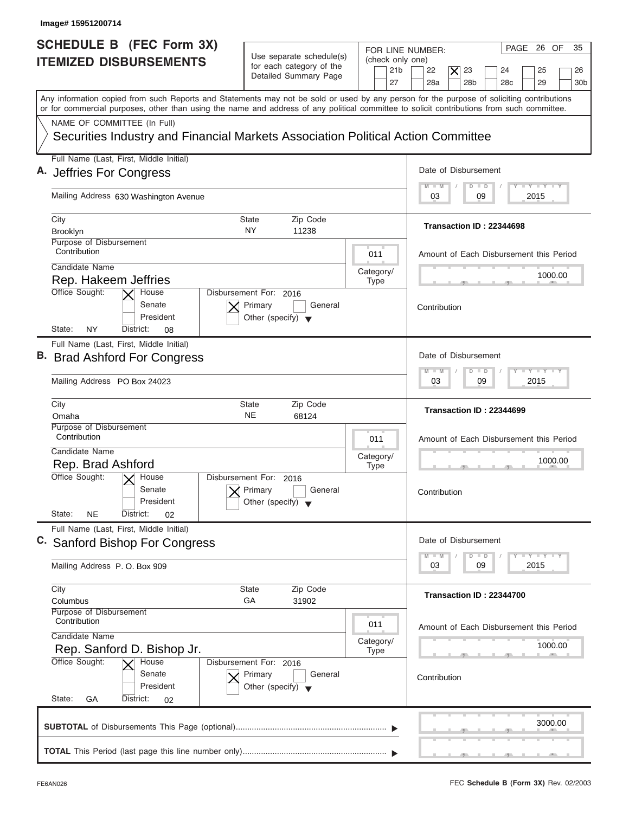| Image# 15951200714                                                                                                                                                                                                                                                                      |                                                                                      |                                                                                                                                                                                                          |
|-----------------------------------------------------------------------------------------------------------------------------------------------------------------------------------------------------------------------------------------------------------------------------------------|--------------------------------------------------------------------------------------|----------------------------------------------------------------------------------------------------------------------------------------------------------------------------------------------------------|
| <b>SCHEDULE B (FEC Form 3X)</b><br><b>ITEMIZED DISBURSEMENTS</b>                                                                                                                                                                                                                        | Use separate schedule(s)<br>for each category of the<br>Detailed Summary Page<br>27  | PAGE 26 OF<br>35<br>FOR LINE NUMBER:<br>(check only one)<br>23<br>21 <sub>b</sub><br>22<br>$\boldsymbol{\times}$<br>25<br>24<br>26<br>28a<br>28 <sub>b</sub><br>29<br>28 <sub>c</sub><br>30 <sub>b</sub> |
| Any information copied from such Reports and Statements may not be sold or used by any person for the purpose of soliciting contributions<br>or for commercial purposes, other than using the name and address of any political committee to solicit contributions from such committee. |                                                                                      |                                                                                                                                                                                                          |
| NAME OF COMMITTEE (In Full)<br>Securities Industry and Financial Markets Association Political Action Committee                                                                                                                                                                         |                                                                                      |                                                                                                                                                                                                          |
| Full Name (Last, First, Middle Initial)<br>A. Jeffries For Congress                                                                                                                                                                                                                     |                                                                                      | Date of Disbursement                                                                                                                                                                                     |
| Mailing Address 630 Washington Avenue                                                                                                                                                                                                                                                   |                                                                                      | $T - Y = T - Y = T - Y$<br>$M - M$<br>$D$ $D$<br>2015<br>03<br>09                                                                                                                                        |
| City<br>Brooklyn<br>Purpose of Disbursement                                                                                                                                                                                                                                             | Zip Code<br>State<br><b>NY</b><br>11238                                              | Transaction ID: 22344698                                                                                                                                                                                 |
| Contribution<br>Candidate Name<br>Rep. Hakeem Jeffries                                                                                                                                                                                                                                  | 011<br>Category/<br><b>Type</b>                                                      | Amount of Each Disbursement this Period<br>1000.00                                                                                                                                                       |
| Office Sought:<br>House<br>Senate<br>President<br>State:<br>NY<br>District:<br>08                                                                                                                                                                                                       | Disbursement For: 2016<br>Primary<br>General<br>Other (specify) $\blacktriangledown$ | Contribution                                                                                                                                                                                             |
| Full Name (Last, First, Middle Initial)<br>B. Brad Ashford For Congress<br>Mailing Address PO Box 24023                                                                                                                                                                                 |                                                                                      | Date of Disbursement<br><b>LEYTEY LEY</b><br>$M - M$<br>$\Box$<br>$\Box$<br>2015<br>03<br>09                                                                                                             |
| City<br>Omaha                                                                                                                                                                                                                                                                           | Zip Code<br>State<br><b>NE</b><br>68124                                              | Transaction ID: 22344699                                                                                                                                                                                 |
| Purpose of Disbursement<br>Contribution<br>Candidate Name<br>Rep. Brad Ashford                                                                                                                                                                                                          | 011<br>Category/<br><b>Type</b>                                                      | Amount of Each Disbursement this Period<br>1000.00                                                                                                                                                       |
| Office Sought:<br>$X$ House<br>Senate<br>President<br>State:<br><b>NE</b><br>District:<br>02                                                                                                                                                                                            | Disbursement For:<br>2016<br>Primary<br>General<br>Other (specify)                   | Contribution                                                                                                                                                                                             |
| Full Name (Last, First, Middle Initial)<br>C. Sanford Bishop For Congress                                                                                                                                                                                                               |                                                                                      | Date of Disbursement<br>$T - Y$ $T - Y$ $T - Y$<br>$M - M$<br>D<br>$\Box$                                                                                                                                |
| Mailing Address P.O. Box 909<br>City                                                                                                                                                                                                                                                    | Zip Code<br>State                                                                    | 2015<br>03<br>09                                                                                                                                                                                         |
| Columbus<br>Purpose of Disbursement<br>Contribution                                                                                                                                                                                                                                     | GA<br>31902<br>011                                                                   | Transaction ID: 22344700<br>Amount of Each Disbursement this Period                                                                                                                                      |
| Candidate Name<br>Rep. Sanford D. Bishop Jr.<br>Office Sought:<br>House                                                                                                                                                                                                                 | Category/<br><b>Type</b><br>Disbursement For: 2016                                   | 1000.00                                                                                                                                                                                                  |
| Senate<br>President<br>State:<br>District:<br>GА<br>02                                                                                                                                                                                                                                  | Primary<br>General<br>Other (specify) $\blacktriangledown$                           | Contribution                                                                                                                                                                                             |
|                                                                                                                                                                                                                                                                                         |                                                                                      | 3000.00                                                                                                                                                                                                  |
|                                                                                                                                                                                                                                                                                         |                                                                                      |                                                                                                                                                                                                          |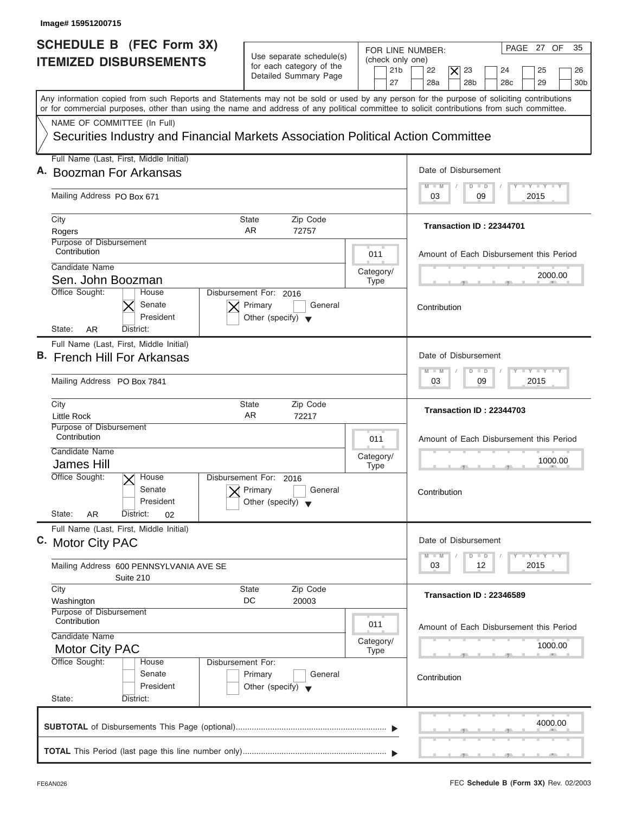| Image# 15951200715                                                                                                                                                                                                                                                                      |                                                                                                                            |                                                                                                                                                      |
|-----------------------------------------------------------------------------------------------------------------------------------------------------------------------------------------------------------------------------------------------------------------------------------------|----------------------------------------------------------------------------------------------------------------------------|------------------------------------------------------------------------------------------------------------------------------------------------------|
| SCHEDULE B (FEC Form 3X)<br><b>ITEMIZED DISBURSEMENTS</b>                                                                                                                                                                                                                               | Use separate schedule(s)<br>(check only one)<br>for each category of the<br>21 <sub>b</sub><br>Detailed Summary Page<br>27 | PAGE 27 OF<br>35<br>FOR LINE NUMBER:<br>22<br>$\times$<br>23<br>25<br>24<br>26<br>28a<br>28 <sub>b</sub><br>28 <sub>c</sub><br>29<br>30 <sub>b</sub> |
| Any information copied from such Reports and Statements may not be sold or used by any person for the purpose of soliciting contributions<br>or for commercial purposes, other than using the name and address of any political committee to solicit contributions from such committee. |                                                                                                                            |                                                                                                                                                      |
| NAME OF COMMITTEE (In Full)<br>Securities Industry and Financial Markets Association Political Action Committee                                                                                                                                                                         |                                                                                                                            |                                                                                                                                                      |
| Full Name (Last, First, Middle Initial)                                                                                                                                                                                                                                                 |                                                                                                                            |                                                                                                                                                      |
| A. Boozman For Arkansas                                                                                                                                                                                                                                                                 |                                                                                                                            | Date of Disbursement                                                                                                                                 |
| Mailing Address PO Box 671                                                                                                                                                                                                                                                              |                                                                                                                            | $T - Y = T - Y = T - Y$<br>$D$ $D$<br>$M$ $M$<br>09<br>2015<br>03                                                                                    |
| City                                                                                                                                                                                                                                                                                    | Zip Code<br>State                                                                                                          |                                                                                                                                                      |
| Rogers                                                                                                                                                                                                                                                                                  | AR<br>72757                                                                                                                | Transaction ID: 22344701                                                                                                                             |
| Purpose of Disbursement<br>Contribution                                                                                                                                                                                                                                                 | 011                                                                                                                        | Amount of Each Disbursement this Period                                                                                                              |
| Candidate Name                                                                                                                                                                                                                                                                          | Category/                                                                                                                  | 2000.00                                                                                                                                              |
| Sen. John Boozman<br>Office Sought:<br>House                                                                                                                                                                                                                                            | <b>Type</b><br>Disbursement For: 2016                                                                                      |                                                                                                                                                      |
| Senate<br>President<br>State:<br>AR<br>District:                                                                                                                                                                                                                                        | Primary<br>General<br>Other (specify) $\blacktriangledown$                                                                 | Contribution                                                                                                                                         |
| Full Name (Last, First, Middle Initial)                                                                                                                                                                                                                                                 |                                                                                                                            |                                                                                                                                                      |
| B. French Hill For Arkansas                                                                                                                                                                                                                                                             |                                                                                                                            | Date of Disbursement                                                                                                                                 |
| Mailing Address PO Box 7841                                                                                                                                                                                                                                                             |                                                                                                                            | $-1 - Y - 1 - Y - 1 - Y$<br>$D$ $D$<br>$M - M$<br>2015<br>03<br>09                                                                                   |
| City<br><b>Little Rock</b>                                                                                                                                                                                                                                                              | <b>State</b><br>Zip Code<br>AR<br>72217                                                                                    | Transaction ID: 22344703                                                                                                                             |
| Purpose of Disbursement<br>Contribution<br>Candidate Name<br><b>James Hill</b>                                                                                                                                                                                                          | 011<br>Category/<br><b>Type</b>                                                                                            | Amount of Each Disbursement this Period<br>1000.00<br>__                                                                                             |
| Office Sought:<br>$\sqrt{\frac{1}{2}}$ House<br>Senate<br>President<br>State:<br>AR<br>District:<br>02                                                                                                                                                                                  | Disbursement For:<br>2016<br>Primary<br>General<br>Other (specify) $\blacktriangledown$                                    | Contribution                                                                                                                                         |
| Full Name (Last, First, Middle Initial)<br>C. Motor City PAC                                                                                                                                                                                                                            |                                                                                                                            | Date of Disbursement<br>$\mathbf{I}$ $\mathbf{Y}$ $\mathbf{I}$ $\mathbf{Y}$ $\mathbf{I}$ $\mathbf{Y}$<br>$\Box$<br>$M - M$<br>D                      |
| Mailing Address 600 PENNSYLVANIA AVE SE<br>Suite 210                                                                                                                                                                                                                                    |                                                                                                                            | 2015<br>03<br>12                                                                                                                                     |
| City<br>Washington                                                                                                                                                                                                                                                                      | Zip Code<br>State<br>DC<br>20003                                                                                           | Transaction ID: 22346589                                                                                                                             |
| Purpose of Disbursement<br>Contribution                                                                                                                                                                                                                                                 | 011                                                                                                                        | Amount of Each Disbursement this Period                                                                                                              |
| Candidate Name<br><b>Motor City PAC</b>                                                                                                                                                                                                                                                 | Category/<br><b>Type</b>                                                                                                   | 1000.00                                                                                                                                              |
| Office Sought:<br>House<br>Senate<br>President<br>State:<br>District:                                                                                                                                                                                                                   | Disbursement For:<br>Primary<br>General<br>Other (specify) $\blacktriangledown$                                            | Contribution                                                                                                                                         |
|                                                                                                                                                                                                                                                                                         |                                                                                                                            |                                                                                                                                                      |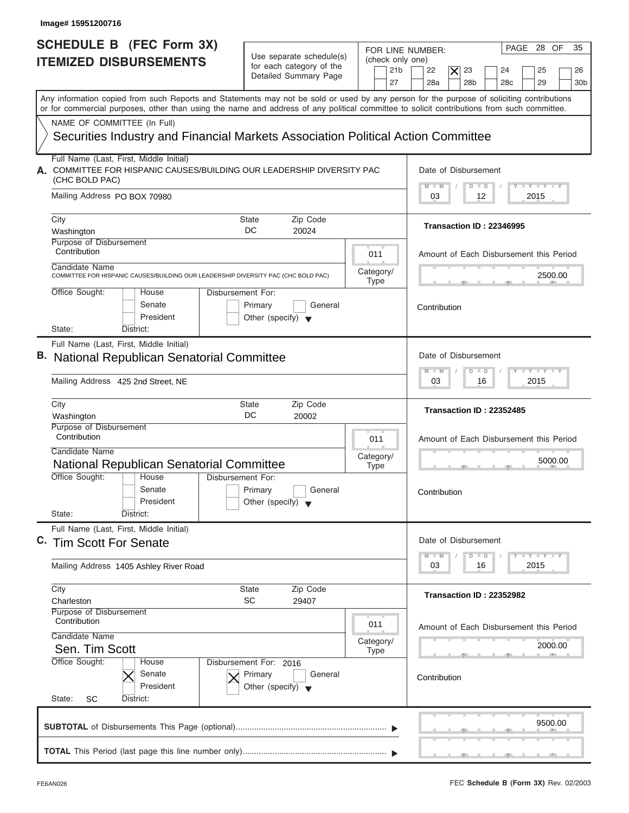| Image# 15951200716                                                                                                                                                                                                                                                                      |                                                                                                                            |                                                                                                                                                      |
|-----------------------------------------------------------------------------------------------------------------------------------------------------------------------------------------------------------------------------------------------------------------------------------------|----------------------------------------------------------------------------------------------------------------------------|------------------------------------------------------------------------------------------------------------------------------------------------------|
| <b>SCHEDULE B (FEC Form 3X)</b><br><b>ITEMIZED DISBURSEMENTS</b>                                                                                                                                                                                                                        | Use separate schedule(s)<br>(check only one)<br>for each category of the<br>21 <sub>b</sub><br>Detailed Summary Page<br>27 | PAGE 28 OF<br>35<br>FOR LINE NUMBER:<br>22<br>23<br>$\times$<br>24<br>25<br>26<br>28a<br>28 <sub>b</sub><br>28 <sub>c</sub><br>29<br>30 <sub>b</sub> |
| Any information copied from such Reports and Statements may not be sold or used by any person for the purpose of soliciting contributions<br>or for commercial purposes, other than using the name and address of any political committee to solicit contributions from such committee. |                                                                                                                            |                                                                                                                                                      |
| NAME OF COMMITTEE (In Full)                                                                                                                                                                                                                                                             |                                                                                                                            |                                                                                                                                                      |
| Securities Industry and Financial Markets Association Political Action Committee                                                                                                                                                                                                        |                                                                                                                            |                                                                                                                                                      |
| Full Name (Last, First, Middle Initial)<br>A. COMMITTEE FOR HISPANIC CAUSES/BUILDING OUR LEADERSHIP DIVERSITY PAC<br>(CHC BOLD PAC)                                                                                                                                                     |                                                                                                                            | Date of Disbursement<br>$T - Y = T - Y = T - Y$                                                                                                      |
| Mailing Address PO BOX 70980                                                                                                                                                                                                                                                            |                                                                                                                            | $M$ $M$<br>$D$ $D$<br>2015<br>03<br>12                                                                                                               |
| City<br>Washington                                                                                                                                                                                                                                                                      | Zip Code<br>State<br>DC<br>20024                                                                                           | Transaction ID: 22346995                                                                                                                             |
| Purpose of Disbursement<br>Contribution                                                                                                                                                                                                                                                 | 011                                                                                                                        | Amount of Each Disbursement this Period                                                                                                              |
| Candidate Name<br>COMMITTEE FOR HISPANIC CAUSES/BUILDING OUR LEADERSHIP DIVERSITY PAC (CHC BOLD PAC)                                                                                                                                                                                    | Category/<br><b>Type</b>                                                                                                   | 2500.00                                                                                                                                              |
| Office Sought:<br>House<br>Senate<br>President<br>State:<br>District:                                                                                                                                                                                                                   | Disbursement For:<br>Primary<br>General<br>Other (specify) $\blacktriangledown$                                            | Contribution                                                                                                                                         |
| Full Name (Last, First, Middle Initial)                                                                                                                                                                                                                                                 |                                                                                                                            |                                                                                                                                                      |
| <b>B.</b> National Republican Senatorial Committee                                                                                                                                                                                                                                      |                                                                                                                            | Date of Disbursement                                                                                                                                 |
| Mailing Address 425 2nd Street, NE                                                                                                                                                                                                                                                      |                                                                                                                            | $-1 - Y - 1 - Y - 1 - Y$<br>$M - M$<br>$\overline{D}$<br>$\Box$<br>2015<br>03<br>16                                                                  |
| City<br>Washington                                                                                                                                                                                                                                                                      | Zip Code<br>State<br>DC<br>20002                                                                                           | Transaction ID: 22352485                                                                                                                             |
| Purpose of Disbursement<br>Contribution<br>Candidate Name<br>National Republican Senatorial Committee                                                                                                                                                                                   | 011<br>Category/                                                                                                           | Amount of Each Disbursement this Period<br>5000.00                                                                                                   |
| Office Sought:<br>House<br>Disbursement For:<br>Senate<br>President<br>State:<br>District:                                                                                                                                                                                              | <b>Type</b><br>Primary<br>General<br>Other (specify)                                                                       | $-5$<br>Contribution                                                                                                                                 |
| Full Name (Last, First, Middle Initial)<br>C. Tim Scott For Senate                                                                                                                                                                                                                      |                                                                                                                            | Date of Disbursement<br>$T$ $Y$ $T$ $Y$ $T$ $Y$<br>$M - M$<br>D<br>$\Box$                                                                            |
| Mailing Address 1405 Ashley River Road                                                                                                                                                                                                                                                  |                                                                                                                            | 2015<br>03<br>16                                                                                                                                     |
| City<br>Charleston                                                                                                                                                                                                                                                                      | Zip Code<br>State<br>SC<br>29407                                                                                           | Transaction ID: 22352982                                                                                                                             |
| Purpose of Disbursement<br>Contribution<br>Candidate Name                                                                                                                                                                                                                               | 011                                                                                                                        | Amount of Each Disbursement this Period                                                                                                              |
| Sen. Tim Scott<br>Office Sought:<br>House                                                                                                                                                                                                                                               | Category/<br><b>Type</b><br>Disbursement For: 2016                                                                         | 2000.00                                                                                                                                              |
| Senate<br>President<br>State:<br>SC<br>District:                                                                                                                                                                                                                                        | Primary<br>General<br>Other (specify) $\blacktriangledown$                                                                 | Contribution                                                                                                                                         |
|                                                                                                                                                                                                                                                                                         |                                                                                                                            | 9500.00                                                                                                                                              |
|                                                                                                                                                                                                                                                                                         |                                                                                                                            |                                                                                                                                                      |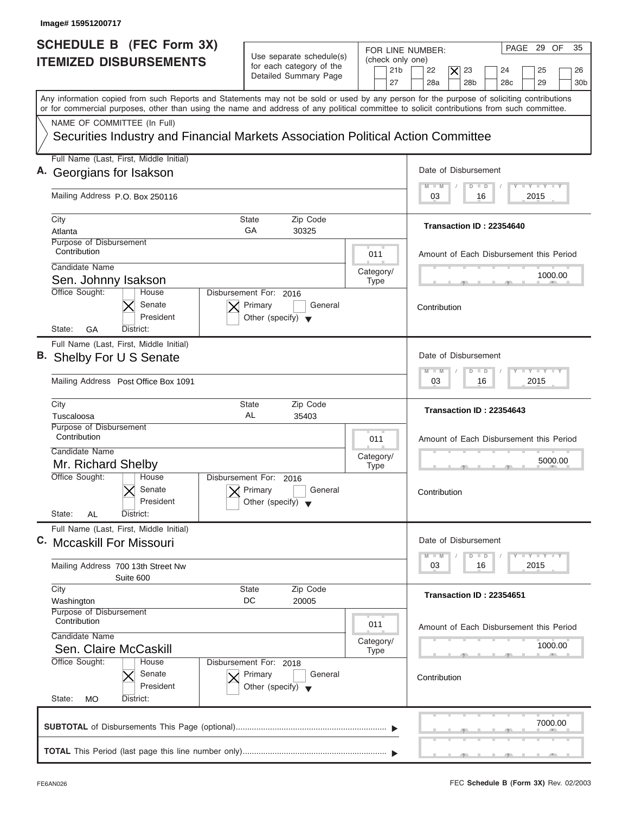| Image# 15951200717                                                                                                                                                                                                                                                                      |                                                                                      |                                                               |                                                                                                                                  |
|-----------------------------------------------------------------------------------------------------------------------------------------------------------------------------------------------------------------------------------------------------------------------------------------|--------------------------------------------------------------------------------------|---------------------------------------------------------------|----------------------------------------------------------------------------------------------------------------------------------|
| <b>SCHEDULE B (FEC Form 3X)</b><br><b>ITEMIZED DISBURSEMENTS</b>                                                                                                                                                                                                                        | Use separate schedule(s)<br>for each category of the<br>Detailed Summary Page        | FOR LINE NUMBER:<br>(check only one)<br>21 <sub>b</sub><br>27 | PAGE 29 OF<br>35<br>22<br>$\times$<br>23<br>25<br>24<br>26<br>28a<br>28 <sub>b</sub><br>28 <sub>c</sub><br>29<br>30 <sub>b</sub> |
| Any information copied from such Reports and Statements may not be sold or used by any person for the purpose of soliciting contributions<br>or for commercial purposes, other than using the name and address of any political committee to solicit contributions from such committee. |                                                                                      |                                                               |                                                                                                                                  |
| NAME OF COMMITTEE (In Full)<br>Securities Industry and Financial Markets Association Political Action Committee                                                                                                                                                                         |                                                                                      |                                                               |                                                                                                                                  |
| Full Name (Last, First, Middle Initial)                                                                                                                                                                                                                                                 |                                                                                      |                                                               |                                                                                                                                  |
| A. Georgians for Isakson                                                                                                                                                                                                                                                                |                                                                                      |                                                               | Date of Disbursement                                                                                                             |
| Mailing Address P.O. Box 250116                                                                                                                                                                                                                                                         |                                                                                      |                                                               | $L - Y = L - Y = L - Y$<br>$M - M$<br>$\Box$<br>D<br>2015<br>03<br>16                                                            |
| City                                                                                                                                                                                                                                                                                    | State<br>Zip Code                                                                    |                                                               |                                                                                                                                  |
| Atlanta                                                                                                                                                                                                                                                                                 | GA<br>30325                                                                          |                                                               | Transaction ID: 22354640                                                                                                         |
| Purpose of Disbursement<br>Contribution                                                                                                                                                                                                                                                 |                                                                                      | 011                                                           | Amount of Each Disbursement this Period                                                                                          |
| Candidate Name                                                                                                                                                                                                                                                                          |                                                                                      | Category/                                                     | 1000.00                                                                                                                          |
| Sen. Johnny Isakson                                                                                                                                                                                                                                                                     |                                                                                      | <b>Type</b>                                                   |                                                                                                                                  |
| Office Sought:<br>House<br>Senate<br>President<br>GA<br>State:<br>District:                                                                                                                                                                                                             | Disbursement For: 2016<br>Primary<br>General<br>Other (specify) $\blacktriangledown$ |                                                               | Contribution                                                                                                                     |
| Full Name (Last, First, Middle Initial)                                                                                                                                                                                                                                                 |                                                                                      |                                                               |                                                                                                                                  |
| B. Shelby For U S Senate                                                                                                                                                                                                                                                                |                                                                                      |                                                               | Date of Disbursement<br>$-1 - Y - 1 - Y - 1 - Y$<br>$M - M$<br>$\blacksquare$<br>D                                               |
| Mailing Address Post Office Box 1091                                                                                                                                                                                                                                                    |                                                                                      |                                                               | 2015<br>03<br>16                                                                                                                 |
| City<br>Tuscaloosa                                                                                                                                                                                                                                                                      | State<br>Zip Code<br>AL<br>35403                                                     |                                                               | Transaction ID: 22354643                                                                                                         |
| Purpose of Disbursement<br>Contribution                                                                                                                                                                                                                                                 |                                                                                      | 011                                                           | Amount of Each Disbursement this Period                                                                                          |
| Candidate Name                                                                                                                                                                                                                                                                          |                                                                                      | Category/                                                     | 5000.00                                                                                                                          |
| Mr. Richard Shelby<br>Office Sought:<br>House                                                                                                                                                                                                                                           | Disbursement For:                                                                    | <b>Type</b>                                                   | $-5$                                                                                                                             |
| Senate<br>President<br>State:<br>AL<br>District:                                                                                                                                                                                                                                        | 2016<br>Primary<br>General<br>Other (specify)                                        |                                                               | Contribution                                                                                                                     |
| Full Name (Last, First, Middle Initial)                                                                                                                                                                                                                                                 |                                                                                      |                                                               |                                                                                                                                  |
| C. Mccaskill For Missouri                                                                                                                                                                                                                                                               |                                                                                      |                                                               | Date of Disbursement<br>$\mathbf{I}$ $\mathbf{Y}$ $\mathbf{I}$ $\mathbf{Y}$ $\mathbf{I}$ $\mathbf{Y}$<br>$M - M$<br>D<br>$\Box$  |
| Mailing Address 700 13th Street Nw<br>Suite 600                                                                                                                                                                                                                                         |                                                                                      |                                                               | 2015<br>03<br>16                                                                                                                 |
| City<br>Washington                                                                                                                                                                                                                                                                      | Zip Code<br>State<br>DC<br>20005                                                     |                                                               | Transaction ID: 22354651                                                                                                         |
| Purpose of Disbursement<br>Contribution                                                                                                                                                                                                                                                 |                                                                                      | 011                                                           | Amount of Each Disbursement this Period                                                                                          |
|                                                                                                                                                                                                                                                                                         |                                                                                      | Category/                                                     | 1000.00                                                                                                                          |
| Candidate Name                                                                                                                                                                                                                                                                          |                                                                                      |                                                               |                                                                                                                                  |
| Sen. Claire McCaskill<br>Office Sought:<br>House<br>Senate<br>President                                                                                                                                                                                                                 | Disbursement For: 2018<br>Primary<br>General<br>Other (specify) $\blacktriangledown$ | <b>Type</b>                                                   | Contribution                                                                                                                     |
| State:<br>MO<br>District:                                                                                                                                                                                                                                                               |                                                                                      |                                                               | 7000.00                                                                                                                          |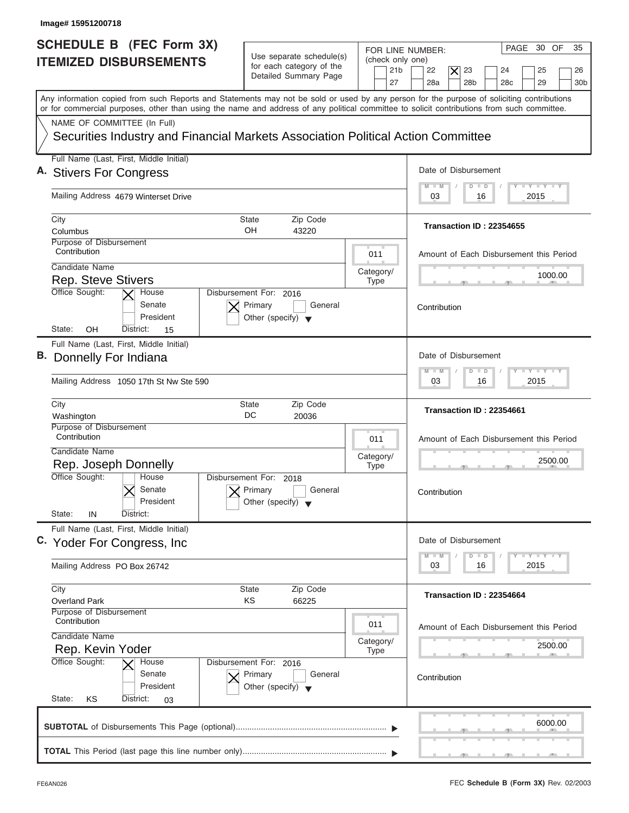| Image# 15951200718                                                                                                                                                                                                                                                                      |                                                                                                                            |                                                                                                                                                      |
|-----------------------------------------------------------------------------------------------------------------------------------------------------------------------------------------------------------------------------------------------------------------------------------------|----------------------------------------------------------------------------------------------------------------------------|------------------------------------------------------------------------------------------------------------------------------------------------------|
| <b>SCHEDULE B</b> (FEC Form 3X)<br><b>ITEMIZED DISBURSEMENTS</b>                                                                                                                                                                                                                        | Use separate schedule(s)<br>(check only one)<br>for each category of the<br>21 <sub>b</sub><br>Detailed Summary Page<br>27 | PAGE 30 OF<br>35<br>FOR LINE NUMBER:<br>23<br>22<br>$\times$<br>24<br>25<br>26<br>28a<br>28 <sub>b</sub><br>28 <sub>c</sub><br>29<br>30 <sub>b</sub> |
| Any information copied from such Reports and Statements may not be sold or used by any person for the purpose of soliciting contributions<br>or for commercial purposes, other than using the name and address of any political committee to solicit contributions from such committee. |                                                                                                                            |                                                                                                                                                      |
| NAME OF COMMITTEE (In Full)<br>Securities Industry and Financial Markets Association Political Action Committee                                                                                                                                                                         |                                                                                                                            |                                                                                                                                                      |
| Full Name (Last, First, Middle Initial)<br>A. Stivers For Congress                                                                                                                                                                                                                      |                                                                                                                            | Date of Disbursement                                                                                                                                 |
| Mailing Address 4679 Winterset Drive                                                                                                                                                                                                                                                    |                                                                                                                            | $T - Y = T - Y = T - Y$<br>$M - M$<br>$D$ $D$<br>2015<br>03<br>16                                                                                    |
| City<br>Columbus                                                                                                                                                                                                                                                                        | Zip Code<br>State<br>OH<br>43220                                                                                           | Transaction ID: 22354655                                                                                                                             |
| Purpose of Disbursement<br>Contribution<br>Candidate Name                                                                                                                                                                                                                               | 011                                                                                                                        | Amount of Each Disbursement this Period                                                                                                              |
| <b>Rep. Steve Stivers</b><br>Office Sought:<br>House                                                                                                                                                                                                                                    | Category/<br><b>Type</b><br>Disbursement For: 2016                                                                         | 1000.00                                                                                                                                              |
| Senate<br>President<br>OΗ<br>State:<br>District:<br>15                                                                                                                                                                                                                                  | Primary<br>General<br>Other (specify) $\blacktriangledown$                                                                 | Contribution                                                                                                                                         |
| Full Name (Last, First, Middle Initial)<br>B. Donnelly For Indiana                                                                                                                                                                                                                      |                                                                                                                            | Date of Disbursement<br>$-1 - Y - 1 - Y - 1 - Y$<br>$M - M$<br>$\overline{D}$<br>$\Box$                                                              |
| Mailing Address 1050 17th St Nw Ste 590                                                                                                                                                                                                                                                 |                                                                                                                            | 2015<br>03<br>16                                                                                                                                     |
| City<br>Washington                                                                                                                                                                                                                                                                      | <b>State</b><br>Zip Code<br>DC<br>20036                                                                                    | Transaction ID: 22354661                                                                                                                             |
| Purpose of Disbursement<br>Contribution<br>Candidate Name                                                                                                                                                                                                                               | 011<br>Category/                                                                                                           | Amount of Each Disbursement this Period                                                                                                              |
| Rep. Joseph Donnelly<br>Office Sought:<br>House<br>Senate<br>President<br>State:<br>IN<br>District:                                                                                                                                                                                     | <b>Type</b><br>Disbursement For: 2018<br>Primary<br>General<br>Other (specify)                                             | 2500.00<br>__<br>Contribution                                                                                                                        |
| Full Name (Last, First, Middle Initial)<br>C. Yoder For Congress, Inc.                                                                                                                                                                                                                  |                                                                                                                            | Date of Disbursement                                                                                                                                 |
| Mailing Address PO Box 26742                                                                                                                                                                                                                                                            |                                                                                                                            | $T - Y - T - Y$<br>$M - M$<br>D<br>$\Box$<br>2015<br>03<br>16                                                                                        |
| City<br><b>Overland Park</b><br>Purpose of Disbursement                                                                                                                                                                                                                                 | <b>State</b><br>Zip Code<br>ΚS<br>66225                                                                                    | Transaction ID: 22354664                                                                                                                             |
| Contribution<br>Candidate Name<br>Rep. Kevin Yoder                                                                                                                                                                                                                                      | 011<br>Category/<br><b>Type</b>                                                                                            | Amount of Each Disbursement this Period<br>2500.00                                                                                                   |
| Office Sought:<br>House<br>Senate<br>President<br>State:<br>District:<br>ΚS<br>03                                                                                                                                                                                                       | Disbursement For: 2016<br>Primary<br>General<br>Other (specify) $\blacktriangledown$                                       | Contribution                                                                                                                                         |
|                                                                                                                                                                                                                                                                                         |                                                                                                                            | 6000.00                                                                                                                                              |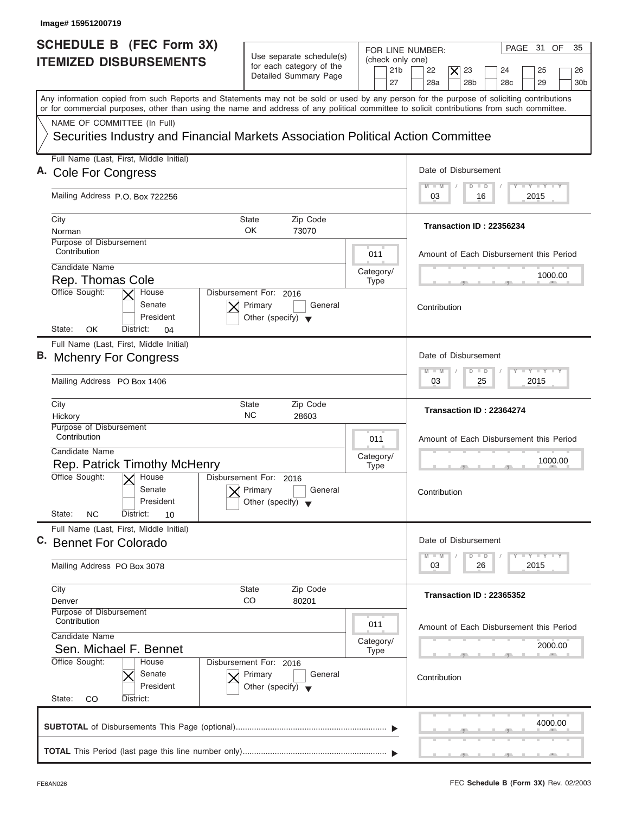| SCHEDULE B (FEC Form 3X)<br><b>ITEMIZED DISBURSEMENTS</b><br>Any information copied from such Reports and Statements may not be sold or used by any person for the purpose of soliciting contributions<br>or for commercial purposes, other than using the name and address of any political committee to solicit contributions from such committee.<br>NAME OF COMMITTEE (In Full)<br>Securities Industry and Financial Markets Association Political Action Committee | Use separate schedule(s)<br>for each category of the<br>Detailed Summary Page        | FOR LINE NUMBER:<br>(check only one)<br>21 <sub>b</sub><br>27 | PAGE 31 OF<br>35<br>22<br>$\times$<br>23<br>25<br>24<br>26                                    |
|-------------------------------------------------------------------------------------------------------------------------------------------------------------------------------------------------------------------------------------------------------------------------------------------------------------------------------------------------------------------------------------------------------------------------------------------------------------------------|--------------------------------------------------------------------------------------|---------------------------------------------------------------|-----------------------------------------------------------------------------------------------|
|                                                                                                                                                                                                                                                                                                                                                                                                                                                                         |                                                                                      |                                                               | 28a<br>28 <sub>b</sub><br>28 <sub>c</sub><br>29<br>30 <sub>b</sub>                            |
|                                                                                                                                                                                                                                                                                                                                                                                                                                                                         |                                                                                      |                                                               |                                                                                               |
|                                                                                                                                                                                                                                                                                                                                                                                                                                                                         |                                                                                      |                                                               |                                                                                               |
| Full Name (Last, First, Middle Initial)<br>A. Cole For Congress                                                                                                                                                                                                                                                                                                                                                                                                         |                                                                                      |                                                               | Date of Disbursement                                                                          |
| Mailing Address P.O. Box 722256                                                                                                                                                                                                                                                                                                                                                                                                                                         |                                                                                      |                                                               | $T - Y = T - Y = T - Y$<br>$M$ $M$<br>$D$ $D$<br>2015<br>03<br>16                             |
| City<br>Norman                                                                                                                                                                                                                                                                                                                                                                                                                                                          | Zip Code<br>State<br>OK<br>73070                                                     |                                                               | Transaction ID: 22356234                                                                      |
| Purpose of Disbursement<br>Contribution                                                                                                                                                                                                                                                                                                                                                                                                                                 |                                                                                      | 011                                                           | Amount of Each Disbursement this Period                                                       |
| Candidate Name<br>Rep. Thomas Cole                                                                                                                                                                                                                                                                                                                                                                                                                                      |                                                                                      | Category/<br><b>Type</b>                                      | 1000.00                                                                                       |
| Office Sought:<br>House<br>Senate<br>President<br>OK<br>State:<br>District:<br>04                                                                                                                                                                                                                                                                                                                                                                                       | Disbursement For: 2016<br>Primary<br>General<br>Other (specify) $\blacktriangledown$ |                                                               | Contribution                                                                                  |
| Full Name (Last, First, Middle Initial)<br>B. Mchenry For Congress                                                                                                                                                                                                                                                                                                                                                                                                      |                                                                                      |                                                               | Date of Disbursement                                                                          |
| Mailing Address PO Box 1406                                                                                                                                                                                                                                                                                                                                                                                                                                             |                                                                                      |                                                               | $-1 - Y - 1 - Y - 1 - Y$<br>M<br>$-N$<br>$\overline{D}$<br>$\blacksquare$<br>2015<br>03<br>25 |
| City<br>Hickory                                                                                                                                                                                                                                                                                                                                                                                                                                                         | Zip Code<br>State<br>NC.<br>28603                                                    |                                                               | Transaction ID: 22364274                                                                      |
| Purpose of Disbursement<br>Contribution<br>Candidate Name<br>Rep. Patrick Timothy McHenry                                                                                                                                                                                                                                                                                                                                                                               |                                                                                      | 011<br>Category/<br><b>Type</b>                               | Amount of Each Disbursement this Period<br>1000.00                                            |
| Office Sought:<br>$\overline{X}$ House<br>Senate<br>President<br>State:<br><b>NC</b><br>District:<br>10                                                                                                                                                                                                                                                                                                                                                                 | Disbursement For:<br>2016<br>Primary<br>General<br>Other (specify)                   |                                                               | __<br>Contribution                                                                            |
| Full Name (Last, First, Middle Initial)<br>C. Bennet For Colorado                                                                                                                                                                                                                                                                                                                                                                                                       |                                                                                      |                                                               | Date of Disbursement<br>$T - Y - T - Y - T - Y$<br>$\Box$<br>$M - M$<br>D                     |
| Mailing Address PO Box 3078                                                                                                                                                                                                                                                                                                                                                                                                                                             |                                                                                      |                                                               | 2015<br>03<br>26                                                                              |
| City<br>Denver                                                                                                                                                                                                                                                                                                                                                                                                                                                          | Zip Code<br>State<br>CO<br>80201                                                     |                                                               | Transaction ID: 22365352                                                                      |
| Purpose of Disbursement<br>Contribution<br>Candidate Name<br>Sen. Michael F. Bennet                                                                                                                                                                                                                                                                                                                                                                                     |                                                                                      | 011<br>Category/                                              | Amount of Each Disbursement this Period<br>2000.00                                            |
| Office Sought:<br>House<br>Senate<br>President<br>State:<br>CO<br>District:                                                                                                                                                                                                                                                                                                                                                                                             | Disbursement For: 2016<br>Primary<br>General<br>Other (specify) $\blacktriangledown$ | <b>Type</b>                                                   | Contribution                                                                                  |
|                                                                                                                                                                                                                                                                                                                                                                                                                                                                         |                                                                                      |                                                               | 4000.00                                                                                       |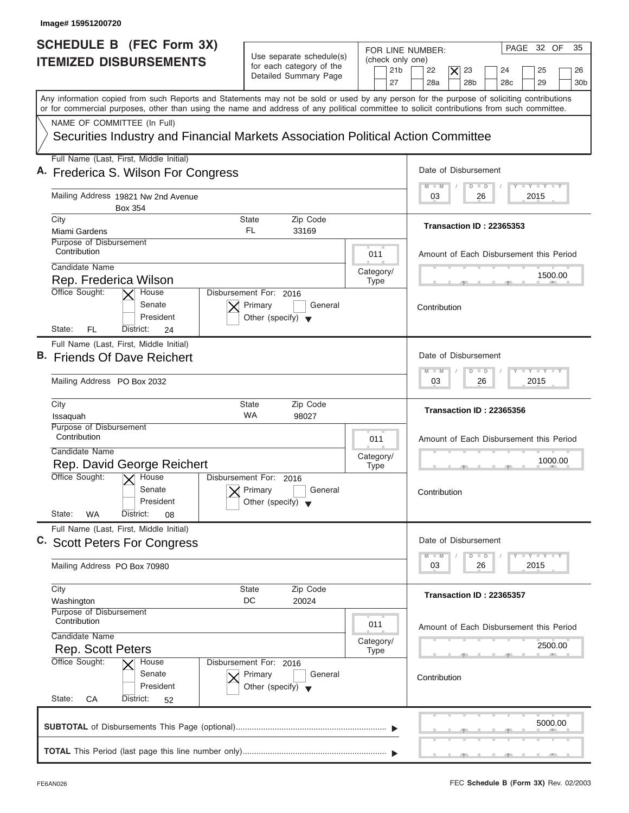| Image# 15951200720                                                                                                                                                                                                                                                                      |                                                                                      |                                                                                                                                                                                                   |
|-----------------------------------------------------------------------------------------------------------------------------------------------------------------------------------------------------------------------------------------------------------------------------------------|--------------------------------------------------------------------------------------|---------------------------------------------------------------------------------------------------------------------------------------------------------------------------------------------------|
| SCHEDULE B (FEC Form 3X)<br><b>ITEMIZED DISBURSEMENTS</b>                                                                                                                                                                                                                               | Use separate schedule(s)<br>for each category of the<br>Detailed Summary Page        | PAGE 32 OF<br>35<br>FOR LINE NUMBER:<br>(check only one)<br>23<br>21 <sub>b</sub><br>22<br>$\times$<br>25<br>24<br>26<br>27<br>28a<br>28 <sub>b</sub><br>29<br>28 <sub>c</sub><br>30 <sub>b</sub> |
| Any information copied from such Reports and Statements may not be sold or used by any person for the purpose of soliciting contributions<br>or for commercial purposes, other than using the name and address of any political committee to solicit contributions from such committee. |                                                                                      |                                                                                                                                                                                                   |
| NAME OF COMMITTEE (In Full)<br>Securities Industry and Financial Markets Association Political Action Committee                                                                                                                                                                         |                                                                                      |                                                                                                                                                                                                   |
| Full Name (Last, First, Middle Initial)<br>A. Frederica S. Wilson For Congress                                                                                                                                                                                                          |                                                                                      | Date of Disbursement                                                                                                                                                                              |
| Mailing Address 19821 Nw 2nd Avenue<br>Box 354                                                                                                                                                                                                                                          |                                                                                      | $T - Y = T - Y = T - Y$<br>$M - M$<br>$D$ $D$<br>2015<br>03<br>26                                                                                                                                 |
| City<br>Miami Gardens<br>Purpose of Disbursement                                                                                                                                                                                                                                        | Zip Code<br>State<br>FL.<br>33169                                                    | Transaction ID: 22365353                                                                                                                                                                          |
| Contribution<br>Candidate Name<br>Rep. Frederica Wilson                                                                                                                                                                                                                                 | 011<br>Category/<br><b>Type</b>                                                      | Amount of Each Disbursement this Period<br>1500.00                                                                                                                                                |
| Office Sought:<br>House<br>Senate<br>President<br>FL<br>State:<br>District:<br>24                                                                                                                                                                                                       | Disbursement For: 2016<br>Primary<br>General<br>Other (specify) $\blacktriangledown$ | Contribution                                                                                                                                                                                      |
| Full Name (Last, First, Middle Initial)<br>B. Friends Of Dave Reichert                                                                                                                                                                                                                  |                                                                                      | Date of Disbursement<br>$-1 - Y - 1 - Y - 1 - Y$<br>$M - M$<br>$D$ $D$                                                                                                                            |
| Mailing Address PO Box 2032<br>City                                                                                                                                                                                                                                                     | <b>State</b><br>Zip Code                                                             | 2015<br>03<br>26<br>Transaction ID: 22365356                                                                                                                                                      |
| Issaquah<br>Purpose of Disbursement<br>Contribution<br>Candidate Name<br>Rep. David George Reichert                                                                                                                                                                                     | WA<br>98027<br>011<br>Category/<br><b>Type</b>                                       | Amount of Each Disbursement this Period<br>1000.00<br>__                                                                                                                                          |
| Office Sought:<br>$X$ House<br>Senate<br>President<br>State:<br><b>WA</b><br>District:<br>08                                                                                                                                                                                            | Disbursement For: 2016<br>Primary<br>General<br>Other (specify)                      | Contribution                                                                                                                                                                                      |
| Full Name (Last, First, Middle Initial)<br>C. Scott Peters For Congress                                                                                                                                                                                                                 |                                                                                      | Date of Disbursement<br>$T - Y$ $T - Y$<br>$M - M$<br>D<br>$\Box$                                                                                                                                 |
| Mailing Address PO Box 70980<br>City                                                                                                                                                                                                                                                    | <b>State</b><br>Zip Code                                                             | 2015<br>03<br>26                                                                                                                                                                                  |
| Washington<br>Purpose of Disbursement<br>Contribution                                                                                                                                                                                                                                   | DC<br>20024<br>011                                                                   | Transaction ID: 22365357<br>Amount of Each Disbursement this Period                                                                                                                               |
| Candidate Name<br><b>Rep. Scott Peters</b><br>Office Sought:<br>House                                                                                                                                                                                                                   | Category/<br><b>Type</b><br>Disbursement For: 2016                                   | 2500.00                                                                                                                                                                                           |
| Senate<br>President<br>State:<br>СA<br>District:<br>52                                                                                                                                                                                                                                  | Primary<br>General<br>Other (specify) $\blacktriangledown$                           | Contribution                                                                                                                                                                                      |
|                                                                                                                                                                                                                                                                                         |                                                                                      | 5000.00                                                                                                                                                                                           |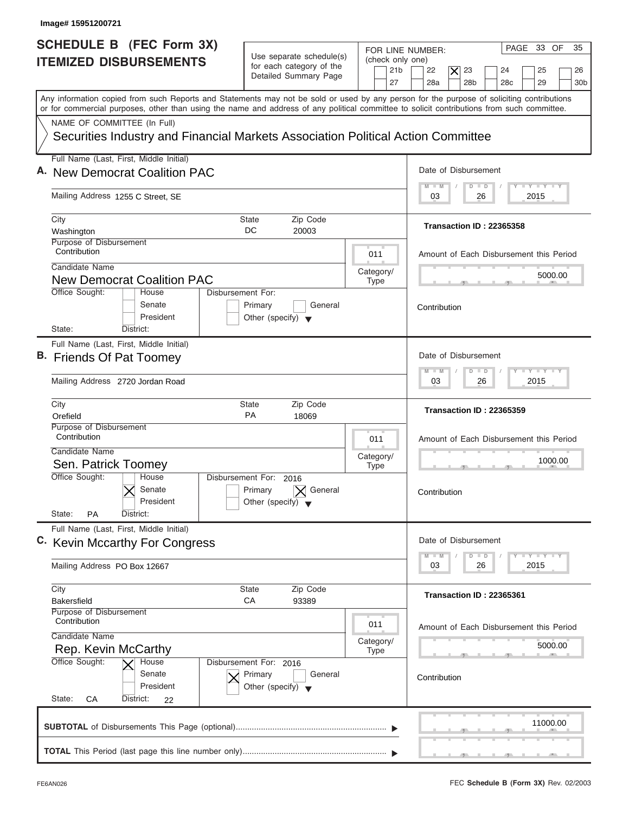| Image# 15951200721                                                                                                                                                                                                                                                                      |                                                                               |                                                               |                                                                                                                                               |
|-----------------------------------------------------------------------------------------------------------------------------------------------------------------------------------------------------------------------------------------------------------------------------------------|-------------------------------------------------------------------------------|---------------------------------------------------------------|-----------------------------------------------------------------------------------------------------------------------------------------------|
| <b>SCHEDULE B (FEC Form 3X)</b><br><b>ITEMIZED DISBURSEMENTS</b>                                                                                                                                                                                                                        | Use separate schedule(s)<br>for each category of the<br>Detailed Summary Page | FOR LINE NUMBER:<br>(check only one)<br>21 <sub>b</sub><br>27 | PAGE 33 OF<br>35<br>23<br>22<br>$\boldsymbol{\times}$<br>24<br>25<br>26<br>28a<br>28 <sub>b</sub><br>29<br>28 <sub>c</sub><br>30 <sub>b</sub> |
| Any information copied from such Reports and Statements may not be sold or used by any person for the purpose of soliciting contributions<br>or for commercial purposes, other than using the name and address of any political committee to solicit contributions from such committee. |                                                                               |                                                               |                                                                                                                                               |
| NAME OF COMMITTEE (In Full)<br>Securities Industry and Financial Markets Association Political Action Committee                                                                                                                                                                         |                                                                               |                                                               |                                                                                                                                               |
| Full Name (Last, First, Middle Initial)<br>A. New Democrat Coalition PAC                                                                                                                                                                                                                |                                                                               |                                                               | Date of Disbursement                                                                                                                          |
| Mailing Address 1255 C Street, SE                                                                                                                                                                                                                                                       |                                                                               |                                                               | $T - Y = T - Y = T - Y$<br>$M - M$<br>$D$ $D$<br>2015<br>03<br>26                                                                             |
| City<br>State                                                                                                                                                                                                                                                                           | Zip Code                                                                      |                                                               | Transaction ID: 22365358                                                                                                                      |
| DC<br>Washington                                                                                                                                                                                                                                                                        | 20003                                                                         |                                                               |                                                                                                                                               |
| Purpose of Disbursement<br>Contribution                                                                                                                                                                                                                                                 |                                                                               | 011                                                           | Amount of Each Disbursement this Period                                                                                                       |
| Candidate Name<br><b>New Democrat Coalition PAC</b>                                                                                                                                                                                                                                     |                                                                               | Category/                                                     | 5000.00                                                                                                                                       |
| Office Sought:<br>Disbursement For:<br>House<br>Senate<br>Primary<br>President                                                                                                                                                                                                          | General<br>Other (specify) $\blacktriangledown$                               | <b>Type</b>                                                   | Contribution                                                                                                                                  |
| State:<br>District:                                                                                                                                                                                                                                                                     |                                                                               |                                                               |                                                                                                                                               |
| Full Name (Last, First, Middle Initial)<br>B. Friends Of Pat Toomey                                                                                                                                                                                                                     |                                                                               |                                                               | Date of Disbursement                                                                                                                          |
| Mailing Address 2720 Jordan Road                                                                                                                                                                                                                                                        |                                                                               |                                                               | <b>LEYTEY LEY</b><br>$\Box$<br>$M - M$<br>$\overline{D}$<br>2015<br>03<br>26                                                                  |
| City<br><b>State</b><br>PA<br>Orefield                                                                                                                                                                                                                                                  | Zip Code<br>18069                                                             |                                                               | Transaction ID: 22365359                                                                                                                      |
| Purpose of Disbursement<br>Contribution                                                                                                                                                                                                                                                 |                                                                               | 011                                                           | Amount of Each Disbursement this Period                                                                                                       |
| Candidate Name                                                                                                                                                                                                                                                                          |                                                                               | Category/                                                     | 1000.00                                                                                                                                       |
| Sen. Patrick Toomey<br>Office Sought:<br>House                                                                                                                                                                                                                                          |                                                                               | <b>Type</b>                                                   | $-5$                                                                                                                                          |
| Disbursement For:<br>Senate<br>Primary<br>President<br>State:<br><b>PA</b><br>District:                                                                                                                                                                                                 | 2016<br>General<br>Other (specify)                                            |                                                               | Contribution                                                                                                                                  |
| Full Name (Last, First, Middle Initial)                                                                                                                                                                                                                                                 |                                                                               |                                                               |                                                                                                                                               |
| C. Kevin Mccarthy For Congress                                                                                                                                                                                                                                                          |                                                                               |                                                               | Date of Disbursement<br>$T - Y$ $T - Y$ $T - Y$<br>$M - M$<br>D<br>$\Box$                                                                     |
| Mailing Address PO Box 12667                                                                                                                                                                                                                                                            |                                                                               |                                                               | 2015<br>03<br>26                                                                                                                              |
| City<br>State<br>СA<br>Bakersfield                                                                                                                                                                                                                                                      | Zip Code<br>93389                                                             |                                                               | Transaction ID: 22365361                                                                                                                      |
| Purpose of Disbursement<br>Contribution<br>Candidate Name                                                                                                                                                                                                                               |                                                                               | 011                                                           | Amount of Each Disbursement this Period                                                                                                       |
| Rep. Kevin McCarthy                                                                                                                                                                                                                                                                     |                                                                               | Category/<br><b>Type</b>                                      | 5000.00                                                                                                                                       |
| Office Sought:<br>House                                                                                                                                                                                                                                                                 | Disbursement For: 2016                                                        |                                                               |                                                                                                                                               |
| Senate<br>Primary<br>President                                                                                                                                                                                                                                                          | General<br>Other (specify) $\blacktriangledown$                               |                                                               | Contribution                                                                                                                                  |
| State:<br>СA<br>District:<br>22                                                                                                                                                                                                                                                         |                                                                               |                                                               | 11000.00                                                                                                                                      |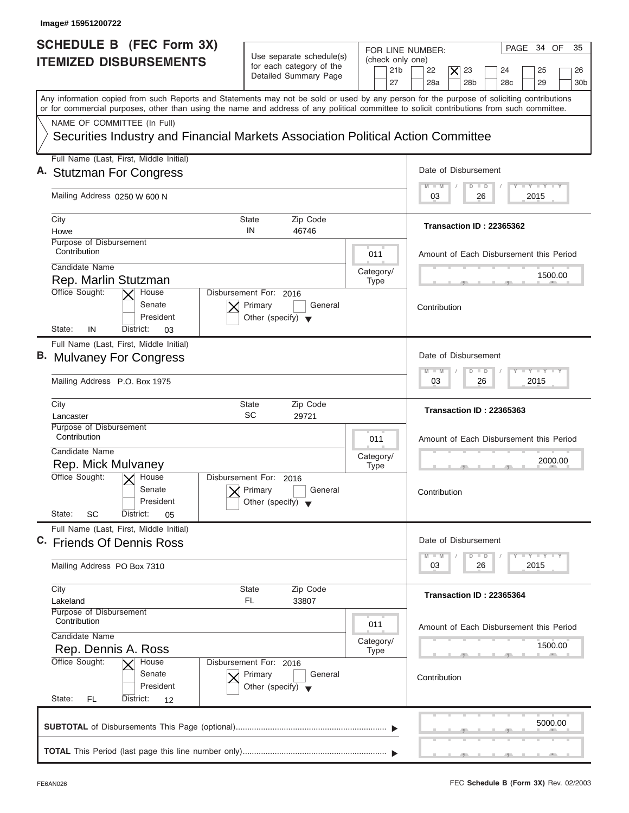| Image# 15951200722                                                                                                                                                                                                                                                                      |                                                                                                                            |                                                                                                                                                                     |
|-----------------------------------------------------------------------------------------------------------------------------------------------------------------------------------------------------------------------------------------------------------------------------------------|----------------------------------------------------------------------------------------------------------------------------|---------------------------------------------------------------------------------------------------------------------------------------------------------------------|
| SCHEDULE B (FEC Form 3X)<br><b>ITEMIZED DISBURSEMENTS</b>                                                                                                                                                                                                                               | Use separate schedule(s)<br>(check only one)<br>for each category of the<br>21 <sub>b</sub><br>Detailed Summary Page<br>27 | PAGE 34 OF<br>35<br>FOR LINE NUMBER:<br>23<br>22<br>$\overline{\mathsf{x}}$<br>24<br>25<br>26<br>28a<br>28 <sub>b</sub><br>29<br>28 <sub>c</sub><br>30 <sub>b</sub> |
| Any information copied from such Reports and Statements may not be sold or used by any person for the purpose of soliciting contributions<br>or for commercial purposes, other than using the name and address of any political committee to solicit contributions from such committee. |                                                                                                                            |                                                                                                                                                                     |
| NAME OF COMMITTEE (In Full)<br>Securities Industry and Financial Markets Association Political Action Committee                                                                                                                                                                         |                                                                                                                            |                                                                                                                                                                     |
| Full Name (Last, First, Middle Initial)                                                                                                                                                                                                                                                 |                                                                                                                            |                                                                                                                                                                     |
| A. Stutzman For Congress                                                                                                                                                                                                                                                                |                                                                                                                            | Date of Disbursement                                                                                                                                                |
| Mailing Address 0250 W 600 N                                                                                                                                                                                                                                                            |                                                                                                                            | $T - Y = T - Y = T - Y$<br>$M - M$<br>$D$ $D$<br>2015<br>03<br>26                                                                                                   |
| City                                                                                                                                                                                                                                                                                    | <b>State</b><br>Zip Code                                                                                                   |                                                                                                                                                                     |
| Howe                                                                                                                                                                                                                                                                                    | IN<br>46746                                                                                                                | Transaction ID: 22365362                                                                                                                                            |
| Purpose of Disbursement<br>Contribution                                                                                                                                                                                                                                                 | 011                                                                                                                        | Amount of Each Disbursement this Period                                                                                                                             |
| Candidate Name<br>Rep. Marlin Stutzman                                                                                                                                                                                                                                                  | Category/                                                                                                                  | 1500.00                                                                                                                                                             |
| Office Sought:<br>House                                                                                                                                                                                                                                                                 | <b>Type</b><br>Disbursement For: 2016                                                                                      |                                                                                                                                                                     |
| Senate<br>President<br>State:<br>IN<br>District:<br>03                                                                                                                                                                                                                                  | Primary<br>General<br>Other (specify) $\blacktriangledown$                                                                 | Contribution                                                                                                                                                        |
| Full Name (Last, First, Middle Initial)                                                                                                                                                                                                                                                 |                                                                                                                            |                                                                                                                                                                     |
| B. Mulvaney For Congress                                                                                                                                                                                                                                                                |                                                                                                                            | Date of Disbursement                                                                                                                                                |
| Mailing Address P.O. Box 1975                                                                                                                                                                                                                                                           |                                                                                                                            | $-1 - Y - 1 - Y - 1 - Y$<br>$M - M$<br>$\overline{D}$<br>$\Box$<br>2015<br>03<br>26                                                                                 |
| City<br>Lancaster                                                                                                                                                                                                                                                                       | <b>State</b><br>Zip Code<br>SC<br>29721                                                                                    | Transaction ID: 22365363                                                                                                                                            |
| Purpose of Disbursement<br>Contribution                                                                                                                                                                                                                                                 | 011                                                                                                                        | Amount of Each Disbursement this Period                                                                                                                             |
| Candidate Name                                                                                                                                                                                                                                                                          | Category/                                                                                                                  | 2000.00                                                                                                                                                             |
| Rep. Mick Mulvaney<br>Office Sought:<br>$\overline{X}$ House<br>Senate                                                                                                                                                                                                                  | <b>Type</b><br>Disbursement For: 2016<br>Primary<br>General                                                                | __                                                                                                                                                                  |
| President<br>State:<br>SC<br>District:<br>05                                                                                                                                                                                                                                            | Other (specify)                                                                                                            | Contribution                                                                                                                                                        |
| Full Name (Last, First, Middle Initial)                                                                                                                                                                                                                                                 |                                                                                                                            |                                                                                                                                                                     |
| C. Friends Of Dennis Ross                                                                                                                                                                                                                                                               |                                                                                                                            | Date of Disbursement<br>$T - Y$ $T - Y$ $T - Y$<br>$M - M$<br>$\overline{D}$<br>$\Box$                                                                              |
| Mailing Address PO Box 7310                                                                                                                                                                                                                                                             |                                                                                                                            | 2015<br>03<br>26                                                                                                                                                    |
| City                                                                                                                                                                                                                                                                                    | Zip Code<br><b>State</b>                                                                                                   | Transaction ID: 22365364                                                                                                                                            |
| Lakeland<br>Purpose of Disbursement                                                                                                                                                                                                                                                     | FL<br>33807                                                                                                                |                                                                                                                                                                     |
| Contribution<br>Candidate Name                                                                                                                                                                                                                                                          | 011                                                                                                                        | Amount of Each Disbursement this Period                                                                                                                             |
| Rep. Dennis A. Ross                                                                                                                                                                                                                                                                     | Category/<br><b>Type</b>                                                                                                   | 1500.00                                                                                                                                                             |
| Office Sought:<br>House<br>Senate<br>President<br>State:<br>FL.<br>District:<br>12                                                                                                                                                                                                      | Disbursement For: 2016<br>Primary<br>General<br>Other (specify) $\blacktriangledown$                                       | Contribution                                                                                                                                                        |
|                                                                                                                                                                                                                                                                                         |                                                                                                                            | 5000.00                                                                                                                                                             |
|                                                                                                                                                                                                                                                                                         |                                                                                                                            |                                                                                                                                                                     |